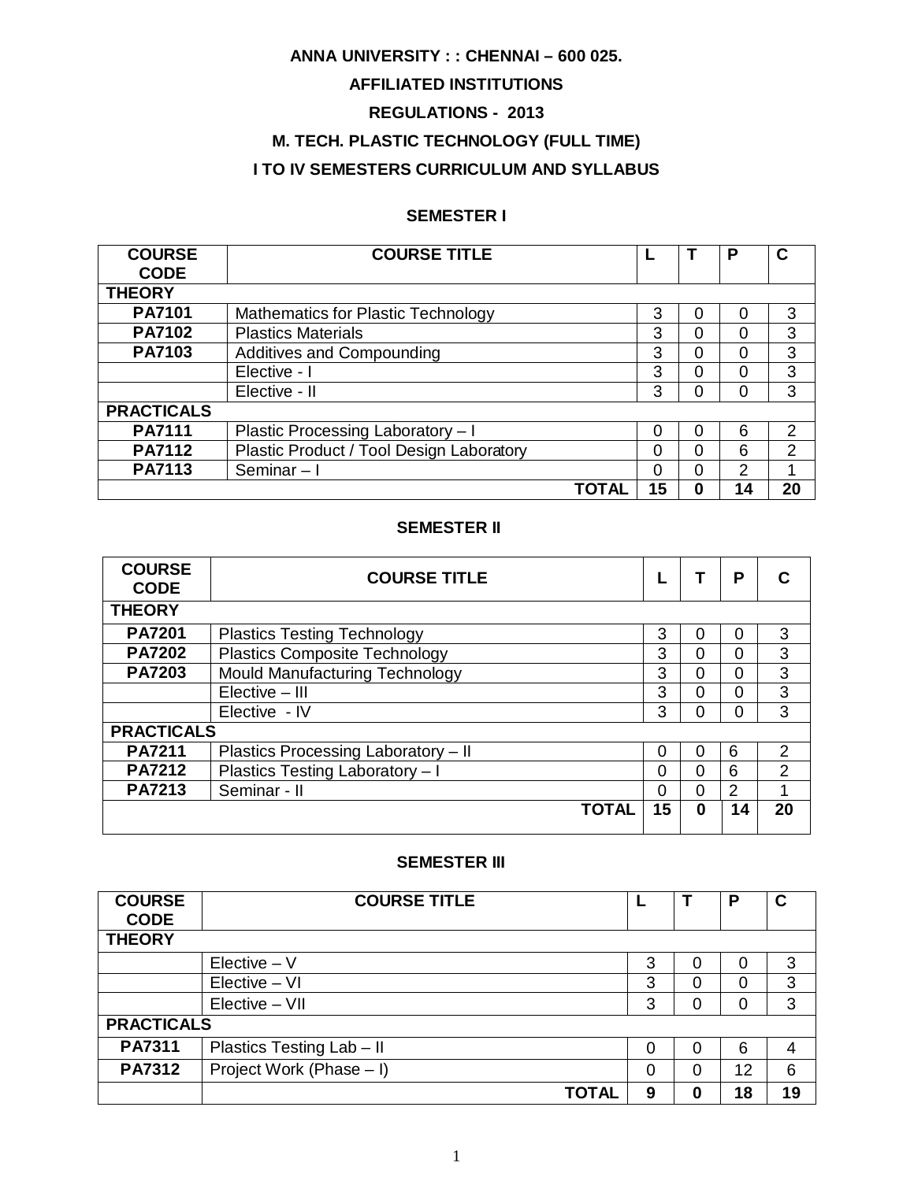# **ANNA UNIVERSITY : : CHENNAI – 600 025.**

# **AFFILIATED INSTITUTIONS**

# **REGULATIONS - 2013**

# **M. TECH. PLASTIC TECHNOLOGY (FULL TIME)**

# **I TO IV SEMESTERS CURRICULUM AND SYLLABUS**

# **SEMESTER I**

| <b>COURSE</b><br><b>CODE</b> | <b>COURSE TITLE</b>                       |    |   | P  | С              |
|------------------------------|-------------------------------------------|----|---|----|----------------|
| <b>THEORY</b>                |                                           |    |   |    |                |
| <b>PA7101</b>                | <b>Mathematics for Plastic Technology</b> | 3  | 0 |    | 3              |
| <b>PA7102</b>                | <b>Plastics Materials</b>                 | 3  | 0 |    | 3              |
| PA7103                       | Additives and Compounding                 | 3  | 0 |    | 3              |
|                              | Elective - I                              | 3  | 0 |    | 3              |
|                              | Elective - II                             | 3  | 0 | Ω  | 3              |
| <b>PRACTICALS</b>            |                                           |    |   |    |                |
| <b>PA7111</b>                | Plastic Processing Laboratory - I         | 0  | 0 | 6  | $\overline{2}$ |
| <b>PA7112</b>                | Plastic Product / Tool Design Laboratory  | 0  | 0 | 6  | $\overline{2}$ |
| <b>PA7113</b>                | Seminar-I                                 | 0  | 0 | っ  |                |
|                              | <b>TOTAL</b>                              | 15 | 0 | 14 | 20             |

#### **SEMESTER II**

| <b>COURSE</b><br><b>CODE</b> | <b>COURSE TITLE</b>                  |    |   | P  |               |
|------------------------------|--------------------------------------|----|---|----|---------------|
| <b>THEORY</b>                |                                      |    |   |    |               |
| <b>PA7201</b>                | <b>Plastics Testing Technology</b>   | 3  | 0 | ი  | 3             |
| <b>PA7202</b>                | <b>Plastics Composite Technology</b> | 3  | 0 | 0  | 3             |
| <b>PA7203</b>                | Mould Manufacturing Technology       | 3  | ი | 0  | 3             |
|                              | Elective - III                       | 3  | ი | 0  | 3             |
|                              | Elective - IV                        | 3  | ი | ი  | 3             |
| <b>PRACTICALS</b>            |                                      |    |   |    |               |
| <b>PA7211</b>                | Plastics Processing Laboratory - II  | 0  | 0 | 6  | $\mathcal{P}$ |
| <b>PA7212</b>                | Plastics Testing Laboratory - I      | ი  | 0 | 6  | 2             |
| <b>PA7213</b>                | Seminar - II                         | ი  | 0 | 2  |               |
|                              | <b>TOTAL</b>                         | 15 | ი | 14 | 20            |

#### **SEMESTER III**

| <b>COURSE</b>     | <b>COURSE TITLE</b>       |   |          | Р  | С  |
|-------------------|---------------------------|---|----------|----|----|
| <b>CODE</b>       |                           |   |          |    |    |
| <b>THEORY</b>     |                           |   |          |    |    |
|                   | $Electric - V$            | 3 |          | 0  | 3  |
|                   | $Electric - VI$           | 3 | 0        |    | 3  |
|                   | $Elective - VII$          | 3 | 0        | 0  | 3  |
| <b>PRACTICALS</b> |                           |   |          |    |    |
| <b>PA7311</b>     | Plastics Testing Lab - II | 0 | $\Omega$ | 6  | 4  |
| <b>PA7312</b>     | Project Work (Phase - I)  | 0 | 0        | 12 | 6  |
|                   | <b>TOTAL</b>              | 9 | 0        | 18 | 19 |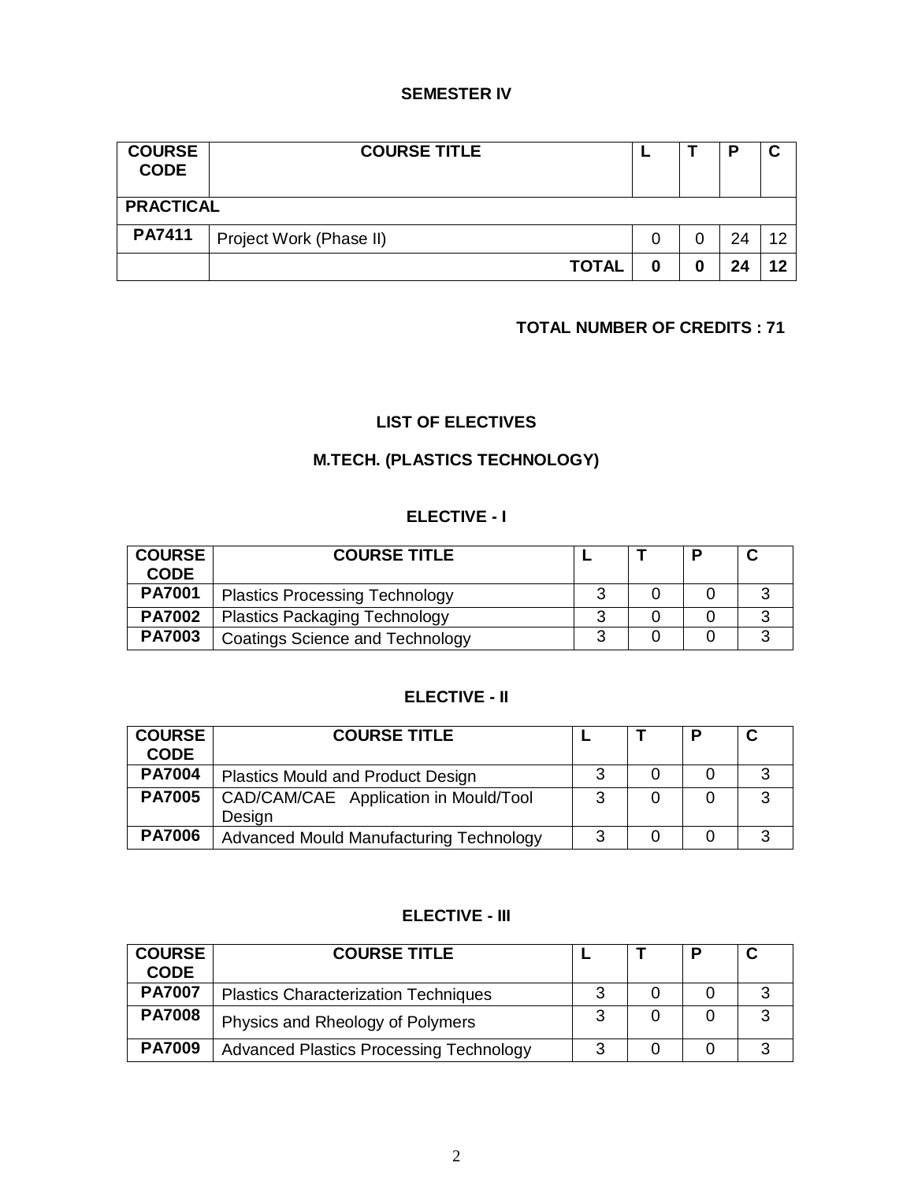# **SEMESTER IV**

| <b>COURSE</b><br><b>CODE</b> | <b>COURSE TITLE</b>     |   |    |     |
|------------------------------|-------------------------|---|----|-----|
| <b>PRACTICAL</b>             |                         |   |    |     |
| <b>PA7411</b>                | Project Work (Phase II) |   | 24 | 1 ຕ |
|                              | <b>TOTAL</b>            | 0 | 24 | 19  |

# **TOTAL NUMBER OF CREDITS : 71**

# **LIST OF ELECTIVES**

# **M.TECH. (PLASTICS TECHNOLOGY)**

# **ELECTIVE - I**

| <b>COURSE</b><br><b>CODE</b> | <b>COURSE TITLE</b>                    |  |  |
|------------------------------|----------------------------------------|--|--|
| <b>PA7001</b>                | <b>Plastics Processing Technology</b>  |  |  |
| <b>PA7002</b>                | <b>Plastics Packaging Technology</b>   |  |  |
| <b>PA7003</b>                | <b>Coatings Science and Technology</b> |  |  |

# **ELECTIVE - II**

| <b>COURSE</b><br><b>CODE</b> | <b>COURSE TITLE</b>                             |   |  | C |
|------------------------------|-------------------------------------------------|---|--|---|
| <b>PA7004</b>                | <b>Plastics Mould and Product Design</b>        |   |  |   |
| <b>PA7005</b>                | CAD/CAM/CAE Application in Mould/Tool<br>Design | າ |  | 3 |
| <b>PA7006</b>                | Advanced Mould Manufacturing Technology         |   |  | ີ |

# **ELECTIVE - III**

| <b>COURSE</b><br><b>CODE</b> | <b>COURSE TITLE</b>                            |   | Ð |   |
|------------------------------|------------------------------------------------|---|---|---|
| <b>PA7007</b>                | <b>Plastics Characterization Techniques</b>    |   |   |   |
| <b>PA7008</b>                | Physics and Rheology of Polymers               | ົ |   | ີ |
| <b>PA7009</b>                | <b>Advanced Plastics Processing Technology</b> |   |   | ົ |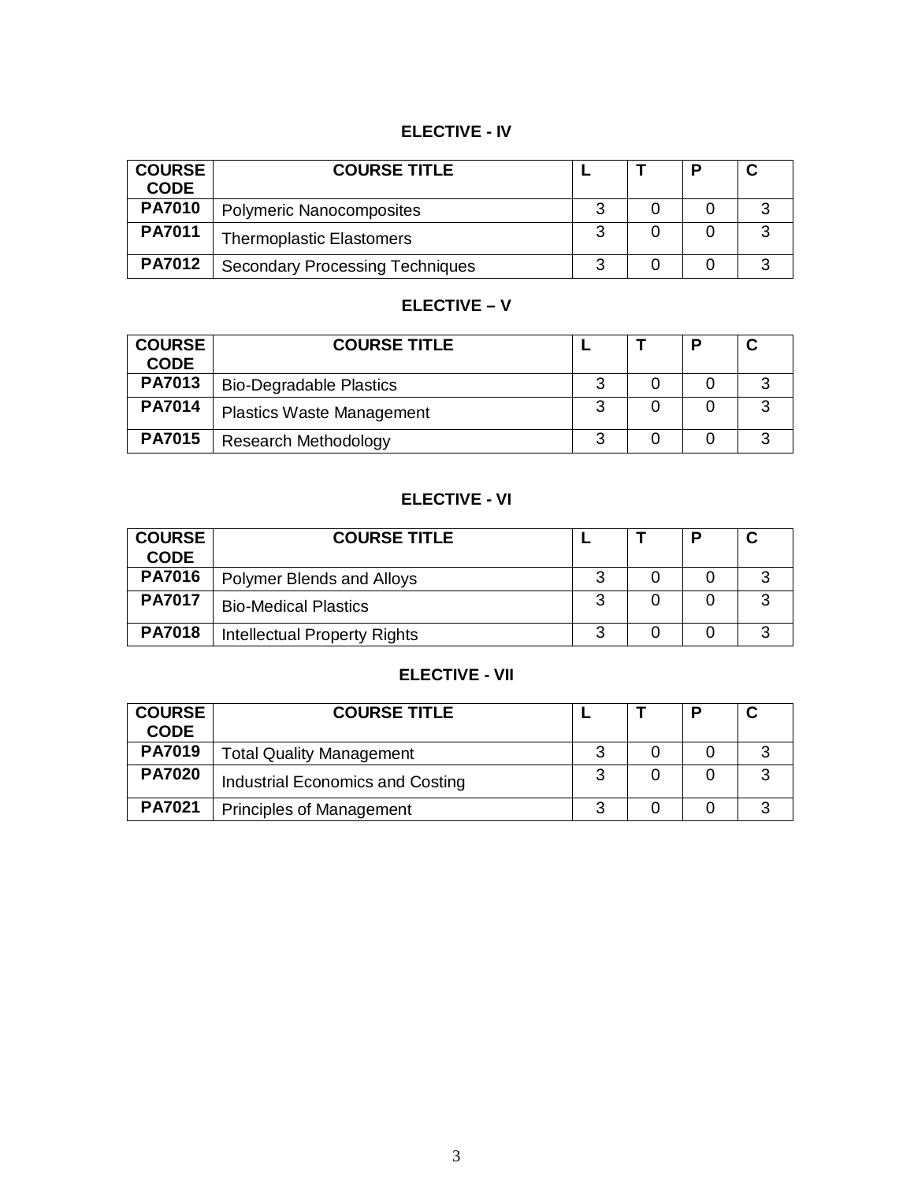# **ELECTIVE - IV**

| <b>COURSE</b><br><b>CODE</b> | <b>COURSE TITLE</b>                    |  |   |
|------------------------------|----------------------------------------|--|---|
| <b>PA7010</b>                | <b>Polymeric Nanocomposites</b>        |  |   |
| <b>PA7011</b>                | <b>Thermoplastic Elastomers</b>        |  |   |
| <b>PA7012</b>                | <b>Secondary Processing Techniques</b> |  | ◠ |

# **ELECTIVE – V**

| <b>COURSE</b><br><b>CODE</b> | <b>COURSE TITLE</b>              |   | D |   |
|------------------------------|----------------------------------|---|---|---|
| <b>PA7013</b>                | <b>Bio-Degradable Plastics</b>   |   |   | ◠ |
| <b>PA7014</b>                | <b>Plastics Waste Management</b> |   |   | ≏ |
| <b>PA7015</b>                | <b>Research Methodology</b>      | ⌒ |   | ⌒ |

# **ELECTIVE - VI**

| <b>COURSE</b><br><b>CODE</b> | <b>COURSE TITLE</b>          |   |  |   |
|------------------------------|------------------------------|---|--|---|
| <b>PA7016</b>                | Polymer Blends and Alloys    |   |  |   |
| <b>PA7017</b>                | <b>Bio-Medical Plastics</b>  |   |  | ว |
| <b>PA7018</b>                | Intellectual Property Rights | ⌒ |  |   |

# **ELECTIVE - VII**

| <b>COURSE</b><br><b>CODE</b> | <b>COURSE TITLE</b>              |   | D |   |
|------------------------------|----------------------------------|---|---|---|
| <b>PA7019</b>                | <b>Total Quality Management</b>  |   |   |   |
| <b>PA7020</b>                | Industrial Economics and Costing | ົ |   | റ |
| <b>PA7021</b>                | <b>Principles of Management</b>  |   |   | ◠ |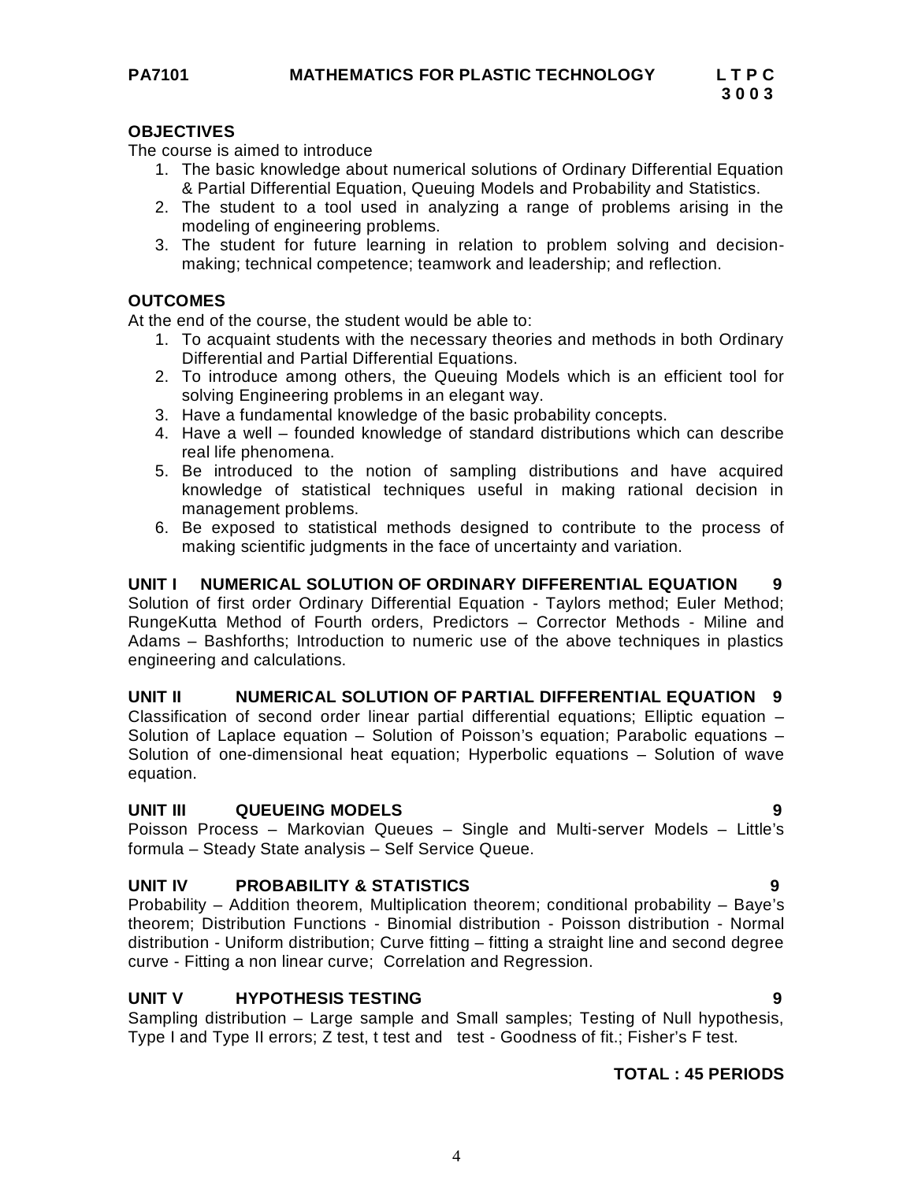#### **OBJECTIVES**

The course is aimed to introduce

- 1. The basic knowledge about numerical solutions of Ordinary Differential Equation & Partial Differential Equation, Queuing Models and Probability and Statistics.
- 2. The student to a tool used in analyzing a range of problems arising in the modeling of engineering problems.
- 3. The student for future learning in relation to problem solving and decisionmaking; technical competence; teamwork and leadership; and reflection.

#### **OUTCOMES**

At the end of the course, the student would be able to:

- 1. To acquaint students with the necessary theories and methods in both Ordinary Differential and Partial Differential Equations.
- 2. To introduce among others, the Queuing Models which is an efficient tool for solving Engineering problems in an elegant way.
- 3. Have a fundamental knowledge of the basic probability concepts.
- 4. Have a well founded knowledge of standard distributions which can describe real life phenomena.
- 5. Be introduced to the notion of sampling distributions and have acquired knowledge of statistical techniques useful in making rational decision in management problems.
- 6. Be exposed to statistical methods designed to contribute to the process of making scientific judgments in the face of uncertainty and variation.

#### **UNIT I NUMERICAL SOLUTION OF ORDINARY DIFFERENTIAL EQUATION 9**

Solution of first order Ordinary Differential Equation - Taylors method; Euler Method; RungeKutta Method of Fourth orders, Predictors – Corrector Methods - Miline and Adams – Bashforths; Introduction to numeric use of the above techniques in plastics engineering and calculations.

#### **UNIT II NUMERICAL SOLUTION OF PARTIAL DIFFERENTIAL EQUATION 9**

Classification of second order linear partial differential equations; Elliptic equation – Solution of Laplace equation – Solution of Poisson's equation; Parabolic equations – Solution of one-dimensional heat equation; Hyperbolic equations – Solution of wave equation.

#### **UNIT III QUEUEING MODELS 9**

Poisson Process – Markovian Queues – Single and Multi-server Models – Little's formula – Steady State analysis – Self Service Queue.

#### **UNIT IV PROBABILITY & STATISTICS 9**

Probability – Addition theorem, Multiplication theorem; conditional probability – Baye's theorem; Distribution Functions - Binomial distribution - Poisson distribution - Normal distribution - Uniform distribution; Curve fitting – fitting a straight line and second degree curve - Fitting a non linear curve; Correlation and Regression.

#### **UNIT V HYPOTHESIS TESTING 9**

Sampling distribution – Large sample and Small samples; Testing of Null hypothesis, Type I and Type II errors; Z test, t test and test - Goodness of fit.; Fisher's F test.

#### **TOTAL : 45 PERIODS**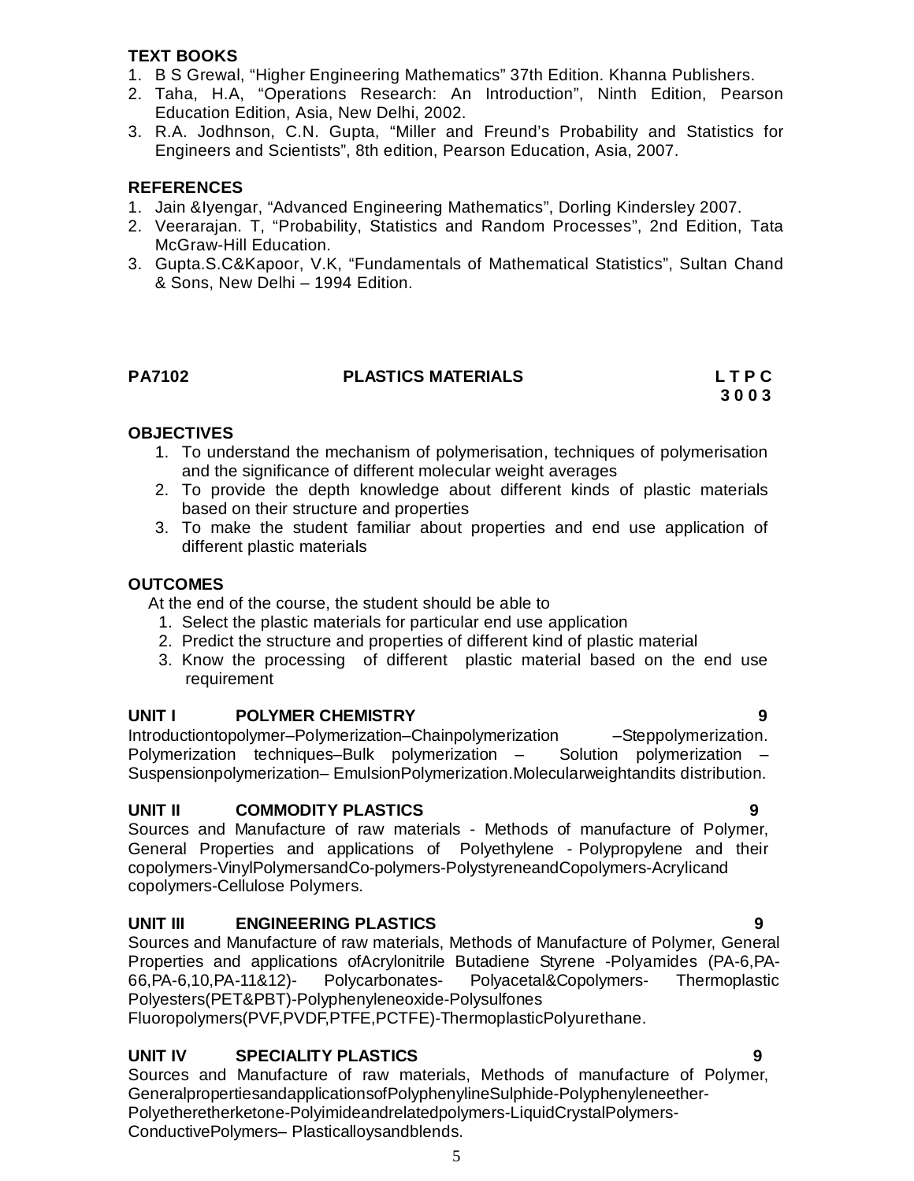#### **TEXT BOOKS**

- 1. B S Grewal, "Higher Engineering Mathematics" 37th Edition. Khanna Publishers.
- 2. Taha, H.A, "Operations Research: An Introduction", Ninth Edition, Pearson Education Edition, Asia, New Delhi, 2002.
- 3. R.A. Jodhnson, C.N. Gupta, "Miller and Freund's Probability and Statistics for Engineers and Scientists", 8th edition, Pearson Education, Asia, 2007.

# **REFERENCES**

- 1. Jain &Iyengar, "Advanced Engineering Mathematics", Dorling Kindersley 2007.
- 2. Veerarajan. T, "Probability, Statistics and Random Processes", 2nd Edition, Tata McGraw-Hill Education.
- 3. Gupta.S.C&Kapoor, V.K, "Fundamentals of Mathematical Statistics", Sultan Chand & Sons, New Delhi – 1994 Edition.

# **PA7102 PLASTICS MATERIALS L T P C**

 **3 0 0 3**

# **OBJECTIVES**

- 1. To understand the mechanism of polymerisation, techniques of polymerisation and the significance of different molecular weight averages
- 2. To provide the depth knowledge about different kinds of plastic materials based on their structure and properties
- 3. To make the student familiar about properties and end use application of different plastic materials

# **OUTCOMES**

At the end of the course, the student should be able to

- 1. Select the plastic materials for particular end use application
- 2. Predict the structure and properties of different kind of plastic material
- 3. Know the processing of different plastic material based on the end use requirement

#### **UNIT I POLYMER CHEMISTRY 9**

Introductiontopolymer–Polymerization–Chainpolymerization – Steppolymerization.<br>Polymerization techniques–Bulk polymerization – Solution polymerization – Polymerization techniques–Bulk polymerization – Suspensionpolymerization– EmulsionPolymerization.Molecularweightandits distribution.

#### **UNIT II COMMODITY PLASTICS 9**

Sources and Manufacture of raw materials - Methods of manufacture of Polymer, General Properties and applications of Polyethylene - Polypropylene and their copolymers-VinylPolymersandCo-polymers-PolystyreneandCopolymers-Acrylicand copolymers-Cellulose Polymers.

# **UNIT III ENGINEERING PLASTICS 9**

Sources and Manufacture of raw materials, Methods of Manufacture of Polymer, General Properties and applications ofAcrylonitrile Butadiene Styrene -Polyamides (PA-6,PA-66,PA-6,10,PA-11&12)- Polycarbonates- Polyacetal&Copolymers- Thermoplastic Polyesters(PET&PBT)-Polyphenyleneoxide-Polysulfones

Fluoropolymers(PVF,PVDF,PTFE,PCTFE)-ThermoplasticPolyurethane.

# **UNIT IV SPECIALITY PLASTICS 9**

Sources and Manufacture of raw materials, Methods of manufacture of Polymer, GeneralpropertiesandapplicationsofPolyphenylineSulphide-Polyphenyleneether-Polyetheretherketone-Polyimideandrelatedpolymers-LiquidCrystalPolymers-ConductivePolymers– Plasticalloysandblends.

5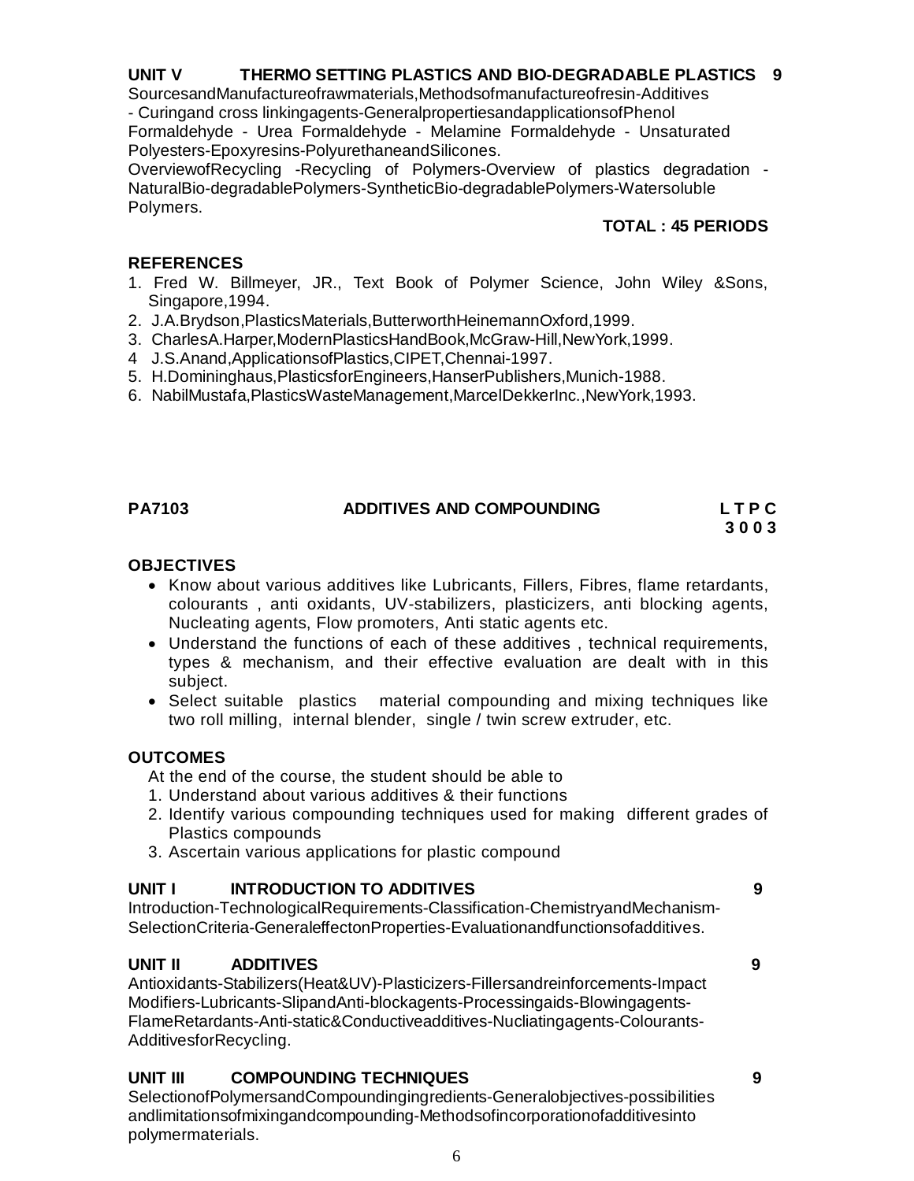# **UNIT V THERMO SETTING PLASTICS AND BIO-DEGRADABLE PLASTICS 9**

SourcesandManufactureofrawmaterials,Methodsofmanufactureofresin-Additives

- Curingand cross linkingagents-GeneralpropertiesandapplicationsofPhenol Formaldehyde - Urea Formaldehyde - Melamine Formaldehyde - Unsaturated Polyesters-Epoxyresins-PolyurethaneandSilicones.

OverviewofRecycling -Recycling of Polymers-Overview of plastics degradation - NaturalBio-degradablePolymers-SyntheticBio-degradablePolymers-Watersoluble Polymers.

# **TOTAL : 45 PERIODS**

# **REFERENCES**

- 1. Fred W. Billmeyer, JR., Text Book of Polymer Science, John Wiley &Sons, Singapore,1994.
- 2. J.A.Brydson,PlasticsMaterials,ButterworthHeinemannOxford,1999.
- 3. CharlesA.Harper,ModernPlasticsHandBook,McGraw-Hill,NewYork,1999.
- 4 J.S.Anand,ApplicationsofPlastics,CIPET,Chennai-1997.
- 5. H.Domininghaus,PlasticsforEngineers,HanserPublishers,Munich-1988.
- 6. NabilMustafa,PlasticsWasteManagement,MarcelDekkerInc.,NewYork,1993.

# **PA7103 ADDITIVES AND COMPOUNDING L T P C**

# **3 0 0 3**

#### **OBJECTIVES**

- Know about various additives like Lubricants, Fillers, Fibres, flame retardants, colourants , anti oxidants, UV-stabilizers, plasticizers, anti blocking agents, Nucleating agents, Flow promoters, Anti static agents etc.
- Understand the functions of each of these additives , technical requirements, types & mechanism, and their effective evaluation are dealt with in this subject.
- Select suitable plastics material compounding and mixing techniques like two roll milling, internal blender, single / twin screw extruder, etc.

#### **OUTCOMES**

At the end of the course, the student should be able to

- 1. Understand about various additives & their functions
- 2. Identify various compounding techniques used for making different grades of Plastics compounds
- 3. Ascertain various applications for plastic compound

# **UNIT I INTRODUCTION TO ADDITIVES 9**

Introduction-TechnologicalRequirements-Classification-ChemistryandMechanism-SelectionCriteria-GeneraleffectonProperties-Evaluationandfunctionsofadditives.

# **UNIT II ADDITIVES 9**

Antioxidants-Stabilizers(Heat&UV)-Plasticizers-Fillersandreinforcements-Impact Modifiers-Lubricants-SlipandAnti-blockagents-Processingaids-Blowingagents-FlameRetardants-Anti-static&Conductiveadditives-Nucliatingagents-Colourants-AdditivesforRecycling.

# **UNIT III COMPOUNDING TECHNIQUES 9**

SelectionofPolymersandCompoundingingredients-Generalobjectives-possibilities andlimitationsofmixingandcompounding-Methodsofincorporationofadditivesinto polymermaterials.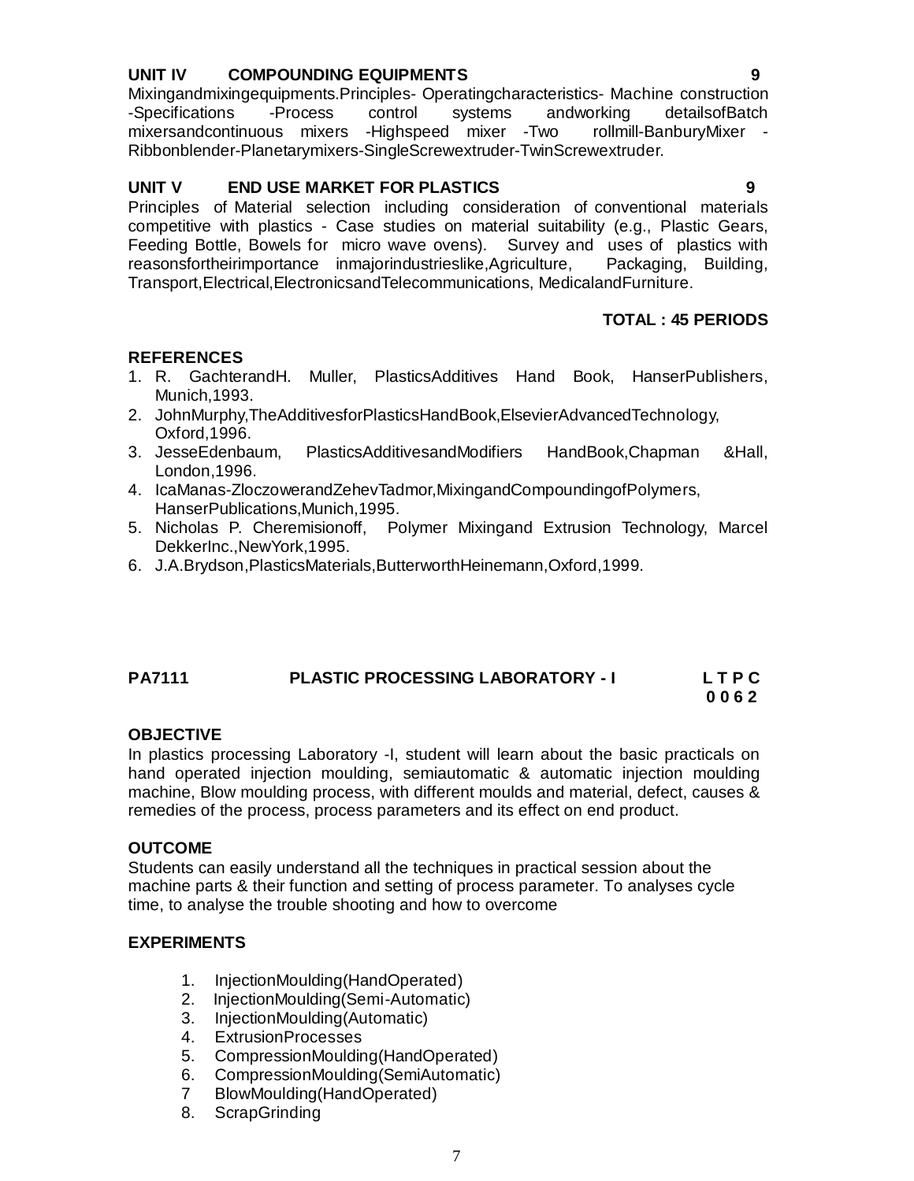#### **UNIT IV COMPOUNDING EQUIPMENTS 9**

Mixingandmixingequipments.Principles- Operatingcharacteristics- Machine construction -Specifications -Process control systems andworking detailsofBatch mixersandcontinuous mixers -Highspeed mixer -Two rollmill-BanburyMixer - Ribbonblender-Planetarymixers-SingleScrewextruder-TwinScrewextruder.

#### **UNIT V END USE MARKET FOR PLASTICS 9**

Principles of Material selection including consideration of conventional materials competitive with plastics - Case studies on material suitability (e.g., Plastic Gears, Feeding Bottle, Bowels for micro wave ovens). Survey and uses of plastics with reasonsfortheirimportance inmajorindustrieslike,Agriculture, Packaging, Building, Transport,Electrical,ElectronicsandTelecommunications, MedicalandFurniture.

#### **TOTAL : 45 PERIODS**

#### **REFERENCES**

- 1. R. GachterandH. Muller, PlasticsAdditives Hand Book, HanserPublishers, Munich,1993.
- 2. JohnMurphy,TheAdditivesforPlasticsHandBook,ElsevierAdvancedTechnology, Oxford,1996.
- 3. JesseEdenbaum, PlasticsAdditivesandModifiers HandBook,Chapman &Hall, London,1996.
- 4. IcaManas-ZloczowerandZehevTadmor,MixingandCompoundingofPolymers, HanserPublications,Munich,1995.
- 5. Nicholas P. Cheremisionoff, Polymer Mixingand Extrusion Technology, Marcel DekkerInc.,NewYork,1995.
- 6. J.A.Brydson,PlasticsMaterials,ButterworthHeinemann,Oxford,1999.

# **PA7111 PLASTIC PROCESSING LABORATORY - I L T P C**

#### **0 0 6 2**

#### **OBJECTIVE**

In plastics processing Laboratory -I, student will learn about the basic practicals on hand operated injection moulding, semiautomatic & automatic injection moulding machine, Blow moulding process, with different moulds and material, defect, causes & remedies of the process, process parameters and its effect on end product.

#### **OUTCOME**

Students can easily understand all the techniques in practical session about the machine parts & their function and setting of process parameter. To analyses cycle time, to analyse the trouble shooting and how to overcome

#### **EXPERIMENTS**

- 1. InjectionMoulding(HandOperated)
- 2. InjectionMoulding(Semi-Automatic)
- 3. InjectionMoulding(Automatic)
- 4. ExtrusionProcesses
- 5. CompressionMoulding(HandOperated)
- 6. CompressionMoulding(SemiAutomatic)
- 7 BlowMoulding(HandOperated)
- 8. ScrapGrinding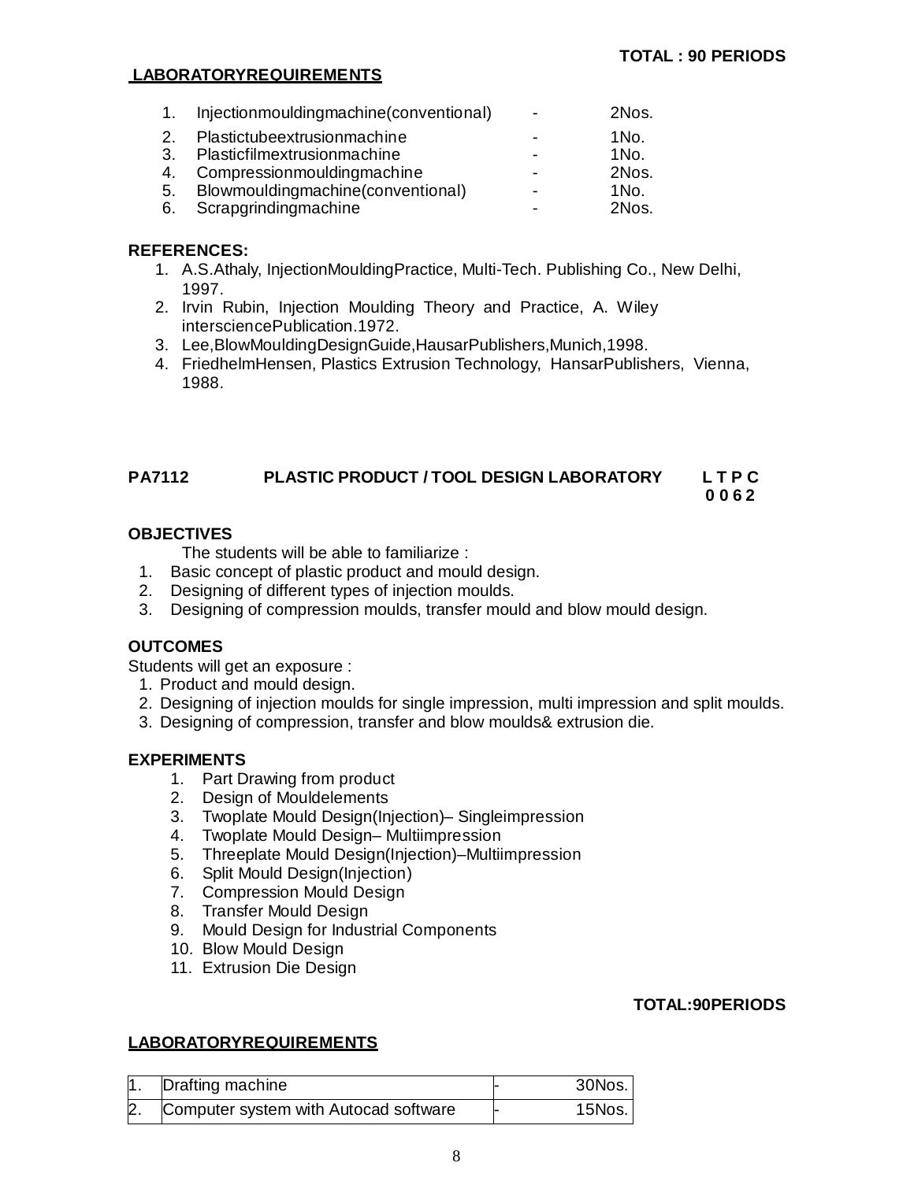#### **LABORATORYREQUIREMENTS**

| 1. | Injectionmouldingmachine(conventional) | $\overline{\phantom{a}}$ | 2Nos.           |
|----|----------------------------------------|--------------------------|-----------------|
| 2. | Plastictubeextrusionmachine            |                          | $1$ No.         |
| 3. | Plasticfilmextrusionmachine            |                          | 1N <sub>0</sub> |
|    | 4. Compressionmouldingmachine          |                          | 2Nos.           |
| 5. | Blowmouldingmachine(conventional)      |                          | $1N0$ .         |
|    | 6. Scrapgrindingmachine                |                          | 2Nos.           |

#### **REFERENCES:**

- 1. A.S.Athaly, InjectionMouldingPractice, Multi-Tech. Publishing Co., New Delhi, 1997.
- 2. Irvin Rubin, Injection Moulding Theory and Practice, A. Wiley intersciencePublication.1972.
- 3. Lee,BlowMouldingDesignGuide,HausarPublishers,Munich,1998.
- 4. FriedhelmHensen, Plastics Extrusion Technology, HansarPublishers, Vienna, 1988.

#### **PA7112 PLASTIC PRODUCT / TOOL DESIGN LABORATORY L T P C 0 0 6 2**

#### **OBJECTIVES**

The students will be able to familiarize :

- 1. Basic concept of plastic product and mould design.
- 2. Designing of different types of injection moulds.
- 3. Designing of compression moulds, transfer mould and blow mould design.

#### **OUTCOMES**

Students will get an exposure :

- 1. Product and mould design.
- 2. Designing of injection moulds for single impression, multi impression and split moulds.
- 3. Designing of compression, transfer and blow moulds& extrusion die.

#### **EXPERIMENTS**

- 1. Part Drawing from product
- 2. Design of Mouldelements
- 3. Twoplate Mould Design(Injection)– Singleimpression
- 4. Twoplate Mould Design– Multiimpression
- 5. Threeplate Mould Design(Injection)–Multiimpression
- 6. Split Mould Design(Injection)
- 7. Compression Mould Design
- 8. Transfer Mould Design
- 9. Mould Design for Industrial Components
- 10. Blow Mould Design
- 11. Extrusion Die Design

#### **TOTAL:90PERIODS**

#### **LABORATORYREQUIREMENTS**

|              | Drafting machine                      | $30$ Nos. |
|--------------|---------------------------------------|-----------|
| $\mathsf{2}$ | Computer system with Autocad software | 15Nos.    |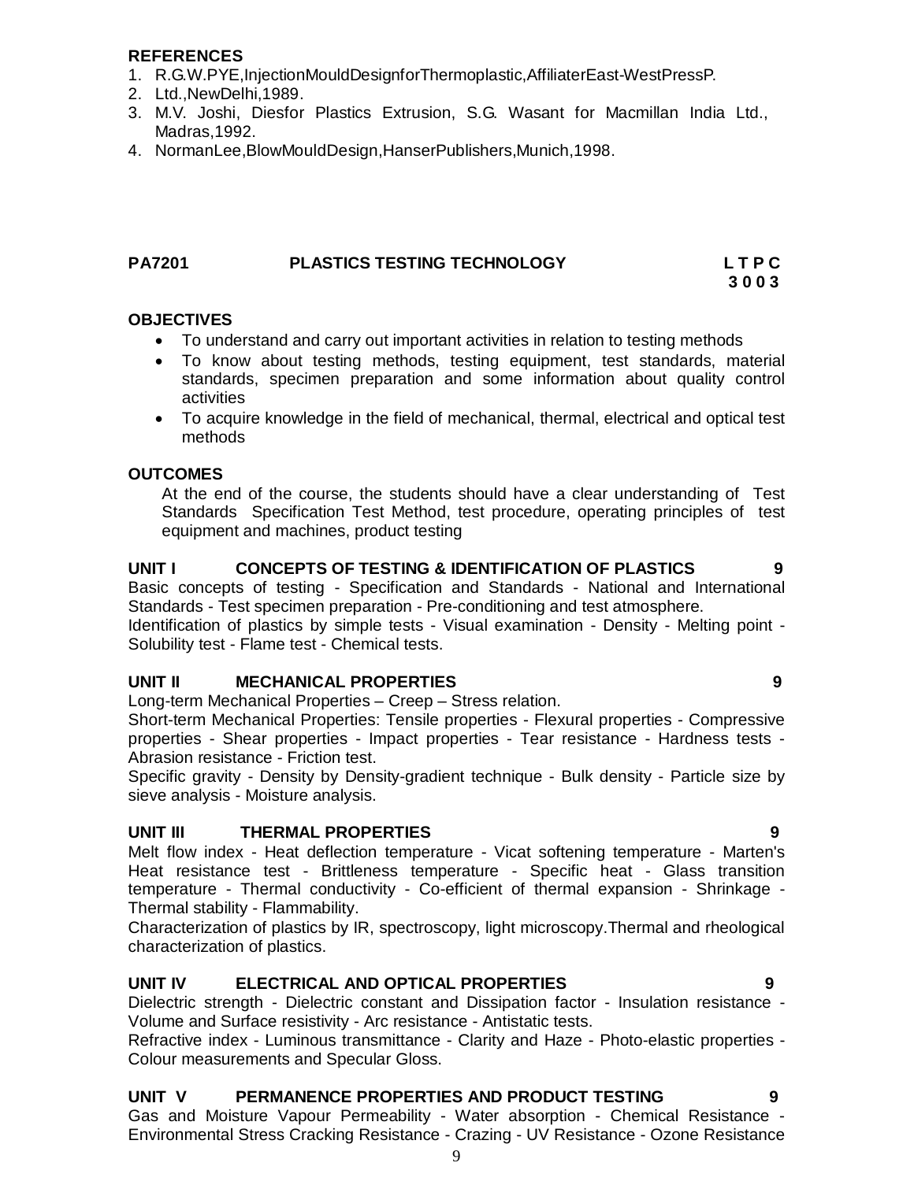# **REFERENCES**

- 1. R.G.W.PYE,InjectionMouldDesignforThermoplastic,AffiliaterEast-WestPressP.
- 2. Ltd.,NewDelhi,1989.
- 3. M.V. Joshi, Diesfor Plastics Extrusion, S.G. Wasant for Macmillan India Ltd., Madras,1992.
- 4. NormanLee,BlowMouldDesign,HanserPublishers,Munich,1998.

# **PA7201 PLASTICS TESTING TECHNOLOGY L T P C**

 **3 0 0 3**

#### **OBJECTIVES**

- To understand and carry out important activities in relation to testing methods
- To know about testing methods, testing equipment, test standards, material standards, specimen preparation and some information about quality control activities
- To acquire knowledge in the field of mechanical, thermal, electrical and optical test methods

#### **OUTCOMES**

At the end of the course, the students should have a clear understanding of Test Standards Specification Test Method, test procedure, operating principles of test equipment and machines, product testing

# UNIT I CONCEPTS OF TESTING & IDENTIFICATION OF PLASTICS 9

Basic concepts of testing - Specification and Standards - National and International Standards - Test specimen preparation - Pre-conditioning and test atmosphere.

Identification of plastics by simple tests - Visual examination - Density - Melting point - Solubility test - Flame test - Chemical tests.

#### **UNIT II MECHANICAL PROPERTIES 9**

Long-term Mechanical Properties – Creep – Stress relation.

Short-term Mechanical Properties: Tensile properties - Flexural properties - Compressive properties - Shear properties - Impact properties - Tear resistance - Hardness tests - Abrasion resistance - Friction test.

Specific gravity - Density by Density-gradient technique - Bulk density - Particle size by sieve analysis - Moisture analysis.

#### **UNIT III THERMAL PROPERTIES 9**

Melt flow index - Heat deflection temperature - Vicat softening temperature - Marten's Heat resistance test - Brittleness temperature - Specific heat - Glass transition temperature - Thermal conductivity - Co-efficient of thermal expansion - Shrinkage - Thermal stability - Flammability.

Characterization of plastics by IR, spectroscopy, light microscopy.Thermal and rheological characterization of plastics.

#### **UNIT IV ELECTRICAL AND OPTICAL PROPERTIES 9**

Dielectric strength - Dielectric constant and Dissipation factor - Insulation resistance - Volume and Surface resistivity - Arc resistance - Antistatic tests.

Refractive index - Luminous transmittance - Clarity and Haze - Photo-elastic properties - Colour measurements and Specular Gloss.

#### **UNIT V PERMANENCE PROPERTIES AND PRODUCT TESTING 9**

Gas and Moisture Vapour Permeability - Water absorption - Chemical Resistance - Environmental Stress Cracking Resistance - Crazing - UV Resistance - Ozone Resistance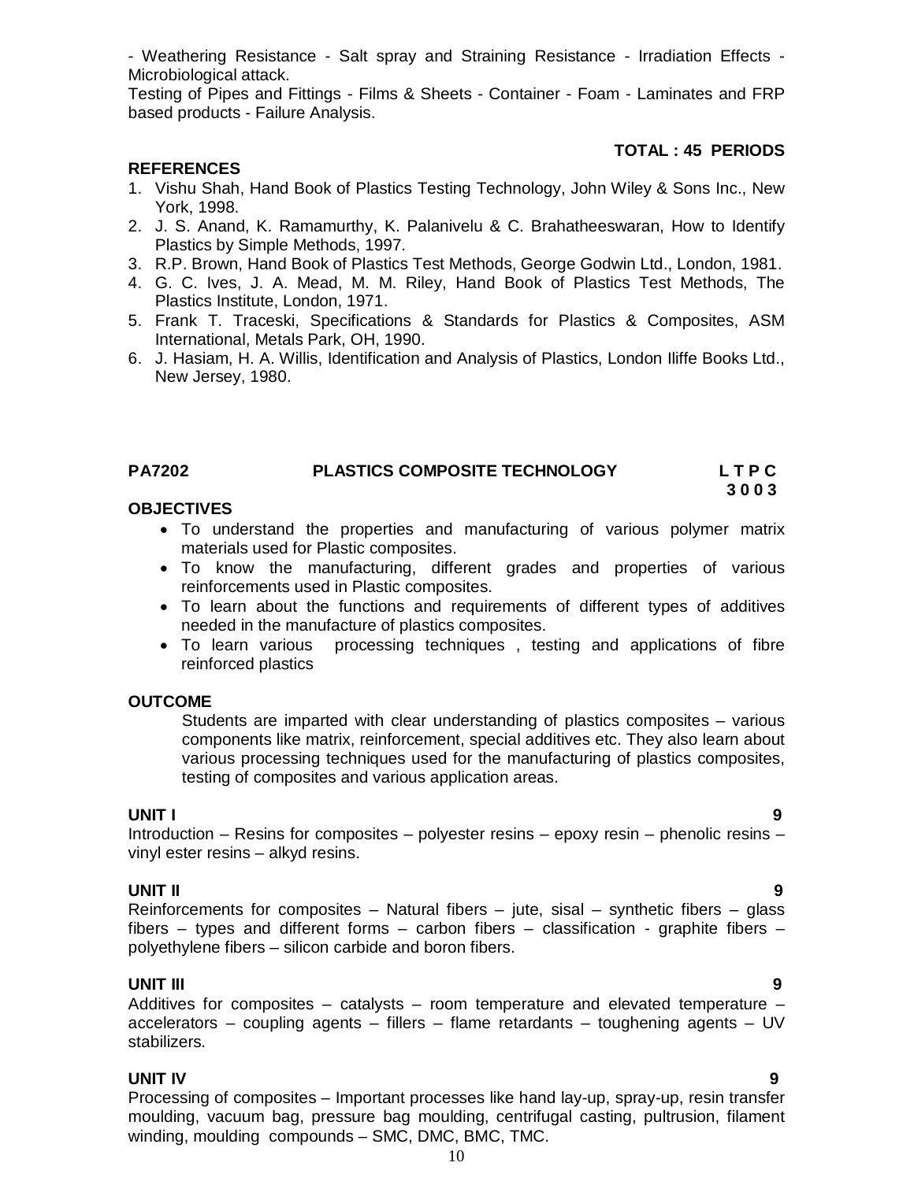- Weathering Resistance - Salt spray and Straining Resistance - Irradiation Effects - Microbiological attack.

Testing of Pipes and Fittings - Films & Sheets - Container - Foam - Laminates and FRP based products - Failure Analysis.

#### **TOTAL : 45 PERIODS**

#### **REFERENCES**

- 1. Vishu Shah, Hand Book of Plastics Testing Technology, John Wiley & Sons Inc., New York, 1998.
- 2. J. S. Anand, K. Ramamurthy, K. Palanivelu & C. Brahatheeswaran, How to Identify Plastics by Simple Methods, 1997.
- 3. R.P. Brown, Hand Book of Plastics Test Methods, George Godwin Ltd., London, 1981.
- 4. G. C. Ives, J. A. Mead, M. M. Riley, Hand Book of Plastics Test Methods, The Plastics Institute, London, 1971.
- 5. Frank T. Traceski, Specifications & Standards for Plastics & Composites, ASM International, Metals Park, OH, 1990.
- 6. J. Hasiam, H. A. Willis, Identification and Analysis of Plastics, London Iliffe Books Ltd., New Jersey, 1980.

# **PA7202 PLASTICS COMPOSITE TECHNOLOGY L T P C**

 **3 0 0 3**

#### **OBJECTIVES**

- To understand the properties and manufacturing of various polymer matrix materials used for Plastic composites.
- To know the manufacturing, different grades and properties of various reinforcements used in Plastic composites.
- To learn about the functions and requirements of different types of additives needed in the manufacture of plastics composites.
- To learn various processing techniques, testing and applications of fibre reinforced plastics

#### **OUTCOME**

Students are imparted with clear understanding of plastics composites – various components like matrix, reinforcement, special additives etc. They also learn about various processing techniques used for the manufacturing of plastics composites, testing of composites and various application areas.

#### **UNIT I 9**

Introduction – Resins for composites – polyester resins – epoxy resin – phenolic resins – vinyl ester resins – alkyd resins.

#### **UNIT II 9**

Reinforcements for composites  $-$  Natural fibers  $-$  jute, sisal  $-$  synthetic fibers  $-$  glass fibers – types and different forms – carbon fibers – classification - graphite fibers – polyethylene fibers – silicon carbide and boron fibers.

#### **UNIT III 9**

Additives for composites – catalysts – room temperature and elevated temperature – accelerators – coupling agents – fillers – flame retardants – toughening agents – UV stabilizers.

#### **UNIT IV 9**

Processing of composites – Important processes like hand lay-up, spray-up, resin transfer moulding, vacuum bag, pressure bag moulding, centrifugal casting, pultrusion, filament winding, moulding compounds – SMC, DMC, BMC, TMC.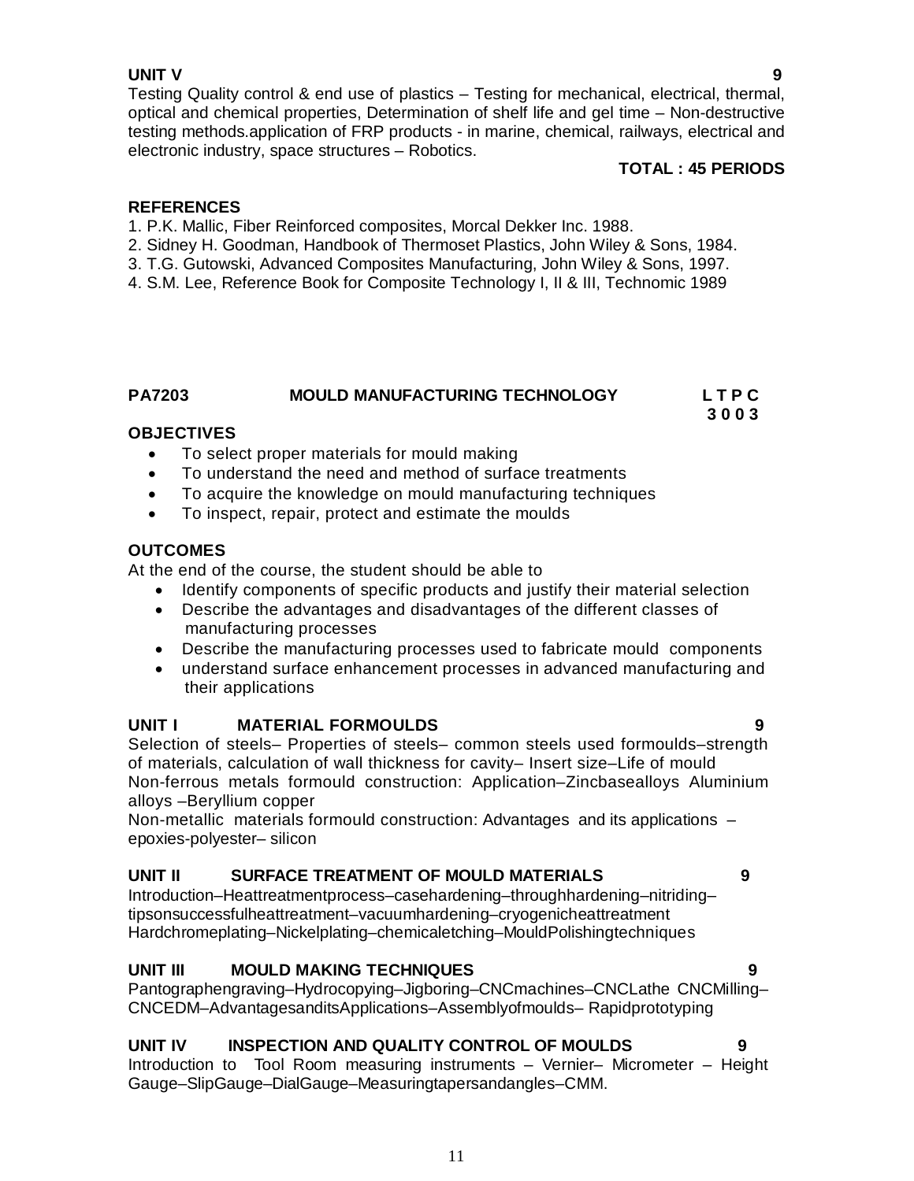# **UNIT V 9**

Testing Quality control & end use of plastics – Testing for mechanical, electrical, thermal, optical and chemical properties, Determination of shelf life and gel time – Non-destructive testing methods.application of FRP products - in marine, chemical, railways, electrical and electronic industry, space structures – Robotics.

#### **TOTAL : 45 PERIODS**

# **REFERENCES**

- 1. P.K. Mallic, Fiber Reinforced composites, Morcal Dekker Inc. 1988.
- 2. Sidney H. Goodman, Handbook of Thermoset Plastics, John Wiley & Sons, 1984.
- 3. T.G. Gutowski, Advanced Composites Manufacturing, John Wiley & Sons, 1997.
- 4. S.M. Lee, Reference Book for Composite Technology I, II & III, Technomic 1989

# **PA7203 MOULD MANUFACTURING TECHNOLOGY L T P C**

#### **3 0 0 3 OBJECTIVES**

- To select proper materials for mould making
- To understand the need and method of surface treatments
- To acquire the knowledge on mould manufacturing techniques
- To inspect, repair, protect and estimate the moulds

# **OUTCOMES**

At the end of the course, the student should be able to

- Identify components of specific products and justify their material selection
- Describe the advantages and disadvantages of the different classes of manufacturing processes
- Describe the manufacturing processes used to fabricate mould components
- understand surface enhancement processes in advanced manufacturing and their applications

# **UNIT I MATERIAL FORMOULDS 9**

Selection of steels– Properties of steels– common steels used formoulds–strength of materials, calculation of wall thickness for cavity– Insert size–Life of mould Non-ferrous metals formould construction: Application–Zincbasealloys Aluminium alloys –Beryllium copper

Non-metallic materials formould construction: Advantages and its applications – epoxies-polyester– silicon

# **UNIT II SURFACE TREATMENT OF MOULD MATERIALS 9**

Introduction–Heattreatmentprocess–casehardening–throughhardening–nitriding– tipsonsuccessfulheattreatment–vacuumhardening–cryogenicheattreatment Hardchromeplating–Nickelplating–chemicaletching–MouldPolishingtechniques

# **UNIT III MOULD MAKING TECHNIQUES 9**

Pantographengraving–Hydrocopying–Jigboring–CNCmachines–CNCLathe CNCMilling– CNCEDM–AdvantagesanditsApplications–Assemblyofmoulds– Rapidprototyping

# **UNIT IV INSPECTION AND QUALITY CONTROL OF MOULDS 9**

Introduction to Tool Room measuring instruments – Vernier– Micrometer – Height Gauge–SlipGauge–DialGauge–Measuringtapersandangles–CMM.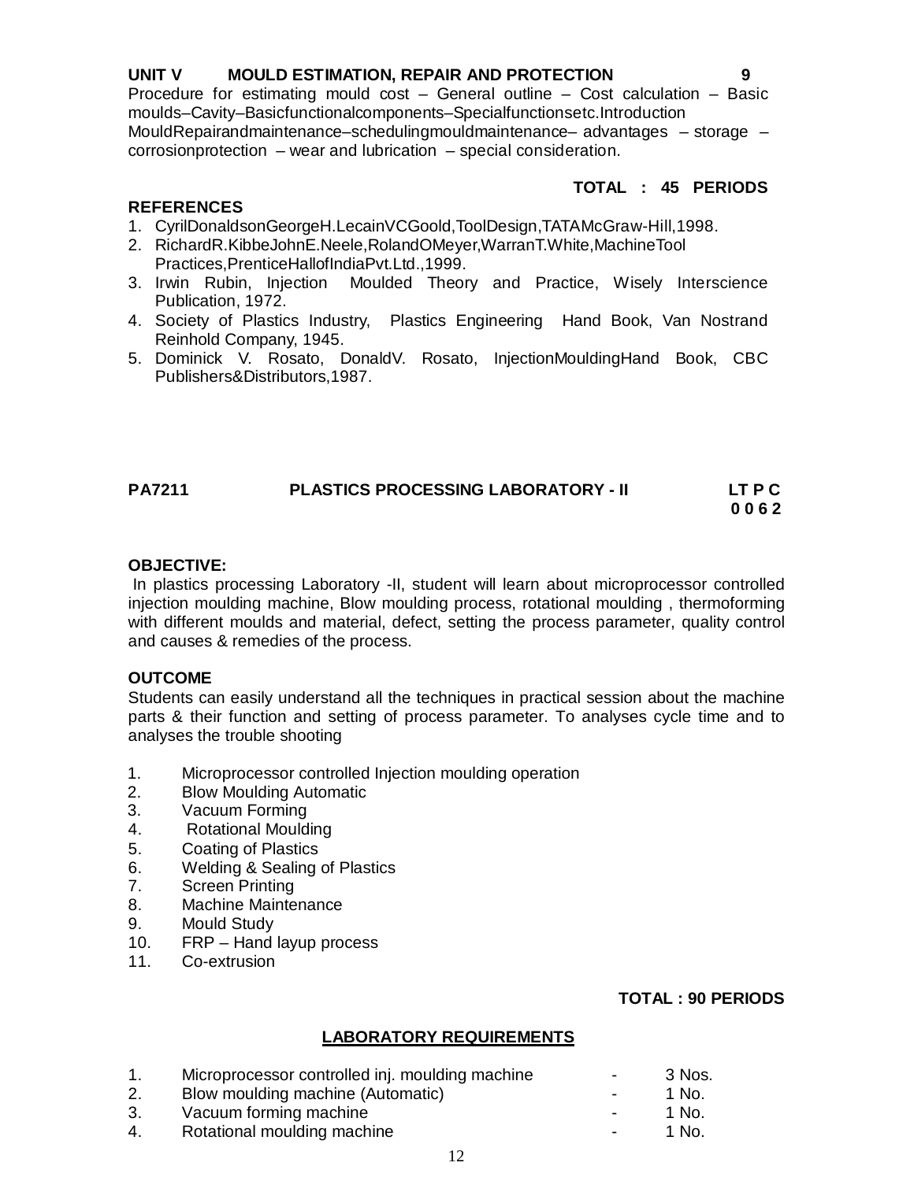# **UNIT V MOULD ESTIMATION, REPAIR AND PROTECTION 9**

Procedure for estimating mould cost – General outline – Cost calculation – Basic moulds–Cavity–Basicfunctionalcomponents–Specialfunctionsetc.Introduction MouldRepairandmaintenance–schedulingmouldmaintenance– advantages – storage – corrosionprotection – wear and lubrication – special consideration.

#### **TOTAL : 45 PERIODS**

# **REFERENCES**

- 1. CyrilDonaldsonGeorgeH.LecainVCGoold,ToolDesign,TATAMcGraw-Hill,1998.
- 2. RichardR.KibbeJohnE.Neele,RolandOMeyer,WarranT.White,MachineTool Practices,PrenticeHallofIndiaPvt.Ltd.,1999.
- 3. Irwin Rubin, Injection Moulded Theory and Practice, Wisely Interscience Publication, 1972.
- 4. Society of Plastics Industry, Plastics Engineering Hand Book, Van Nostrand Reinhold Company, 1945.
- 5. Dominick V. Rosato, DonaldV. Rosato, InjectionMouldingHand Book, CBC Publishers&Distributors,1987.

#### **PA7211 PLASTICS PROCESSING LABORATORY - II LT P C 0 0 6 2**

#### **OBJECTIVE:**

In plastics processing Laboratory -II, student will learn about microprocessor controlled injection moulding machine, Blow moulding process, rotational moulding , thermoforming with different moulds and material, defect, setting the process parameter, quality control and causes & remedies of the process.

#### **OUTCOME**

Students can easily understand all the techniques in practical session about the machine parts & their function and setting of process parameter. To analyses cycle time and to analyses the trouble shooting

- 1. Microprocessor controlled Injection moulding operation
- 2. Blow Moulding Automatic
- 3. Vacuum Forming
- 4. Rotational Moulding
- 5. Coating of Plastics
- 6. Welding & Sealing of Plastics
- 7. Screen Printing
- 8. Machine Maintenance
- 9. Mould Study
- 10. FRP Hand layup process
- 11. Co-extrusion

#### **TOTAL : 90 PERIODS**

#### **LABORATORY REQUIREMENTS**

|    | Microprocessor controlled inj. moulding machine | $\blacksquare$ | -3 Nos.      |
|----|-------------------------------------------------|----------------|--------------|
| 2. | Blow moulding machine (Automatic)               | $\sim$         | 1 No.        |
| 3. | Vacuum forming machine                          | $\sim$         | 1 No.        |
| 4. | Rotational moulding machine                     | $\blacksquare$ | <u>1 No.</u> |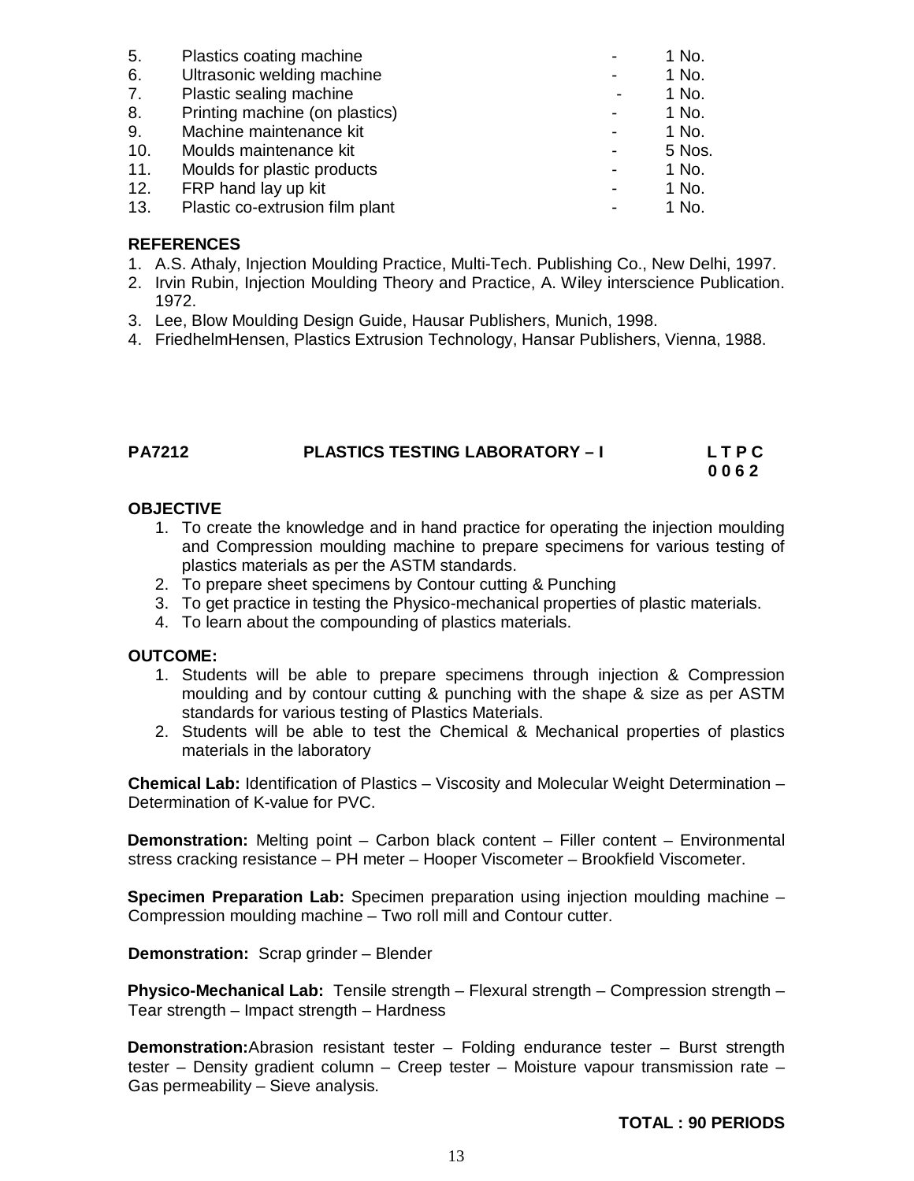| Plastics coating machine        |                          | 1 No.  |
|---------------------------------|--------------------------|--------|
| Ultrasonic welding machine      |                          | 1 No.  |
| Plastic sealing machine         |                          | 1 No.  |
| Printing machine (on plastics)  |                          | 1 No.  |
| Machine maintenance kit         |                          | 1 No.  |
| Moulds maintenance kit          | $\overline{\phantom{a}}$ | 5 Nos. |
| Moulds for plastic products     | $\blacksquare$           | 1 No.  |
| FRP hand lay up kit             |                          | 1 No.  |
| Plastic co-extrusion film plant |                          | 1 No.  |
|                                 |                          |        |

#### **REFERENCES**

- 1. A.S. Athaly, Injection Moulding Practice, Multi-Tech. Publishing Co., New Delhi, 1997.
- 2. Irvin Rubin, Injection Moulding Theory and Practice, A. Wiley interscience Publication. 1972.
- 3. Lee, Blow Moulding Design Guide, Hausar Publishers, Munich, 1998.
- 4. FriedhelmHensen, Plastics Extrusion Technology, Hansar Publishers, Vienna, 1988.

| <b>PA7212</b> | <b>PLASTICS TESTING LABORATORY - I</b> | <b>LTPC</b> |
|---------------|----------------------------------------|-------------|
|               |                                        | 0062        |

#### **OBJECTIVE**

- 1. To create the knowledge and in hand practice for operating the injection moulding and Compression moulding machine to prepare specimens for various testing of plastics materials as per the ASTM standards.
- 2. To prepare sheet specimens by Contour cutting & Punching
- 3. To get practice in testing the Physico-mechanical properties of plastic materials.
- 4. To learn about the compounding of plastics materials.

#### **OUTCOME:**

- 1. Students will be able to prepare specimens through injection & Compression moulding and by contour cutting & punching with the shape & size as per ASTM standards for various testing of Plastics Materials.
- 2. Students will be able to test the Chemical & Mechanical properties of plastics materials in the laboratory

**Chemical Lab:** Identification of Plastics – Viscosity and Molecular Weight Determination – Determination of K-value for PVC.

**Demonstration:** Melting point – Carbon black content – Filler content – Environmental stress cracking resistance – PH meter – Hooper Viscometer – Brookfield Viscometer.

**Specimen Preparation Lab:** Specimen preparation using injection moulding machine – Compression moulding machine – Two roll mill and Contour cutter.

**Demonstration:** Scrap grinder – Blender

**Physico-Mechanical Lab:** Tensile strength – Flexural strength – Compression strength – Tear strength – Impact strength – Hardness

**Demonstration:**Abrasion resistant tester – Folding endurance tester – Burst strength tester – Density gradient column – Creep tester – Moisture vapour transmission rate – Gas permeability – Sieve analysis.

#### **TOTAL : 90 PERIODS**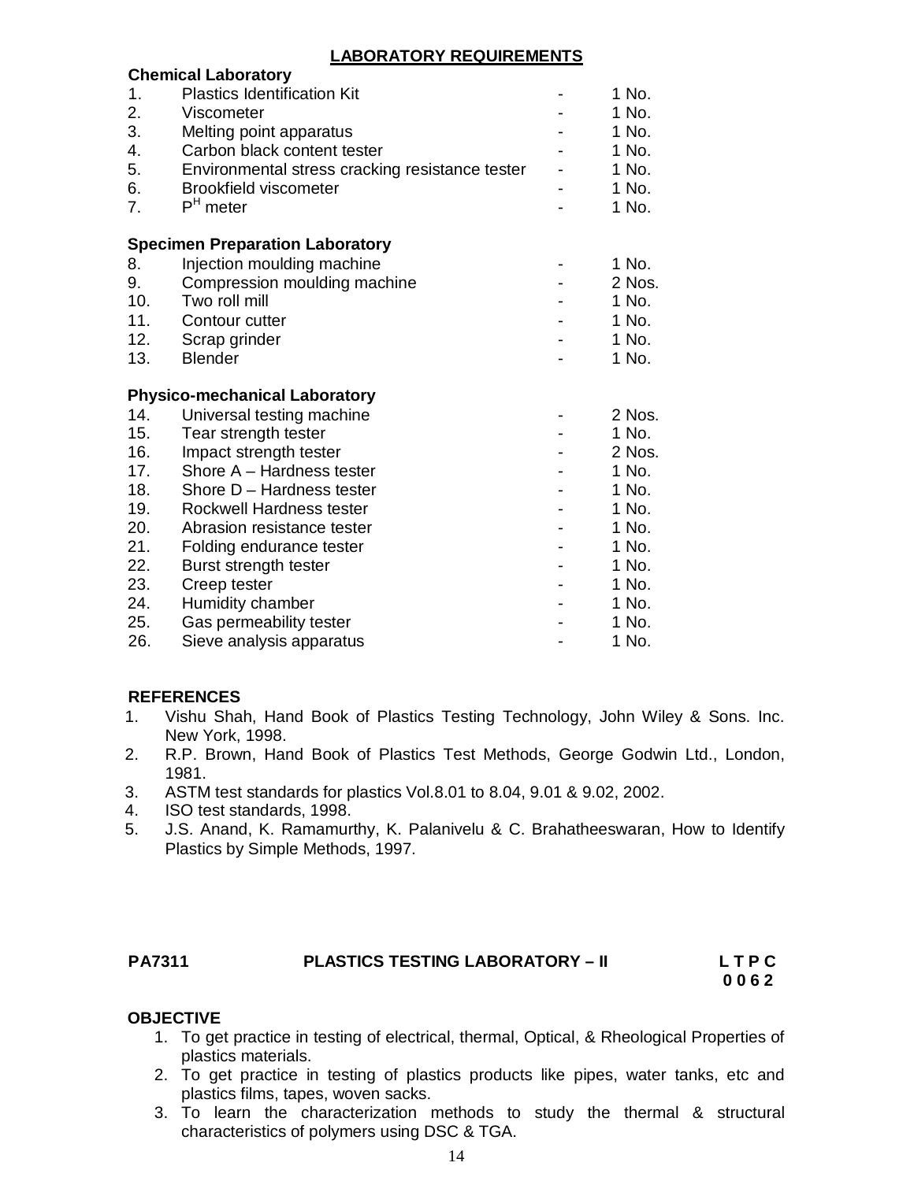# **LABORATORY REQUIREMENTS**

|     | <b>Chemical Laboratory</b>                      |        |
|-----|-------------------------------------------------|--------|
| 1.  | <b>Plastics Identification Kit</b>              | 1 No.  |
| 2.  | Viscometer                                      | 1 No.  |
| 3.  | Melting point apparatus                         | 1 No.  |
| 4.  | Carbon black content tester                     | 1 No.  |
| 5.  | Environmental stress cracking resistance tester | 1 No.  |
| 6.  | <b>Brookfield viscometer</b>                    | 1 No.  |
| 7.  | $PH$ meter                                      | 1 No.  |
|     | <b>Specimen Preparation Laboratory</b>          |        |
| 8.  | Injection moulding machine                      | 1 No.  |
| 9.  | Compression moulding machine                    | 2 Nos. |
| 10. | Two roll mill                                   | 1 No.  |
| 11. | Contour cutter                                  | 1 No.  |
| 12. | Scrap grinder                                   | 1 No.  |
| 13. | <b>Blender</b>                                  | 1 No.  |
|     | <b>Physico-mechanical Laboratory</b>            |        |
| 14. | Universal testing machine                       | 2 Nos. |
| 15. | Tear strength tester                            | 1 No.  |
| 16. | Impact strength tester                          | 2 Nos. |
| 17. | Shore A - Hardness tester                       | 1 No.  |
| 18. | Shore D - Hardness tester                       | 1 No.  |
| 19. | Rockwell Hardness tester                        | 1 No.  |
| 20. | Abrasion resistance tester                      | 1 No.  |
| 21. | Folding endurance tester                        | 1 No.  |
| 22. | Burst strength tester                           | 1 No.  |
| 23. | Creep tester                                    | 1 No.  |
| 24. | Humidity chamber                                | 1 No.  |
| 25. | Gas permeability tester                         | 1 No.  |
| 26. | Sieve analysis apparatus                        | 1 No.  |

#### **REFERENCES**

- 1. Vishu Shah, Hand Book of Plastics Testing Technology, John Wiley & Sons. Inc. New York, 1998.
- 2. R.P. Brown, Hand Book of Plastics Test Methods, George Godwin Ltd., London, 1981.
- 3. ASTM test standards for plastics Vol.8.01 to 8.04, 9.01 & 9.02, 2002.
- 4. ISO test standards, 1998.
- 5. J.S. Anand, K. Ramamurthy, K. Palanivelu & C. Brahatheeswaran, How to Identify Plastics by Simple Methods, 1997.

# **PA7311 PLASTICS TESTING LABORATORY – II LETP C**

# **0 0 6 2**

# **OBJECTIVE**

- 1. To get practice in testing of electrical, thermal, Optical, & Rheological Properties of plastics materials.
- 2. To get practice in testing of plastics products like pipes, water tanks, etc and plastics films, tapes, woven sacks.
- 3. To learn the characterization methods to study the thermal & structural characteristics of polymers using DSC & TGA.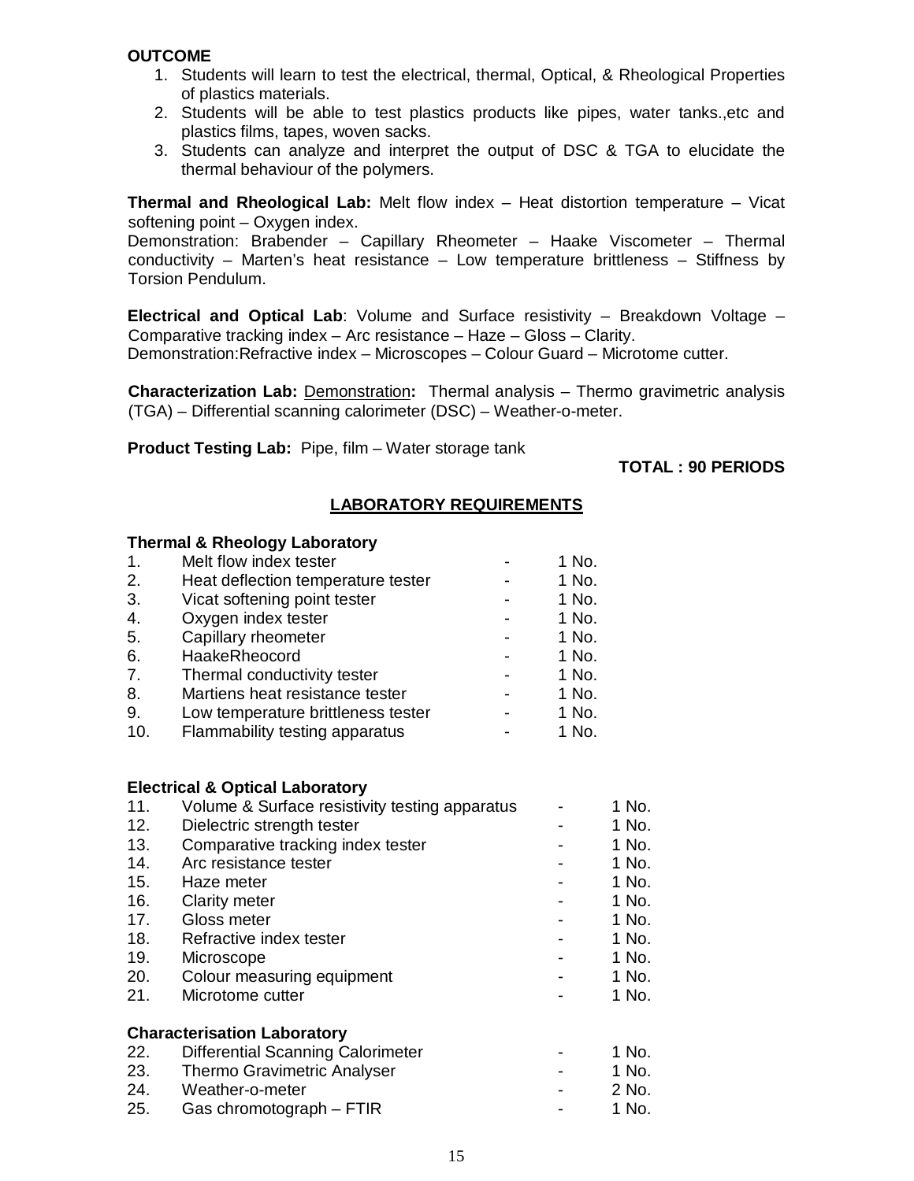#### **OUTCOME**

- 1. Students will learn to test the electrical, thermal, Optical, & Rheological Properties of plastics materials.
- 2. Students will be able to test plastics products like pipes, water tanks.,etc and plastics films, tapes, woven sacks.
- 3. Students can analyze and interpret the output of DSC & TGA to elucidate the thermal behaviour of the polymers.

**Thermal and Rheological Lab:** Melt flow index – Heat distortion temperature – Vicat softening point – Oxygen index.

Demonstration: Brabender – Capillary Rheometer – Haake Viscometer – Thermal conductivity – Marten's heat resistance – Low temperature brittleness – Stiffness by Torsion Pendulum.

**Electrical and Optical Lab**: Volume and Surface resistivity – Breakdown Voltage – Comparative tracking index – Arc resistance – Haze – Gloss – Clarity. Demonstration:Refractive index – Microscopes – Colour Guard – Microtome cutter.

**Characterization Lab:** Demonstration**:** Thermal analysis – Thermo gravimetric analysis (TGA) – Differential scanning calorimeter (DSC) – Weather-o-meter.

**Product Testing Lab:** Pipe, film – Water storage tank

**TOTAL : 90 PERIODS**

# **LABORATORY REQUIREMENTS**

#### **Thermal & Rheology Laboratory**

| $\mathbf{1}$ . | Melt flow index tester             | 1 No. |
|----------------|------------------------------------|-------|
| 2.             | Heat deflection temperature tester | 1 No. |
| 3.             | Vicat softening point tester       | 1 No. |
| 4.             | Oxygen index tester                | 1 No. |
| 5.             | Capillary rheometer                | 1 No. |
| 6.             | HaakeRheocord                      | 1 No. |
| 7.             | Thermal conductivity tester        | 1 No. |
| 8.             | Martiens heat resistance tester    | 1 No. |
| 9.             | Low temperature brittleness tester | 1 No. |
| 10.            | Flammability testing apparatus     | 1 No. |
|                |                                    |       |

#### **Electrical & Optical Laboratory**

| 11.        | Volume & Surface resistivity testing apparatus | 1 No. |
|------------|------------------------------------------------|-------|
| 12.        | Dielectric strength tester                     | 1 No. |
| 13.        | Comparative tracking index tester              | 1 No. |
| 14.        | Arc resistance tester                          | 1 No. |
| 15.        | Haze meter                                     | 1 No. |
| 16.        | <b>Clarity meter</b>                           | 1 No. |
| 17.        | Gloss meter                                    | 1 No. |
| 18.        | Refractive index tester                        | 1 No. |
| 19.        | Microscope                                     | 1 No. |
| <b>20.</b> | Colour measuring equipment                     | 1 No. |
| 21.        | Microtome cutter                               | 1 No. |
|            | <b>Characterisation Laboratory</b>             |       |
| 22.        | <b>Differential Scanning Calorimeter</b>       | 1 No. |
| 23.        | <b>Thermo Gravimetric Analyser</b>             | 1 No. |
| 24.        | Weather-o-meter                                | 2 No. |
| 25.        | Gas chromotograph – FTIR                       | 1 No. |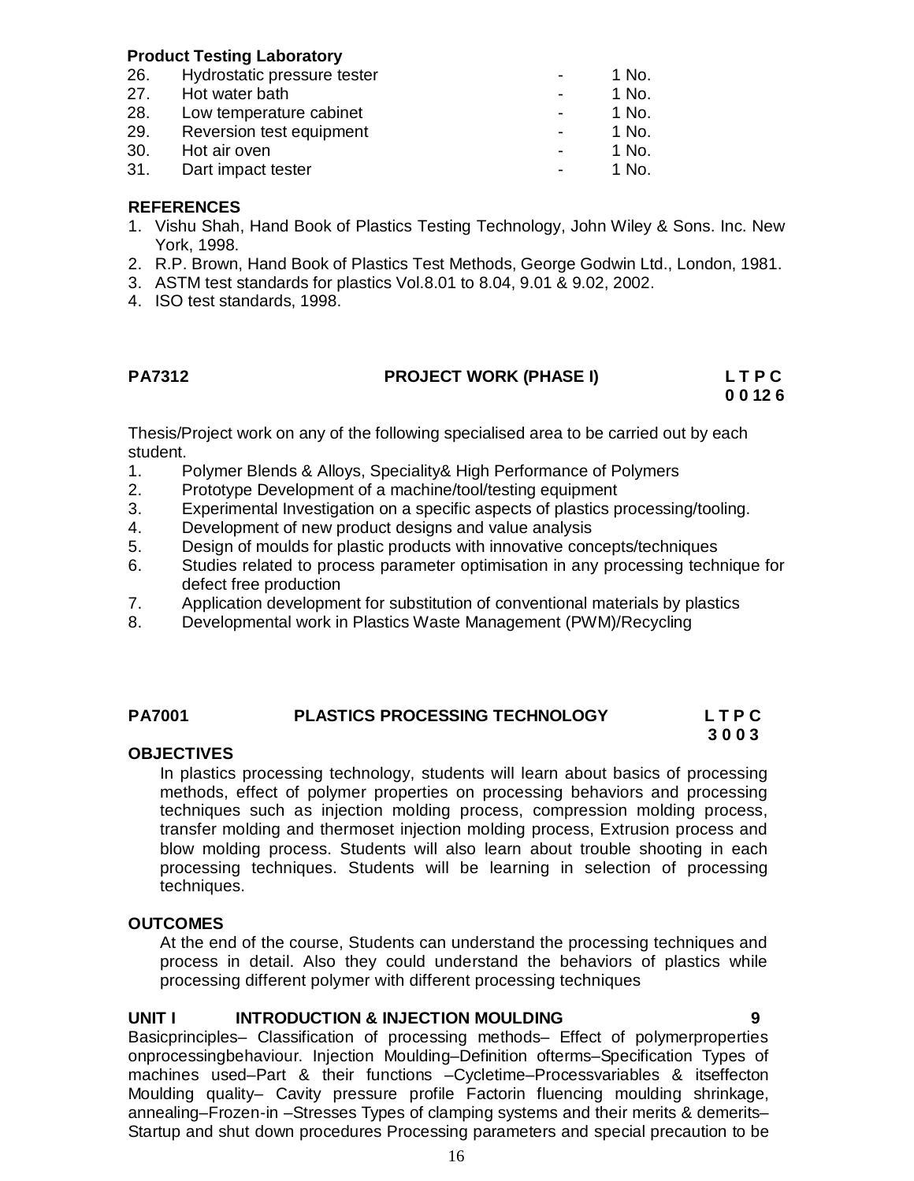#### **Product Testing Laboratory**

| 26. | Hydrostatic pressure tester | 1 No. |
|-----|-----------------------------|-------|
| 27. | Hot water bath              | 1 No. |
| 28. | Low temperature cabinet     | 1 No. |
| 29. | Reversion test equipment    | 1 No. |
| 30. | Hot air oven                | 1 No. |
| 31. | Dart impact tester          | 1 No. |
|     |                             |       |

#### **REFERENCES**

- 1. Vishu Shah, Hand Book of Plastics Testing Technology, John Wiley & Sons. Inc. New York, 1998.
- 2. R.P. Brown, Hand Book of Plastics Test Methods, George Godwin Ltd., London, 1981.
- 3. ASTM test standards for plastics Vol.8.01 to 8.04, 9.01 & 9.02, 2002.
- 4. ISO test standards, 1998.

#### **PA7312****PROJECT WORK (PHASE I) L T P C**

 **0 0 12 6**

Thesis/Project work on any of the following specialised area to be carried out by each student.

- 1. Polymer Blends & Alloys, Speciality& High Performance of Polymers
- 2. Prototype Development of a machine/tool/testing equipment
- 3. Experimental Investigation on a specific aspects of plastics processing/tooling.
- 4. Development of new product designs and value analysis
- 5. Design of moulds for plastic products with innovative concepts/techniques
- 6. Studies related to process parameter optimisation in any processing technique for defect free production
- 7. Application development for substitution of conventional materials by plastics
- 8. Developmental work in Plastics Waste Management (PWM)/Recycling

#### **PA7001 PLASTICS PROCESSING TECHNOLOGY L T P C 3 0 0 3**

#### **OBJECTIVES**

In plastics processing technology, students will learn about basics of processing methods, effect of polymer properties on processing behaviors and processing techniques such as injection molding process, compression molding process, transfer molding and thermoset injection molding process, Extrusion process and blow molding process. Students will also learn about trouble shooting in each processing techniques. Students will be learning in selection of processing techniques.

#### **OUTCOMES**

At the end of the course, Students can understand the processing techniques and process in detail. Also they could understand the behaviors of plastics while processing different polymer with different processing techniques

#### **UNIT I INTRODUCTION & INJECTION MOULDING 9**

Basicprinciples– Classification of processing methods– Effect of polymerproperties onprocessingbehaviour. Injection Moulding–Definition ofterms–Specification Types of machines used–Part & their functions –Cycletime–Processvariables & itseffecton Moulding quality– Cavity pressure profile Factorin fluencing moulding shrinkage, annealing–Frozen-in –Stresses Types of clamping systems and their merits & demerits– Startup and shut down procedures Processing parameters and special precaution to be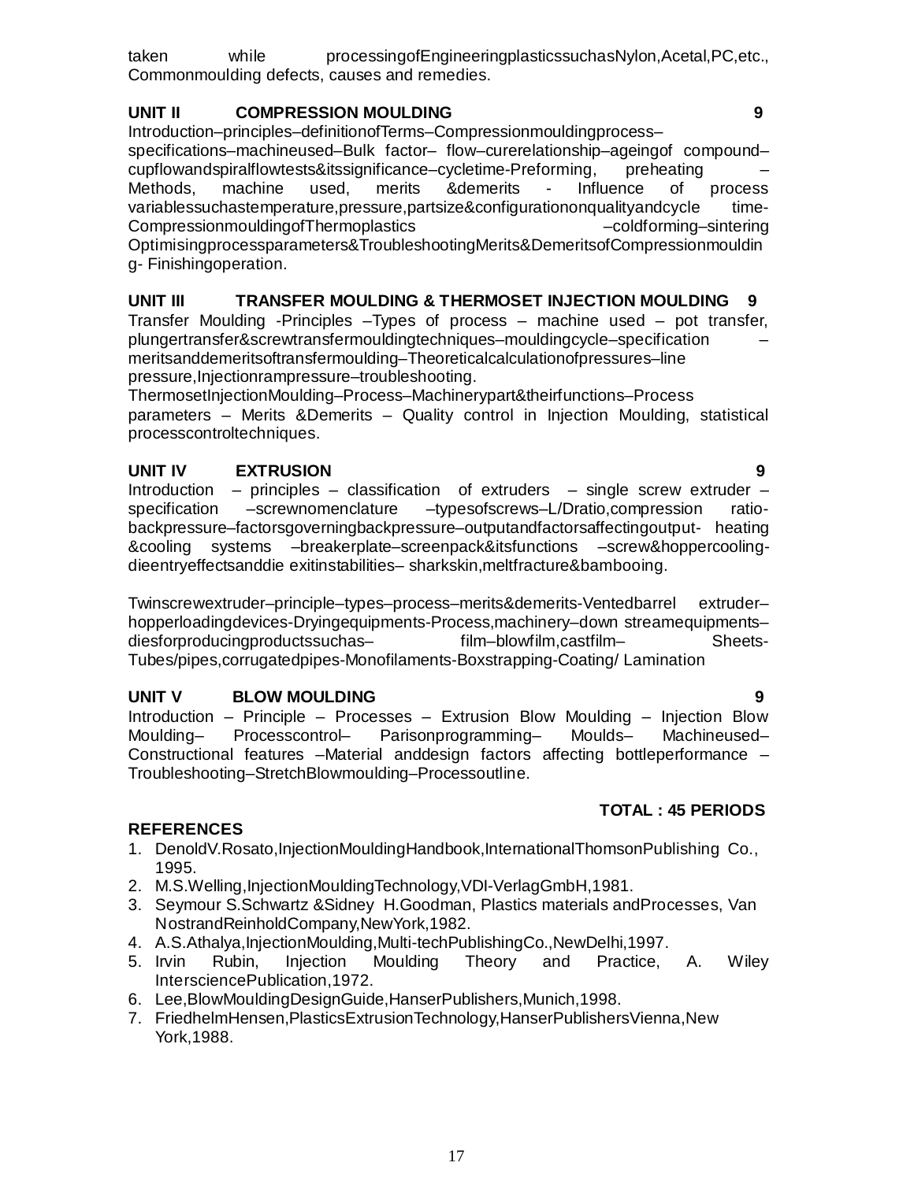taken while processingofEngineeringplasticssuchasNylon,Acetal,PC,etc., Commonmoulding defects, causes and remedies.

# **UNIT II COMPRESSION MOULDING 9**

Introduction–principles–definitionofTerms–Compressionmouldingprocess– specifications–machineused–Bulk factor– flow–curerelationship–ageingof compound– cupflowandspiralflowtests&itssignificance–cycletime-Preforming, preheating – Methods, machine used, merits &demerits - Influence of process variablessuchastemperature,pressure,partsize&configurationonqualityandcycle time-CompressionmouldingofThermoplastics –coldforming–sintering Optimisingprocessparameters&TroubleshootingMerits&DemeritsofCompressionmouldin

g- Finishingoperation.

# **UNIT III TRANSFER MOULDING & THERMOSET INJECTION MOULDING 9**

Transfer Moulding -Principles –Types of process – machine used – pot transfer, plungertransfer&screwtransfermouldingtechniques–mouldingcycle–specification – meritsanddemeritsoftransfermoulding–Theoreticalcalculationofpressures–line pressure,Injectionrampressure–troubleshooting.

ThermosetInjectionMoulding–Process–Machinerypart&theirfunctions–Process parameters – Merits &Demerits – Quality control in Injection Moulding, statistical processcontroltechniques.

# **UNIT IV EXTRUSION 9**

Introduction – principles – classification of extruders – single screw extruder – specification –screwnomenclature –typesofscrews–L/Dratio,compression ratiobackpressure–factorsgoverningbackpressure–outputandfactorsaffectingoutput- heating &cooling systems –breakerplate–screenpack&itsfunctions –screw&hoppercoolingdieentryeffectsanddie exitinstabilities– sharkskin,meltfracture&bambooing.

Twinscrewextruder–principle–types–process–merits&demerits-Ventedbarrel extruder– hopperloadingdevices-Dryingequipments-Process,machinery–down streamequipments– diesforproducingproductssuchas– film–blowfilm,castfilm– Sheets-Tubes/pipes,corrugatedpipes-Monofilaments-Boxstrapping-Coating/ Lamination

# **UNIT V BLOW MOULDING 9**

Introduction – Principle – Processes – Extrusion Blow Moulding – Injection Blow Moulding– Processcontrol– Parisonprogramming– Moulds– Machineused– Constructional features –Material anddesign factors affecting bottleperformance – Troubleshooting–StretchBlowmoulding–Processoutline.

#### **REFERENCES**

- 1. DenoldV.Rosato,InjectionMouldingHandbook,InternationalThomsonPublishing Co., 1995.
- 2. M.S.Welling,InjectionMouldingTechnology,VDI-VerlagGmbH,1981.
- 3. Seymour S.Schwartz &Sidney H.Goodman, Plastics materials andProcesses, Van NostrandReinholdCompany,NewYork,1982.
- 4. A.S.Athalya,InjectionMoulding,Multi-techPublishingCo.,NewDelhi,1997.
- 5. Irvin Rubin, Injection Moulding Theory and Practice, A. Wiley IntersciencePublication,1972.
- 6. Lee,BlowMouldingDesignGuide,HanserPublishers,Munich,1998.
- 7. FriedhelmHensen,PlasticsExtrusionTechnology,HanserPublishersVienna,New York,1988.

#### **TOTAL : 45 PERIODS**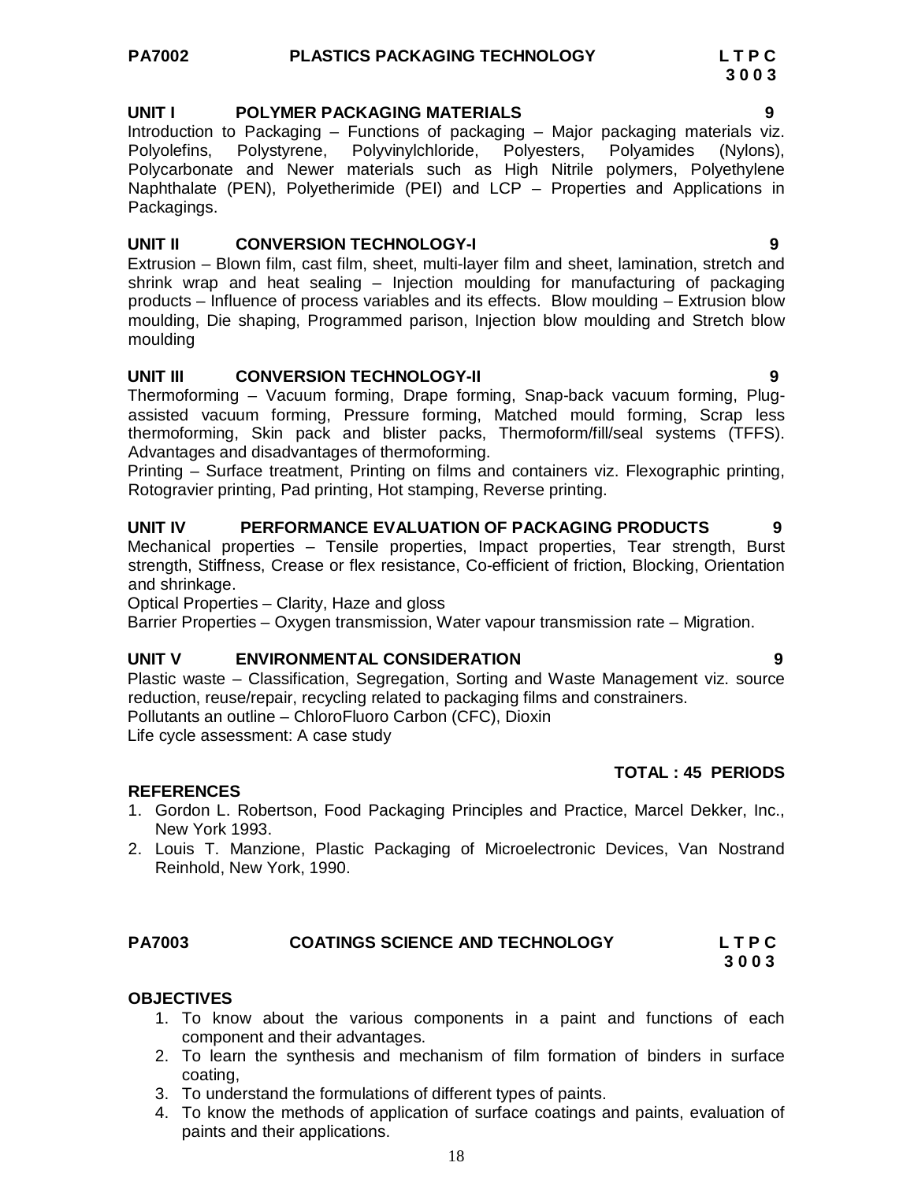# **3 0 0 3**

**UNIT I POLYMER PACKAGING MATERIALS 9**

Introduction to Packaging – Functions of packaging – Major packaging materials viz. Polyolefins, Polystyrene, Polyvinylchloride, Polyesters, Polyamides (Nylons), Polycarbonate and Newer materials such as High Nitrile polymers, Polyethylene Naphthalate (PEN), Polyetherimide (PEI) and LCP – Properties and Applications in Packagings.

# **UNIT II CONVERSION TECHNOLOGY-I 9**

Extrusion – Blown film, cast film, sheet, multi-layer film and sheet, lamination, stretch and shrink wrap and heat sealing – Injection moulding for manufacturing of packaging products – Influence of process variables and its effects. Blow moulding – Extrusion blow moulding, Die shaping, Programmed parison, Injection blow moulding and Stretch blow moulding

# **UNIT III CONVERSION TECHNOLOGY-II 9**

Thermoforming – Vacuum forming, Drape forming, Snap-back vacuum forming, Plugassisted vacuum forming, Pressure forming, Matched mould forming, Scrap less thermoforming, Skin pack and blister packs, Thermoform/fill/seal systems (TFFS). Advantages and disadvantages of thermoforming.

Printing – Surface treatment, Printing on films and containers viz. Flexographic printing, Rotogravier printing, Pad printing, Hot stamping, Reverse printing.

# **UNIT IV PERFORMANCE EVALUATION OF PACKAGING PRODUCTS 9**

Mechanical properties – Tensile properties, Impact properties, Tear strength, Burst strength, Stiffness, Crease or flex resistance, Co-efficient of friction, Blocking, Orientation and shrinkage.

Optical Properties – Clarity, Haze and gloss

Barrier Properties – Oxygen transmission, Water vapour transmission rate – Migration.

#### **UNIT V ENVIRONMENTAL CONSIDERATION 9**

Plastic waste – Classification, Segregation, Sorting and Waste Management viz. source reduction, reuse/repair, recycling related to packaging films and constrainers. Pollutants an outline – ChloroFluoro Carbon (CFC), Dioxin

Life cycle assessment: A case study

# **TOTAL : 45 PERIODS**

#### **REFERENCES**

- 1. Gordon L. Robertson, Food Packaging Principles and Practice, Marcel Dekker, Inc., New York 1993.
- 2. Louis T. Manzione, Plastic Packaging of Microelectronic Devices, Van Nostrand Reinhold, New York, 1990.

#### **PA7003 COATINGS SCIENCE AND TECHNOLOGY L T P C 3 0 0 3**

# **OBJECTIVES**

- 1. To know about the various components in a paint and functions of each component and their advantages.
- 2. To learn the synthesis and mechanism of film formation of binders in surface coating,
- 3. To understand the formulations of different types of paints.
- 4. To know the methods of application of surface coatings and paints, evaluation of paints and their applications.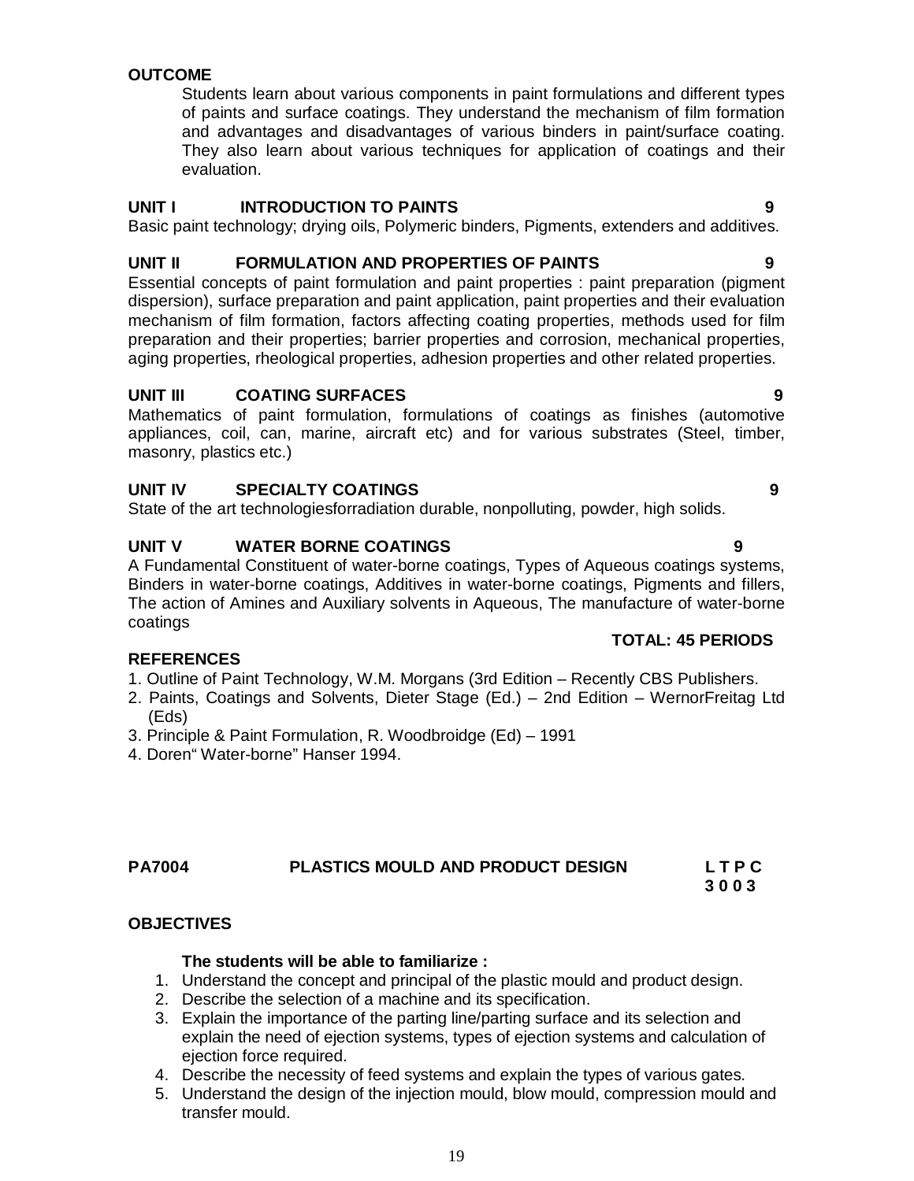# **OUTCOME**

Students learn about various components in paint formulations and different types of paints and surface coatings. They understand the mechanism of film formation and advantages and disadvantages of various binders in paint/surface coating. They also learn about various techniques for application of coatings and their evaluation.

#### **UNIT I INTRODUCTION TO PAINTS 9**

Basic paint technology; drying oils, Polymeric binders, Pigments, extenders and additives.

# **UNIT II FORMULATION AND PROPERTIES OF PAINTS 9**

Essential concepts of paint formulation and paint properties : paint preparation (pigment dispersion), surface preparation and paint application, paint properties and their evaluation mechanism of film formation, factors affecting coating properties, methods used for film preparation and their properties; barrier properties and corrosion, mechanical properties, aging properties, rheological properties, adhesion properties and other related properties.

# **UNIT III COATING SURFACES 9**

Mathematics of paint formulation, formulations of coatings as finishes (automotive appliances, coil, can, marine, aircraft etc) and for various substrates (Steel, timber, masonry, plastics etc.)

# **UNIT IV SPECIALTY COATINGS 9**

State of the art technologiesforradiation durable, nonpolluting, powder, high solids.

# **UNIT V WATER BORNE COATINGS 9**

A Fundamental Constituent of water-borne coatings, Types of Aqueous coatings systems, Binders in water-borne coatings, Additives in water-borne coatings, Pigments and fillers, The action of Amines and Auxiliary solvents in Aqueous, The manufacture of water-borne coatings

#### **REFERENCES**

- 1. Outline of Paint Technology, W.M. Morgans (3rd Edition Recently CBS Publishers.
- 2. Paints, Coatings and Solvents, Dieter Stage (Ed.) 2nd Edition WernorFreitag Ltd (Eds)
- 3. Principle & Paint Formulation, R. Woodbroidge (Ed) 1991
- 4. Doren" Water-borne" Hanser 1994.

#### **PA7004 PLASTICS MOULD AND PRODUCT DESIGN L T P C 3 0 0 3**

# **OBJECTIVES**

#### **The students will be able to familiarize :**

- 1. Understand the concept and principal of the plastic mould and product design.
- 2. Describe the selection of a machine and its specification.
- 3. Explain the importance of the parting line/parting surface and its selection and explain the need of ejection systems, types of ejection systems and calculation of ejection force required.
- 4. Describe the necessity of feed systems and explain the types of various gates.
- 5. Understand the design of the injection mould, blow mould, compression mould and transfer mould.

#### **TOTAL: 45 PERIODS**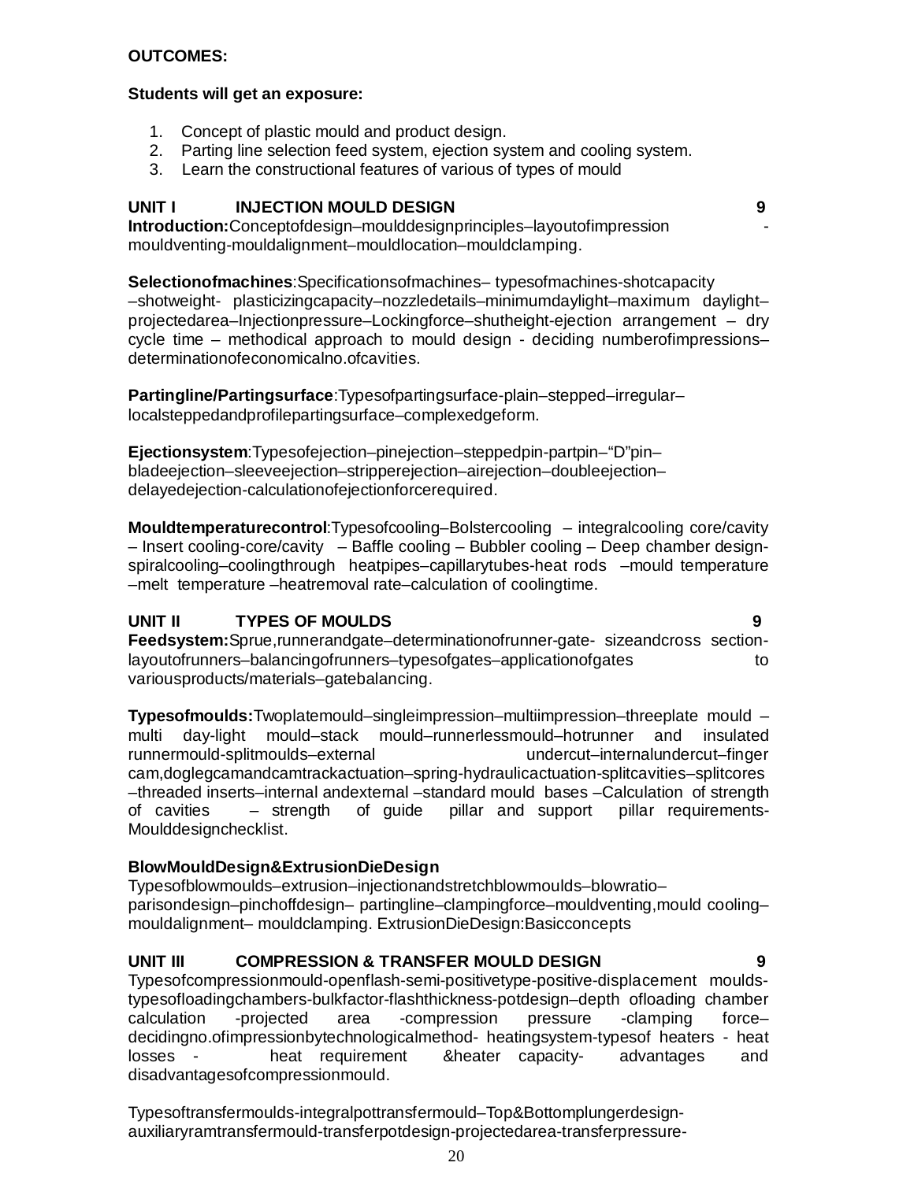#### **OUTCOMES:**

#### **Students will get an exposure:**

- 1. Concept of plastic mould and product design.
- 2. Parting line selection feed system, ejection system and cooling system.
- 3. Learn the constructional features of various of types of mould

#### **UNIT I INJECTION MOULD DESIGN 9**

**Introduction:**Conceptofdesign–moulddesignprinciples–layoutofimpression mouldventing-mouldalignment–mouldlocation–mouldclamping.

**Selectionofmachines**:Specificationsofmachines– typesofmachines-shotcapacity –shotweight- plasticizingcapacity–nozzledetails–minimumdaylight–maximum daylight– projectedarea–Injectionpressure–Lockingforce–shutheight-ejection arrangement – dry cycle time – methodical approach to mould design - deciding numberofimpressions– determinationofeconomicalno.ofcavities.

**Partingline/Partingsurface**:Typesofpartingsurface-plain–stepped–irregular– localsteppedandprofilepartingsurface–complexedgeform.

**Ejectionsystem**:Typesofejection–pinejection–steppedpin-partpin–"D"pin– bladeejection–sleeveejection–stripperejection–airejection–doubleejection– delayedejection-calculationofejectionforcerequired.

**Mouldtemperaturecontrol**:Typesofcooling–Bolstercooling – integralcooling core/cavity – Insert cooling-core/cavity – Baffle cooling – Bubbler cooling – Deep chamber designspiralcooling–coolingthrough heatpipes–capillarytubes-heat rods –mould temperature –melt temperature –heatremoval rate–calculation of coolingtime.

#### **UNIT II TYPES OF MOULDS 9**

**Feedsystem:**Sprue,runnerandgate–determinationofrunner-gate- sizeandcross sectionlayoutofrunners–balancingofrunners–typesofgates–applicationofgates to variousproducts/materials–gatebalancing.

**Typesofmoulds:**Twoplatemould–singleimpression–multiimpression–threeplate mould – multi day-light mould–stack mould–runnerlessmould–hotrunner and insulated runnermould-splitmoulds–external cam,doglegcamandcamtrackactuation–spring-hydraulicactuation-splitcavities–splitcores –threaded inserts–internal andexternal –standard mould bases –Calculation of strength of cavities – strength of guide pillar and support pillar requirements-Moulddesignchecklist.

#### **BlowMouldDesign&ExtrusionDieDesign**

Typesofblowmoulds–extrusion–injectionandstretchblowmoulds–blowratio– parisondesign–pinchoffdesign– partingline–clampingforce–mouldventing,mould cooling– mouldalignment– mouldclamping. ExtrusionDieDesign:Basicconcepts

# **UNIT III COMPRESSION & TRANSFER MOULD DESIGN 9**

Typesofcompressionmould-openflash-semi-positivetype-positive-displacement mouldstypesofloadingchambers-bulkfactor-flashthickness-potdesign–depth ofloading chamber calculation -projected area -compression pressure -clamping force– decidingno.ofimpressionbytechnologicalmethod- heatingsystem-typesof heaters - heat losses - heat requirement &heater capacity- advantages and disadvantagesofcompressionmould.

Typesoftransfermoulds-integralpottransfermould–Top&Bottomplungerdesignauxiliaryramtransfermould-transferpotdesign-projectedarea-transferpressure-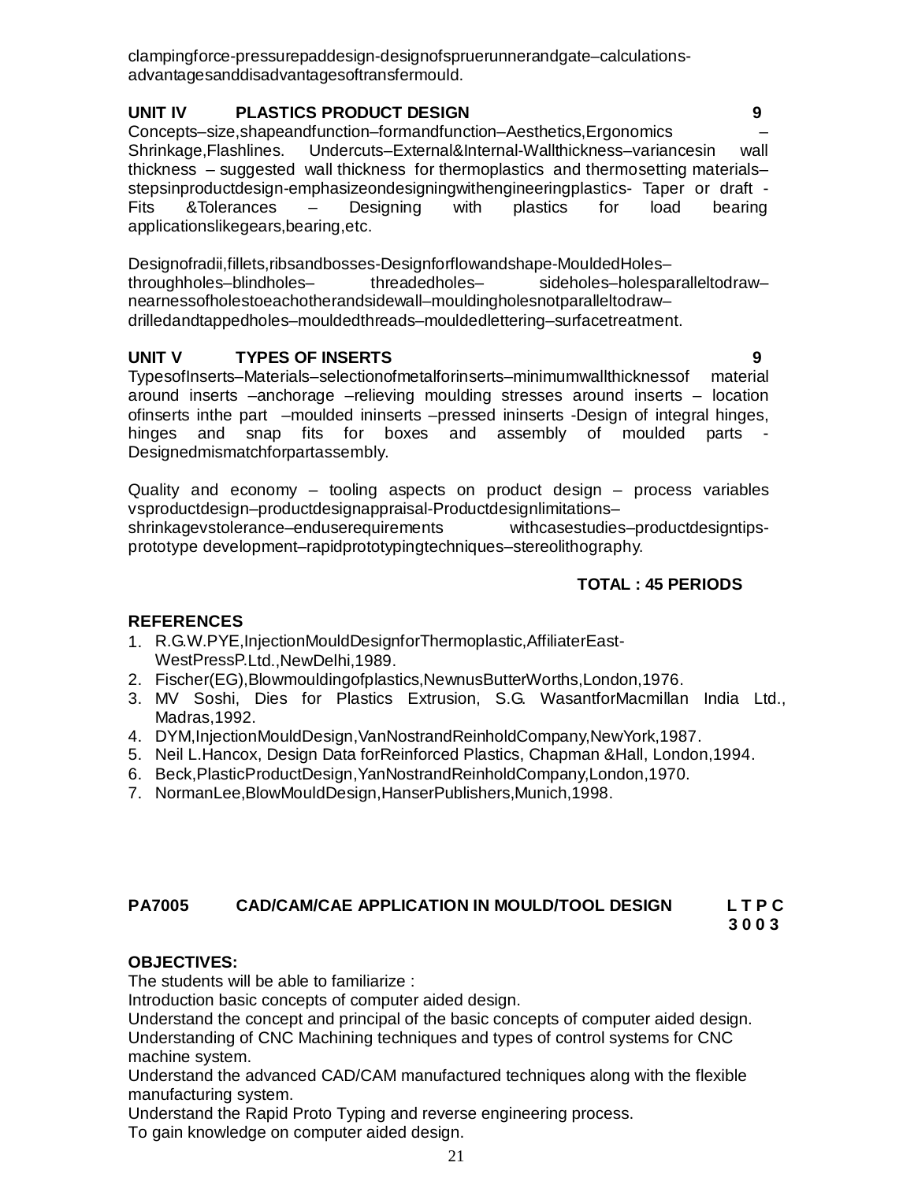clampingforce-pressurepaddesign-designofspruerunnerandgate–calculationsadvantagesanddisadvantagesoftransfermould.

# **UNIT IV PLASTICS PRODUCT DESIGN 9**

Concepts–size,shapeandfunction–formandfunction–Aesthetics,Ergonomics – Shrinkage,Flashlines. Undercuts–External&Internal-Wallthickness–variancesin wall thickness – suggested wall thickness for thermoplastics and thermosetting materials– stepsinproductdesign-emphasizeondesigningwithengineeringplastics- Taper or draft - Fits &Tolerances – Designing with plastics for load bearing applicationslikegears,bearing,etc.

Designofradii,fillets,ribsandbosses-Designforflowandshape-MouldedHoles– throughholes–blindholes– threadedholes– sideholes–holesparalleltodraw– nearnessofholestoeachotherandsidewall–mouldingholesnotparalleltodraw– drilledandtappedholes–mouldedthreads–mouldedlettering–surfacetreatment.

# **UNIT V TYPES OF INSERTS 9**

TypesofInserts–Materials–selectionofmetalforinserts–minimumwallthicknessof material around inserts –anchorage –relieving moulding stresses around inserts – location ofinserts inthe part –moulded ininserts –pressed ininserts -Design of integral hinges, hinges and snap fits for boxes and assembly of moulded parts - Designedmismatchforpartassembly.

Quality and economy – tooling aspects on product design – process variables vsproductdesign–productdesignappraisal-Productdesignlimitations– shrinkagevstolerance–enduserequirements withcasestudies–productdesigntipsprototype development–rapidprototypingtechniques–stereolithography.

# **TOTAL : 45 PERIODS**

# **REFERENCES**

- 1. R.G.W.PYE,InjectionMouldDesignforThermoplastic,AffiliaterEast-WestPressP.Ltd.,NewDelhi,1989.
- 2. Fischer(EG),Blowmouldingofplastics,NewnusButterWorths,London,1976.
- 3. MV Soshi, Dies for Plastics Extrusion, S.G. WasantforMacmillan India Ltd., Madras,1992.
- 4. DYM,InjectionMouldDesign,VanNostrandReinholdCompany,NewYork,1987.
- 5. Neil L.Hancox, Design Data forReinforced Plastics, Chapman &Hall, London,1994.
- 6. Beck,PlasticProductDesign,YanNostrandReinholdCompany,London,1970.
- 7. NormanLee,BlowMouldDesign,HanserPublishers,Munich,1998.

# **PA7005 CAD/CAM/CAE APPLICATION IN MOULD/TOOL DESIGN L T P C**

 **3 0 0 3**

# **OBJECTIVES:**

The students will be able to familiarize :

Introduction basic concepts of computer aided design.

Understand the concept and principal of the basic concepts of computer aided design. Understanding of CNC Machining techniques and types of control systems for CNC machine system.

Understand the advanced CAD/CAM manufactured techniques along with the flexible manufacturing system.

Understand the Rapid Proto Typing and reverse engineering process.

To gain knowledge on computer aided design.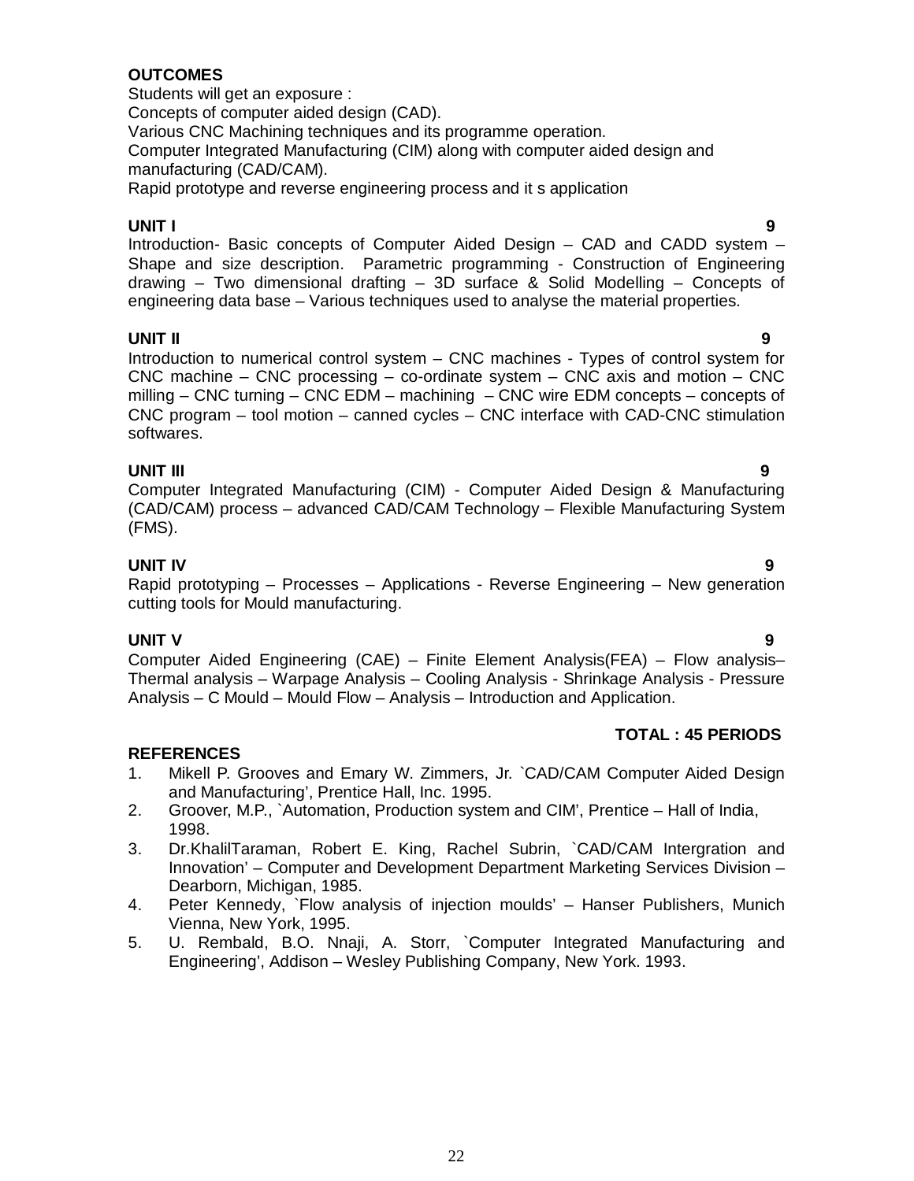# **OUTCOMES**

Students will get an exposure : Concepts of computer aided design (CAD). Various CNC Machining techniques and its programme operation. Computer Integrated Manufacturing (CIM) along with computer aided design and manufacturing (CAD/CAM). Rapid prototype and reverse engineering process and it s application

#### **UNIT I 9**

Introduction*-* Basic concepts of Computer Aided Design – CAD and CADD system – Shape and size description. Parametric programming - Construction of Engineering drawing – Two dimensional drafting – 3D surface & Solid Modelling – Concepts of engineering data base – Various techniques used to analyse the material properties.

# **UNIT II 9**

Introduction to numerical control system – CNC machines - Types of control system for CNC machine – CNC processing – co-ordinate system – CNC axis and motion – CNC milling – CNC turning – CNC EDM – machining – CNC wire EDM concepts – concepts of CNC program – tool motion – canned cycles – CNC interface with CAD-CNC stimulation softwares.

**UNIT III 9** Computer Integrated Manufacturing (CIM) - Computer Aided Design & Manufacturing (CAD/CAM) process – advanced CAD/CAM Technology – Flexible Manufacturing System (FMS).

# **UNIT IV 9**

Rapid prototyping – Processes – Applications - Reverse Engineering – New generation cutting tools for Mould manufacturing.

# **UNIT V 9**

Computer Aided Engineering (CAE) – Finite Element Analysis(FEA) – Flow analysis– Thermal analysis – Warpage Analysis – Cooling Analysis - Shrinkage Analysis - Pressure Analysis – C Mould – Mould Flow – Analysis – Introduction and Application.

# **TOTAL : 45 PERIODS**

- 1. Mikell P. Grooves and Emary W. Zimmers, Jr. `CAD/CAM Computer Aided Design and Manufacturing', Prentice Hall, Inc. 1995.
- 2. Groover, M.P., `Automation, Production system and CIM', Prentice Hall of India, 1998.
- 3. Dr.KhalilTaraman, Robert E. King, Rachel Subrin, `CAD/CAM Intergration and Innovation' – Computer and Development Department Marketing Services Division – Dearborn, Michigan, 1985.
- 4. Peter Kennedy, `Flow analysis of injection moulds' Hanser Publishers, Munich Vienna, New York, 1995.
- 5. U. Rembald, B.O. Nnaji, A. Storr, `Computer Integrated Manufacturing and Engineering', Addison – Wesley Publishing Company, New York. 1993.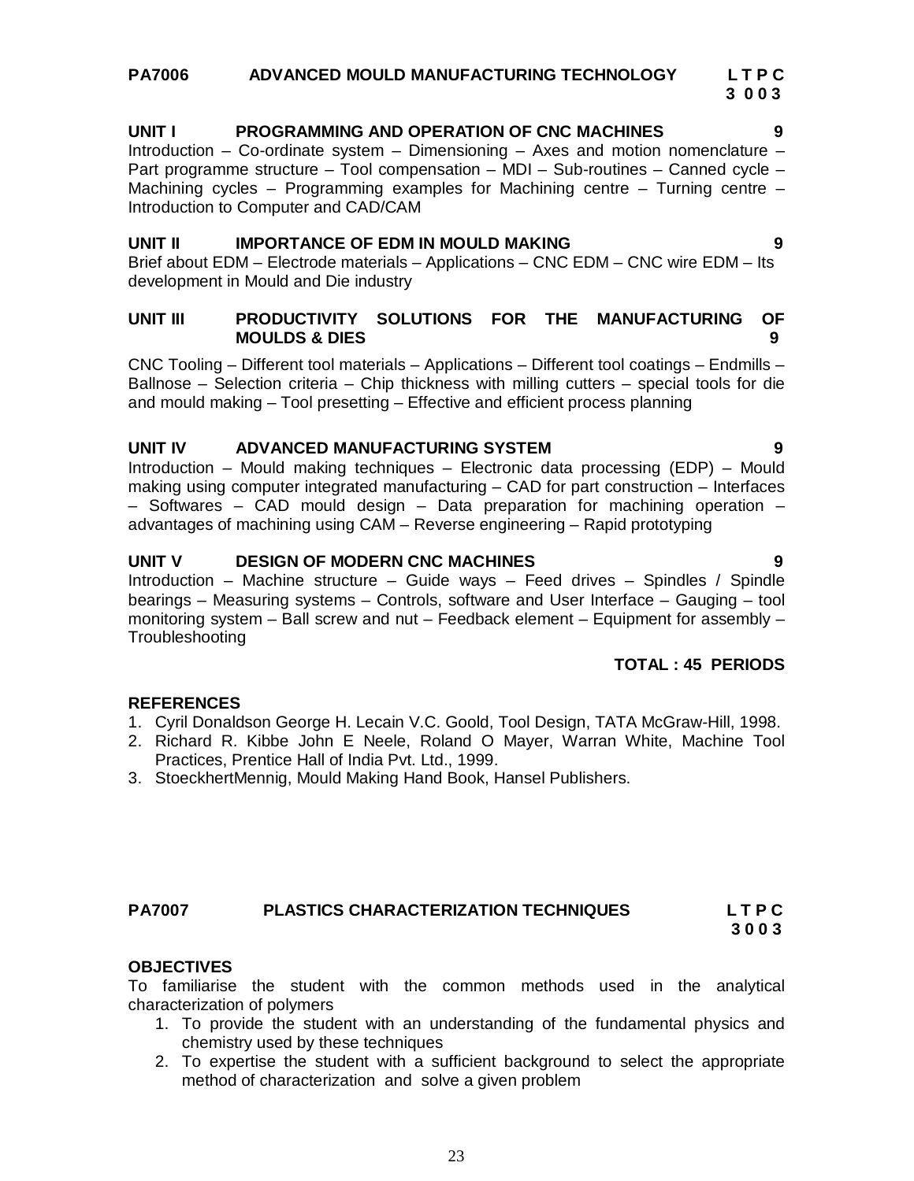#### **PA7006 ADVANCED MOULD MANUFACTURING TECHNOLOGY****L T P C**  **3 0 0 3**

# **UNIT I PROGRAMMING AND OPERATION OF CNC MACHINES 9**

Introduction – Co-ordinate system – Dimensioning – Axes and motion nomenclature – Part programme structure – Tool compensation – MDI – Sub-routines – Canned cycle – Machining cycles – Programming examples for Machining centre – Turning centre – Introduction to Computer and CAD/CAM

#### **UNIT II IMPORTANCE OF EDM IN MOULD MAKING 9**

Brief about EDM – Electrode materials – Applications – CNC EDM – CNC wire EDM – Its development in Mould and Die industry

#### **UNIT III PRODUCTIVITY SOLUTIONS FOR THE MANUFACTURING OF MOULDS & DIES****9**

CNC Tooling – Different tool materials – Applications – Different tool coatings – Endmills – Ballnose – Selection criteria – Chip thickness with milling cutters – special tools for die and mould making – Tool presetting – Effective and efficient process planning

#### **UNIT IV ADVANCED MANUFACTURING SYSTEM 9**

Introduction – Mould making techniques – Electronic data processing (EDP) – Mould making using computer integrated manufacturing – CAD for part construction – Interfaces – Softwares – CAD mould design – Data preparation for machining operation – advantages of machining using CAM – Reverse engineering – Rapid prototyping

#### **UNIT V DESIGN OF MODERN CNC MACHINES 9**

Introduction – Machine structure – Guide ways – Feed drives – Spindles / Spindle bearings – Measuring systems – Controls, software and User Interface – Gauging – tool monitoring system – Ball screw and nut – Feedback element – Equipment for assembly – **Troubleshooting** 

#### **TOTAL : 45 PERIODS**

#### **REFERENCES**

- 1. Cyril Donaldson George H. Lecain V.C. Goold, Tool Design, TATA McGraw-Hill, 1998.
- 2. Richard R. Kibbe John E Neele, Roland O Mayer, Warran White, Machine Tool Practices, Prentice Hall of India Pvt. Ltd., 1999.
- 3. StoeckhertMennig, Mould Making Hand Book, Hansel Publishers.

# **OBJECTIVES**

To familiarise the student with the common methods used in the analytical characterization of polymers

- 1. To provide the student with an understanding of the fundamental physics and chemistry used by these techniques
- 2. To expertise the student with a sufficient background to select the appropriate method of characterization and solve a given problem

**PA7007 PLASTICS CHARACTERIZATION TECHNIQUES L T P C 3 0 0 3**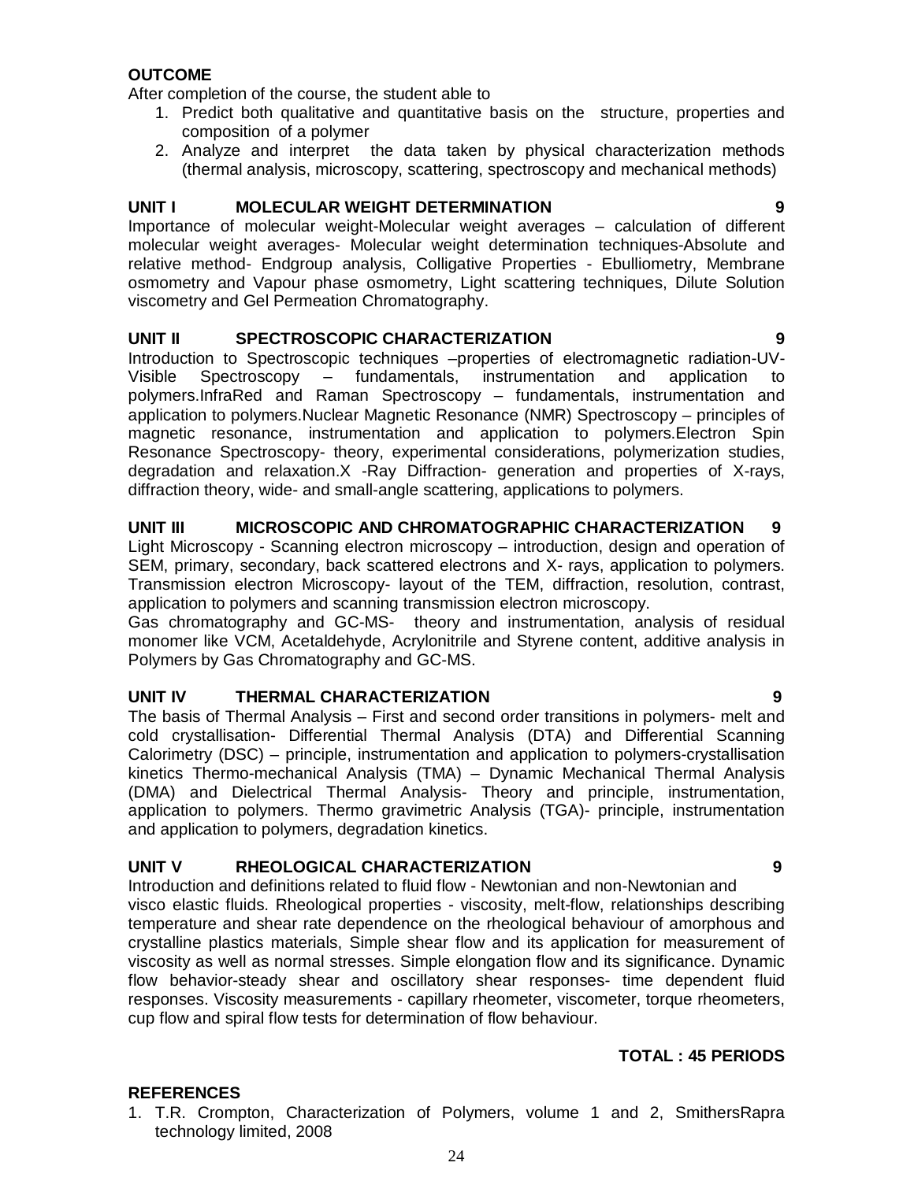#### **OUTCOME**

After completion of the course, the student able to

- 1. Predict both qualitative and quantitative basis on the structure, properties and composition of a polymer
- 2. Analyze and interpret the data taken by physical characterization methods (thermal analysis, microscopy, scattering, spectroscopy and mechanical methods)

### **UNIT I MOLECULAR WEIGHT DETERMINATION 9**

Importance of molecular weight-Molecular weight averages – calculation of different molecular weight averages- Molecular weight determination techniques-Absolute and relative method- Endgroup analysis, Colligative Properties - Ebulliometry, Membrane osmometry and Vapour phase osmometry, Light scattering techniques, Dilute Solution viscometry and Gel Permeation Chromatography.

#### **UNIT II SPECTROSCOPIC CHARACTERIZATION 9**

Introduction to Spectroscopic techniques –properties of electromagnetic radiation-UV-Visible Spectroscopy – fundamentals, instrumentation and application to polymers.InfraRed and Raman Spectroscopy – fundamentals, instrumentation and application to polymers.Nuclear Magnetic Resonance (NMR) Spectroscopy – principles of magnetic resonance, instrumentation and application to polymers.Electron Spin Resonance Spectroscopy- theory, experimental considerations, polymerization studies, degradation and relaxation.X -Ray Diffraction- generation and properties of X-rays, diffraction theory, wide- and small-angle scattering, applications to polymers.

#### **UNIT III MICROSCOPIC AND CHROMATOGRAPHIC CHARACTERIZATION 9**

Light Microscopy - Scanning electron microscopy – introduction, design and operation of SEM, primary, secondary, back scattered electrons and X- rays, application to polymers. Transmission electron Microscopy- layout of the TEM, diffraction, resolution, contrast, application to polymers and scanning transmission electron microscopy.

Gas chromatography and GC-MS- theory and instrumentation, analysis of residual monomer like VCM, Acetaldehyde, Acrylonitrile and Styrene content, additive analysis in Polymers by Gas Chromatography and GC-MS.

#### **UNIT IV THERMAL CHARACTERIZATION 9**

The basis of Thermal Analysis – First and second order transitions in polymers- melt and cold crystallisation- Differential Thermal Analysis (DTA) and Differential Scanning Calorimetry (DSC) – principle, instrumentation and application to polymers-crystallisation kinetics Thermo-mechanical Analysis (TMA) – Dynamic Mechanical Thermal Analysis (DMA) and Dielectrical Thermal Analysis- Theory and principle, instrumentation, application to polymers. Thermo gravimetric Analysis (TGA)- principle, instrumentation and application to polymers, degradation kinetics.

#### **UNIT V RHEOLOGICAL CHARACTERIZATION 9**

Introduction and definitions related to fluid flow - Newtonian and non-Newtonian and visco elastic fluids. Rheological properties - viscosity, melt-flow, relationships describing temperature and shear rate dependence on the rheological behaviour of amorphous and crystalline plastics materials, Simple shear flow and its application for measurement of viscosity as well as normal stresses. Simple elongation flow and its significance. Dynamic flow behavior-steady shear and oscillatory shear responses- time dependent fluid responses. Viscosity measurements - capillary rheometer, viscometer, torque rheometers, cup flow and spiral flow tests for determination of flow behaviour.

#### **TOTAL : 45 PERIODS**

#### **REFERENCES**

1. T.R. Crompton, Characterization of Polymers, volume 1 and 2, SmithersRapra technology limited, 2008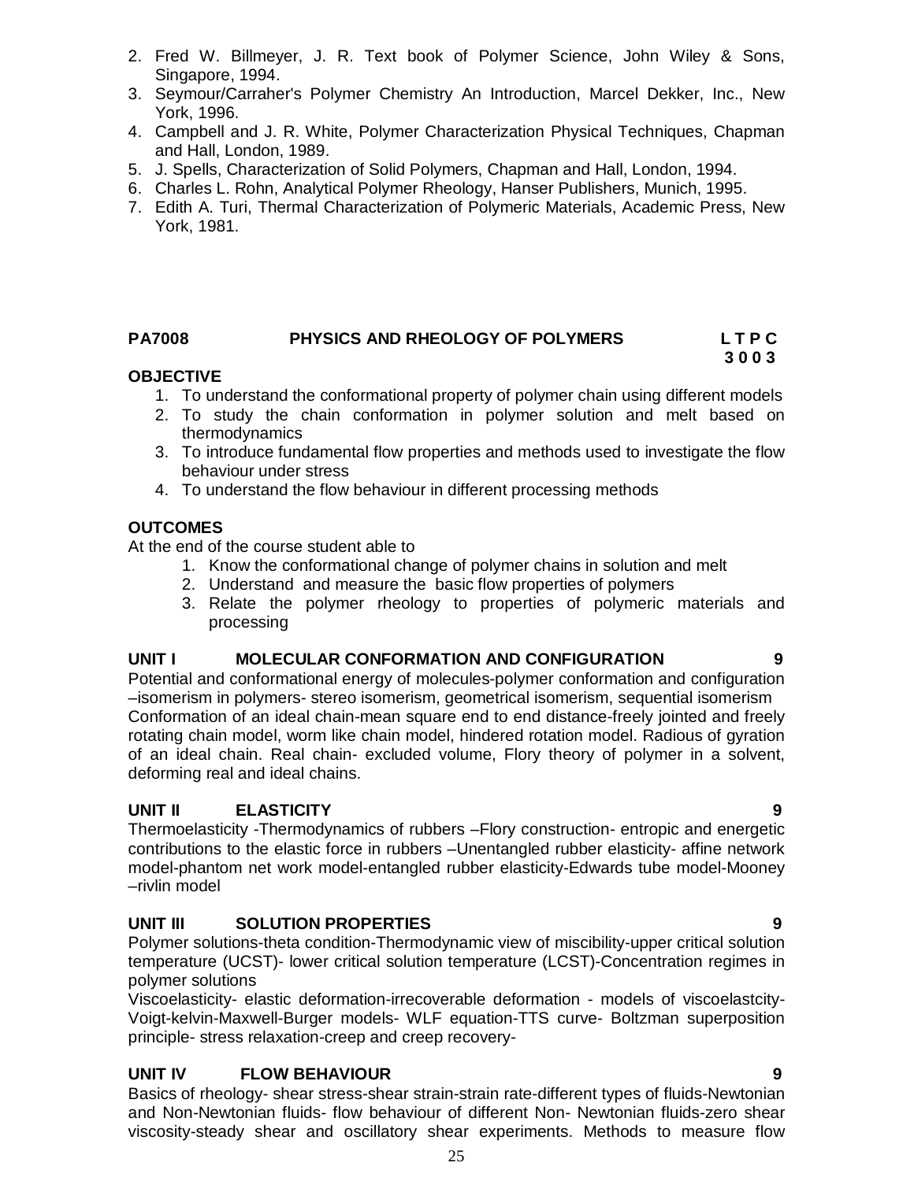- 2. Fred W. Billmeyer, J. R. Text book of Polymer Science, John Wiley & Sons, Singapore, 1994.
- 3. Seymour/Carraher's Polymer Chemistry An Introduction, Marcel Dekker, Inc., New York, 1996.
- 4. Campbell and J. R. White, Polymer Characterization Physical Techniques, Chapman and Hall, London, 1989.
- 5. J. Spells, Characterization of Solid Polymers, Chapman and Hall, London, 1994.
- 6. Charles L. Rohn, Analytical Polymer Rheology, Hanser Publishers, Munich, 1995.
- 7. Edith A. Turi, Thermal Characterization of Polymeric Materials, Academic Press, New York, 1981.

#### **PA7008 PHYSICS AND RHEOLOGY OF POLYMERS L T P C**

#### **3 0 0 3 OBJECTIVE**

- 1. To understand the conformational property of polymer chain using different models
- 2. To study the chain conformation in polymer solution and melt based on thermodynamics
- 3. To introduce fundamental flow properties and methods used to investigate the flow behaviour under stress
- 4. To understand the flow behaviour in different processing methods

#### **OUTCOMES**

At the end of the course student able to

- 1. Know the conformational change of polymer chains in solution and melt
- 2. Understand and measure the basic flow properties of polymers
- 3. Relate the polymer rheology to properties of polymeric materials and processing

#### **UNIT I MOLECULAR CONFORMATION AND CONFIGURATION 9**

Potential and conformational energy of molecules-polymer conformation and configuration –isomerism in polymers- stereo isomerism, geometrical isomerism, sequential isomerism Conformation of an ideal chain-mean square end to end distance-freely jointed and freely rotating chain model, worm like chain model, hindered rotation model. Radious of gyration of an ideal chain. Real chain- excluded volume, Flory theory of polymer in a solvent, deforming real and ideal chains.

#### **UNIT II ELASTICITY 9**

Thermoelasticity -Thermodynamics of rubbers –Flory construction- entropic and energetic contributions to the elastic force in rubbers –Unentangled rubber elasticity- affine network model-phantom net work model-entangled rubber elasticity-Edwards tube model-Mooney –rivlin model

#### **UNIT III SOLUTION PROPERTIES 9**

Polymer solutions-theta condition-Thermodynamic view of miscibility-upper critical solution temperature (UCST)- lower critical solution temperature (LCST)-Concentration regimes in polymer solutions

Viscoelasticity- elastic deformation-irrecoverable deformation - models of viscoelastcity-Voigt-kelvin-Maxwell-Burger models- WLF equation-TTS curve- Boltzman superposition principle- stress relaxation-creep and creep recovery-

Basics of rheology- shear stress-shear strain-strain rate-different types of fluids-Newtonian and Non-Newtonian fluids- flow behaviour of different Non- Newtonian fluids-zero shear viscosity-steady shear and oscillatory shear experiments. Methods to measure flow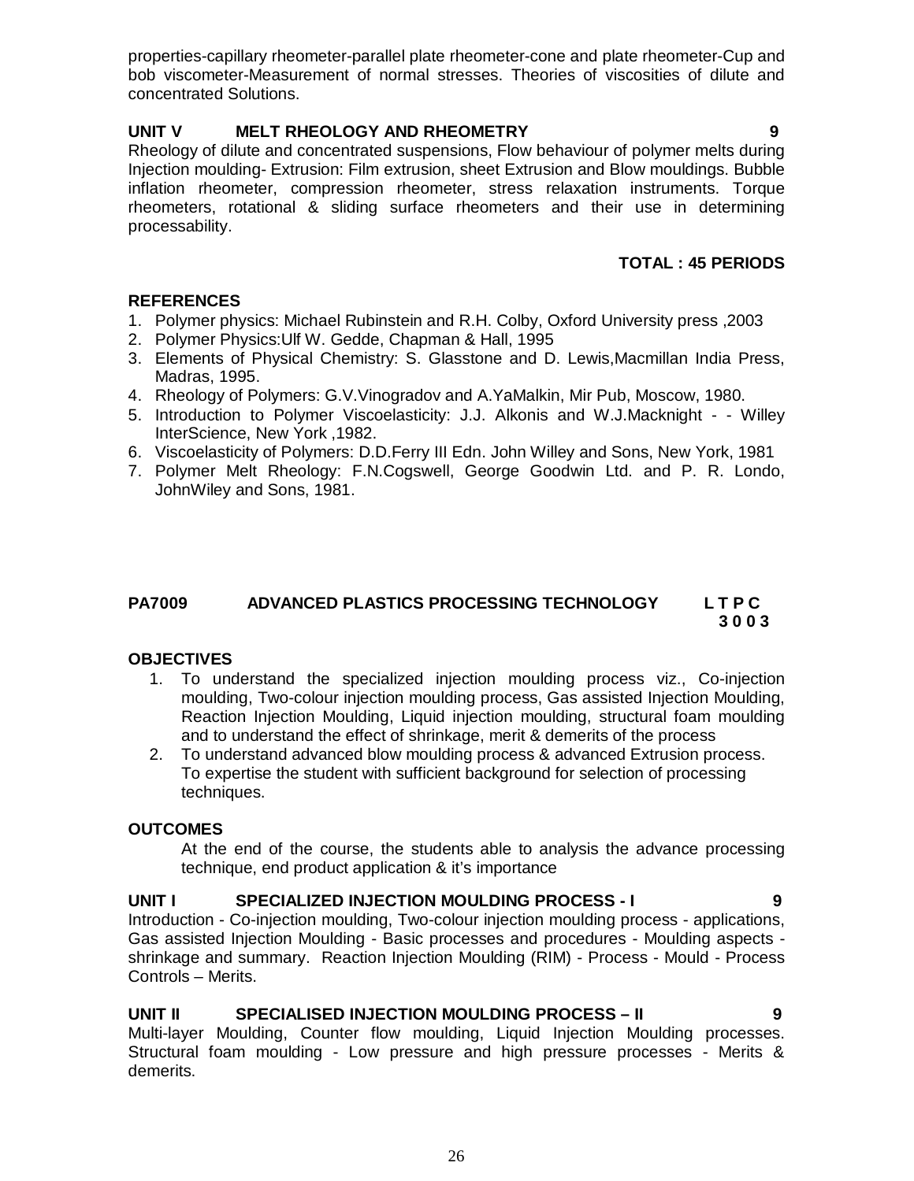properties-capillary rheometer-parallel plate rheometer-cone and plate rheometer-Cup and bob viscometer-Measurement of normal stresses. Theories of viscosities of dilute and concentrated Solutions.

# **UNIT V MELT RHEOLOGY AND RHEOMETRY 9**

Rheology of dilute and concentrated suspensions, Flow behaviour of polymer melts during Injection moulding- Extrusion: Film extrusion, sheet Extrusion and Blow mouldings. Bubble inflation rheometer, compression rheometer, stress relaxation instruments. Torque rheometers, rotational & sliding surface rheometers and their use in determining processability.

# **TOTAL : 45 PERIODS**

# **REFERENCES**

- 1. Polymer physics: Michael Rubinstein and R.H. Colby, Oxford University press ,2003
- 2. Polymer Physics:Ulf W. Gedde, Chapman & Hall, 1995
- 3. Elements of Physical Chemistry: S. Glasstone and D. Lewis,Macmillan India Press, Madras, 1995.
- 4. Rheology of Polymers: G.V.Vinogradov and A.YaMalkin, Mir Pub, Moscow, 1980.
- 5. Introduction to Polymer Viscoelasticity: J.J. Alkonis and W.J.Macknight - Willey InterScience, New York ,1982.
- 6. Viscoelasticity of Polymers: D.D.Ferry III Edn. John Willey and Sons, New York, 1981
- 7. Polymer Melt Rheology: F.N.Cogswell, George Goodwin Ltd. and P. R. Londo, JohnWiley and Sons, 1981.

#### **PA7009 ADVANCED PLASTICS PROCESSING TECHNOLOGY L T P C 3 0 0 3**

# **OBJECTIVES**

- 1. To understand the specialized injection moulding process viz., Co-injection moulding, Two-colour injection moulding process, Gas assisted Injection Moulding, Reaction Injection Moulding, Liquid injection moulding, structural foam moulding and to understand the effect of shrinkage, merit & demerits of the process
- 2. To understand advanced blow moulding process & advanced Extrusion process. To expertise the student with sufficient background for selection of processing techniques.

# **OUTCOMES**

At the end of the course, the students able to analysis the advance processing technique, end product application & it's importance

# **UNIT I SPECIALIZED INJECTION MOULDING PROCESS - I 9**

Introduction - Co-injection moulding, Two-colour injection moulding process - applications, Gas assisted Injection Moulding - Basic processes and procedures - Moulding aspects shrinkage and summary. Reaction Injection Moulding (RIM) - Process - Mould - Process Controls – Merits.

#### **UNIT II SPECIALISED INJECTION MOULDING PROCESS – II 9**

Multi-layer Moulding, Counter flow moulding, Liquid Injection Moulding processes. Structural foam moulding - Low pressure and high pressure processes - Merits & demerits.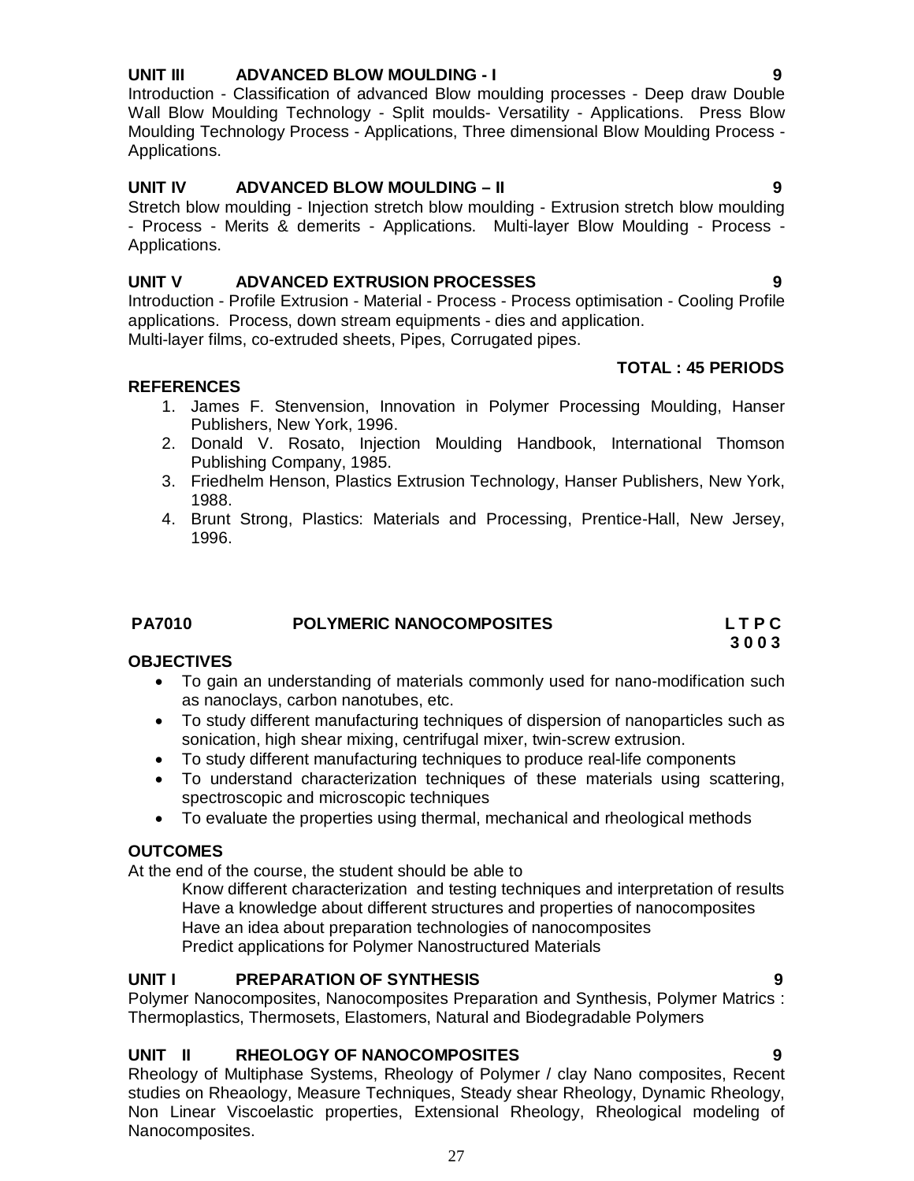#### **UNIT III ADVANCED BLOW MOULDING - I 9**

Introduction - Classification of advanced Blow moulding processes - Deep draw Double Wall Blow Moulding Technology - Split moulds- Versatility - Applications. Press Blow Moulding Technology Process - Applications, Three dimensional Blow Moulding Process - Applications.

#### **UNIT IV ADVANCED BLOW MOULDING – II 9**

Stretch blow moulding - Injection stretch blow moulding - Extrusion stretch blow moulding - Process - Merits & demerits - Applications. Multi-layer Blow Moulding - Process - Applications.

#### **UNIT V ADVANCED EXTRUSION PROCESSES 9**

Introduction - Profile Extrusion - Material - Process - Process optimisation - Cooling Profile applications. Process, down stream equipments - dies and application. Multi-layer films, co-extruded sheets, Pipes, Corrugated pipes.

#### **TOTAL : 45 PERIODS**

#### **REFERENCES**

- 1. James F. Stenvension, Innovation in Polymer Processing Moulding, Hanser Publishers, New York, 1996.
- 2. Donald V. Rosato, Injection Moulding Handbook, International Thomson Publishing Company, 1985.
- 3. Friedhelm Henson, Plastics Extrusion Technology, Hanser Publishers, New York, 1988.
- 4. Brunt Strong, Plastics: Materials and Processing, Prentice-Hall, New Jersey, 1996.

#### **PA7010 POLYMERIC NANOCOMPOSITES L T P C**

#### **3 0 0 3 OBJECTIVES**

- To gain an understanding of materials commonly used for nano-modification such as nanoclays, carbon nanotubes, etc.
- To study different manufacturing techniques of dispersion of nanoparticles such as sonication, high shear mixing, centrifugal mixer, twin-screw extrusion.
- To study different manufacturing techniques to produce real-life components
- To understand characterization techniques of these materials using scattering, spectroscopic and microscopic techniques
- To evaluate the properties using thermal, mechanical and rheological methods

#### **OUTCOMES**

At the end of the course, the student should be able to

Know different characterization and testing techniques and interpretation of results Have a knowledge about different structures and properties of nanocomposites Have an idea about preparation technologies of nanocomposites Predict applications for Polymer Nanostructured Materials

#### **UNIT I PREPARATION OF SYNTHESIS 9**

Polymer Nanocomposites, Nanocomposites Preparation and Synthesis, Polymer Matrics : Thermoplastics, Thermosets, Elastomers, Natural and Biodegradable Polymers

#### **UNIT II RHEOLOGY OF NANOCOMPOSITES 9**

Rheology of Multiphase Systems, Rheology of Polymer / clay Nano composites, Recent studies on Rheaology, Measure Techniques, Steady shear Rheology, Dynamic Rheology, Non Linear Viscoelastic properties, Extensional Rheology, Rheological modeling of Nanocomposites.

27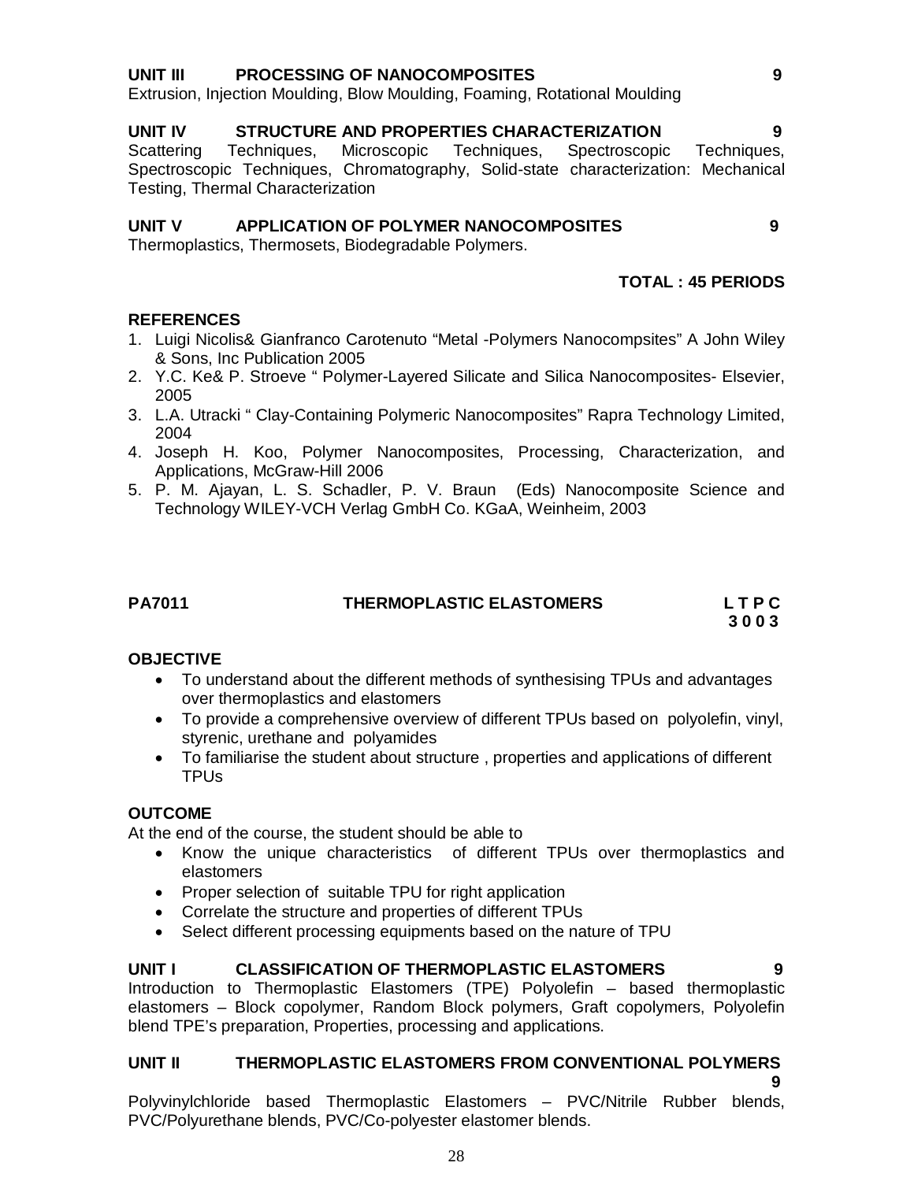# 28

#### **UNIT III PROCESSING OF NANOCOMPOSITES 9**

Extrusion, Injection Moulding, Blow Moulding, Foaming, Rotational Moulding

#### **UNIT IV STRUCTURE AND PROPERTIES CHARACTERIZATION 9**

Scattering Techniques, Microscopic Techniques, Spectroscopic Techniques, Spectroscopic Techniques, Chromatography, Solid-state characterization: Mechanical Testing, Thermal Characterization

# **UNIT V APPLICATION OF POLYMER NANOCOMPOSITES 9**

Thermoplastics, Thermosets, Biodegradable Polymers.

# **TOTAL : 45 PERIODS**

# **REFERENCES**

- 1. Luigi Nicolis& Gianfranco Carotenuto "Metal -Polymers Nanocompsites" A John Wiley & Sons, Inc Publication 2005
- 2. Y.C. Ke& P. Stroeve " Polymer-Layered Silicate and Silica Nanocomposites- Elsevier, 2005
- 3. L.A. Utracki " Clay-Containing Polymeric Nanocomposites" Rapra Technology Limited, 2004
- 4. Joseph H. Koo, Polymer Nanocomposites, Processing, Characterization, and Applications, McGraw-Hill 2006
- 5. P. M. Ajayan, L. S. Schadler, P. V. Braun (Eds) Nanocomposite Science and Technology WILEY-VCH Verlag GmbH Co. KGaA, Weinheim, 2003

| 70<br>. .<br>۰. |
|-----------------|
|-----------------|

# **PA7011 THERMOPLASTIC ELASTOMERS L T P C**

 **3 0 0 3**

# **OBJECTIVE**

- To understand about the different methods of synthesising TPUs and advantages over thermoplastics and elastomers
- To provide a comprehensive overview of different TPUs based on polyolefin, vinyl, styrenic, urethane and polyamides
- To familiarise the student about structure , properties and applications of different TPUs

#### **OUTCOME**

At the end of the course, the student should be able to

- Know the unique characteristics of different TPUs over thermoplastics and elastomers
- Proper selection of suitable TPU for right application
- Correlate the structure and properties of different TPUs
- Select different processing equipments based on the nature of TPU

# **UNIT I CLASSIFICATION OF THERMOPLASTIC ELASTOMERS**

Introduction to Thermoplastic Elastomers (TPE) Polyolefin – based thermoplastic elastomers – Block copolymer, Random Block polymers, Graft copolymers, Polyolefin blend TPE's preparation, Properties, processing and applications.

# **UNIT II THERMOPLASTIC ELASTOMERS FROM CONVENTIONAL POLYMERS**

 **9** Polyvinylchloride based Thermoplastic Elastomers – PVC/Nitrile Rubber blends, PVC/Polyurethane blends, PVC/Co-polyester elastomer blends.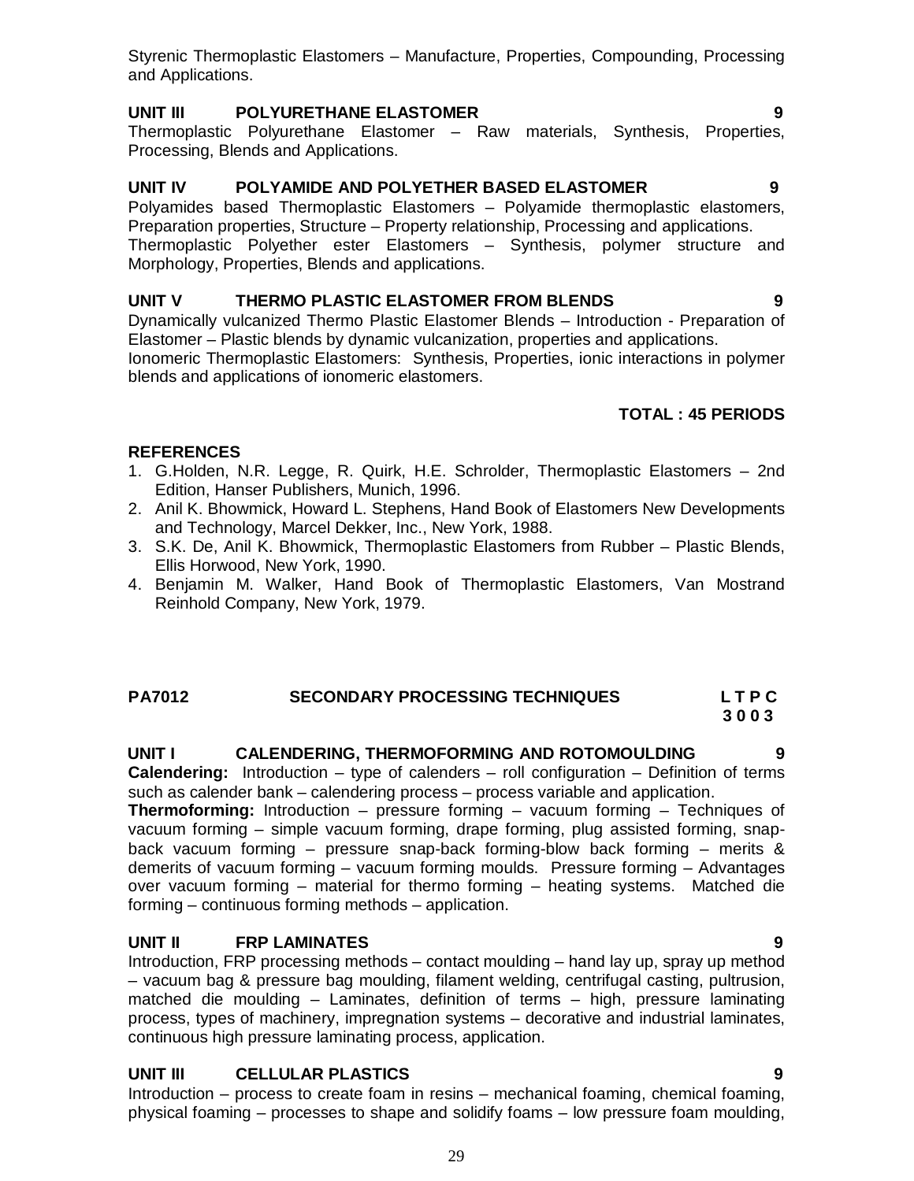Styrenic Thermoplastic Elastomers – Manufacture, Properties, Compounding, Processing and Applications.

# **UNIT III POLYURETHANE ELASTOMER 9**

Thermoplastic Polyurethane Elastomer – Raw materials, Synthesis, Properties, Processing, Blends and Applications.

# **UNIT IV POLYAMIDE AND POLYETHER BASED ELASTOMER 9**

Polyamides based Thermoplastic Elastomers – Polyamide thermoplastic elastomers, Preparation properties, Structure – Property relationship, Processing and applications. Thermoplastic Polyether ester Elastomers – Synthesis, polymer structure and Morphology, Properties, Blends and applications.

# **UNIT V THERMO PLASTIC ELASTOMER FROM BLENDS 9**

Dynamically vulcanized Thermo Plastic Elastomer Blends – Introduction - Preparation of Elastomer – Plastic blends by dynamic vulcanization, properties and applications. Ionomeric Thermoplastic Elastomers: Synthesis, Properties, ionic interactions in polymer blends and applications of ionomeric elastomers.

# **TOTAL : 45 PERIODS**

# **REFERENCES**

- 1. G.Holden, N.R. Legge, R. Quirk, H.E. Schrolder, Thermoplastic Elastomers 2nd Edition, Hanser Publishers, Munich, 1996.
- 2. Anil K. Bhowmick, Howard L. Stephens, Hand Book of Elastomers New Developments and Technology, Marcel Dekker, Inc., New York, 1988.
- 3. S.K. De, Anil K. Bhowmick, Thermoplastic Elastomers from Rubber Plastic Blends, Ellis Horwood, New York, 1990.
- 4. Benjamin M. Walker, Hand Book of Thermoplastic Elastomers, Van Mostrand Reinhold Company, New York, 1979.

# **PA7012 SECONDARY PROCESSING TECHNIQUES L T P C 3 0 0 3**

**UNIT I CALENDERING, THERMOFORMING AND ROTOMOULDING 9 Calendering:** Introduction – type of calenders – roll configuration – Definition of terms such as calender bank – calendering process – process variable and application.

**Thermoforming:** Introduction – pressure forming – vacuum forming – Techniques of vacuum forming – simple vacuum forming, drape forming, plug assisted forming, snapback vacuum forming – pressure snap-back forming-blow back forming – merits & demerits of vacuum forming – vacuum forming moulds. Pressure forming – Advantages over vacuum forming – material for thermo forming – heating systems. Matched die forming – continuous forming methods – application.

#### **UNIT II FRP LAMINATES 9**

Introduction, FRP processing methods – contact moulding – hand lay up, spray up method – vacuum bag & pressure bag moulding, filament welding, centrifugal casting, pultrusion, matched die moulding – Laminates, definition of terms – high, pressure laminating process, types of machinery, impregnation systems – decorative and industrial laminates, continuous high pressure laminating process, application.

# **UNIT III CELLULAR PLASTICS 9**

Introduction – process to create foam in resins – mechanical foaming, chemical foaming, physical foaming – processes to shape and solidify foams – low pressure foam moulding,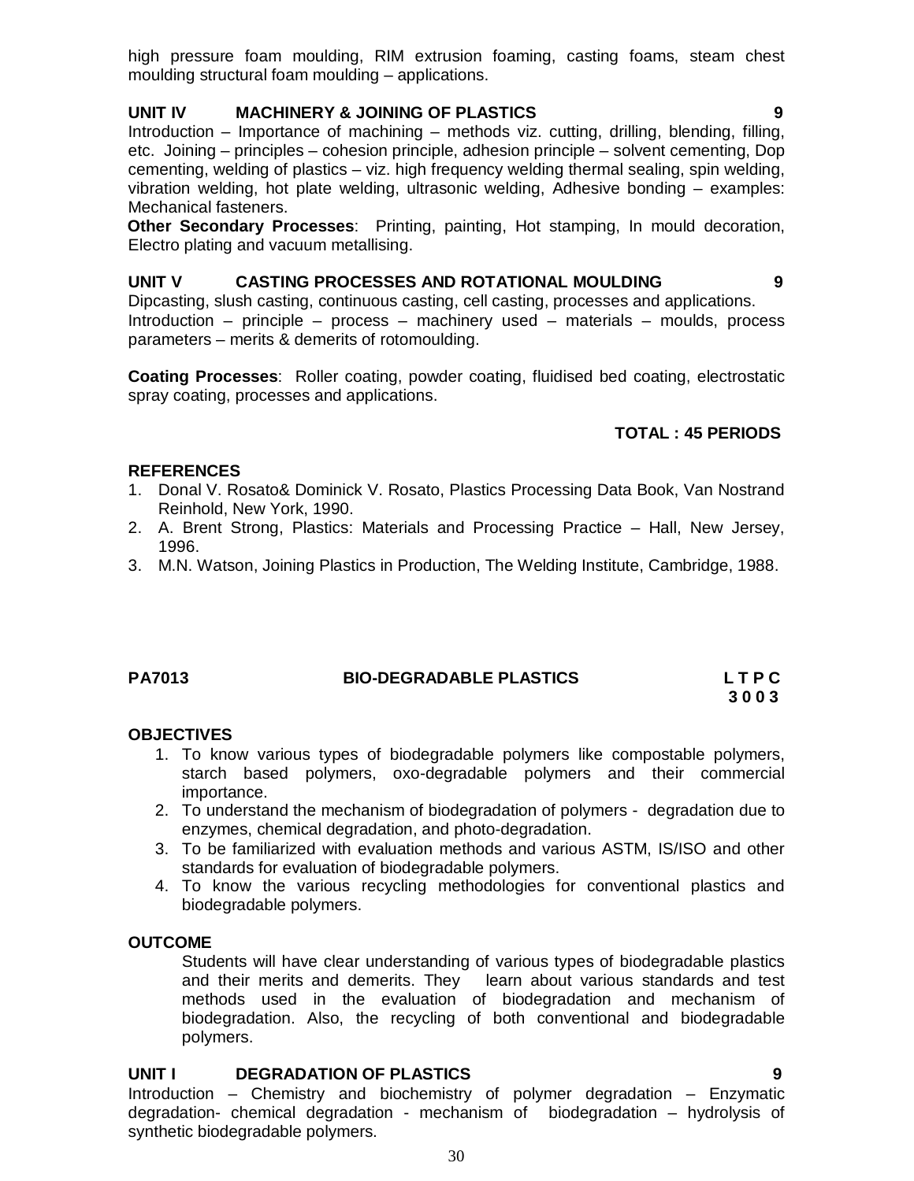high pressure foam moulding, RIM extrusion foaming, casting foams, steam chest moulding structural foam moulding – applications.

# **UNIT IV MACHINERY & JOINING OF PLASTICS 9**

Introduction – Importance of machining – methods viz. cutting, drilling, blending, filling, etc. Joining – principles – cohesion principle, adhesion principle – solvent cementing, Dop cementing, welding of plastics – viz. high frequency welding thermal sealing, spin welding, vibration welding, hot plate welding, ultrasonic welding, Adhesive bonding – examples: Mechanical fasteners.

**Other Secondary Processes**: Printing, painting, Hot stamping, In mould decoration, Electro plating and vacuum metallising.

#### **UNIT V CASTING PROCESSES AND ROTATIONAL MOULDING 9**

Dipcasting, slush casting, continuous casting, cell casting, processes and applications. Introduction – principle – process – machinery used – materials – moulds, process parameters – merits & demerits of rotomoulding.

**Coating Processes**: Roller coating, powder coating, fluidised bed coating, electrostatic spray coating, processes and applications.

#### **TOTAL : 45 PERIODS**

#### **REFERENCES**

- 1. Donal V. Rosato& Dominick V. Rosato, Plastics Processing Data Book, Van Nostrand Reinhold, New York, 1990.
- 2. A. Brent Strong, Plastics: Materials and Processing Practice Hall, New Jersey, 1996.
- 3. M.N. Watson, Joining Plastics in Production, The Welding Institute, Cambridge, 1988.

#### **PA7013 BIO-DEGRADABLE PLASTICS L T P C**

 **3 0 0 3**

#### **OBJECTIVES**

- 1. To know various types of biodegradable polymers like compostable polymers, starch based polymers, oxo-degradable polymers and their commercial importance.
- 2. To understand the mechanism of biodegradation of polymers degradation due to enzymes, chemical degradation, and photo-degradation.
- 3. To be familiarized with evaluation methods and various ASTM, IS/ISO and other standards for evaluation of biodegradable polymers.
- 4. To know the various recycling methodologies for conventional plastics and biodegradable polymers.

#### **OUTCOME**

Students will have clear understanding of various types of biodegradable plastics and their merits and demerits. They learn about various standards and test methods used in the evaluation of biodegradation and mechanism of biodegradation. Also, the recycling of both conventional and biodegradable polymers.

#### **UNIT I DEGRADATION OF PLASTICS 9**

Introduction – Chemistry and biochemistry of polymer degradation – Enzymatic degradation- chemical degradation - mechanism of biodegradation – hydrolysis of synthetic biodegradable polymers.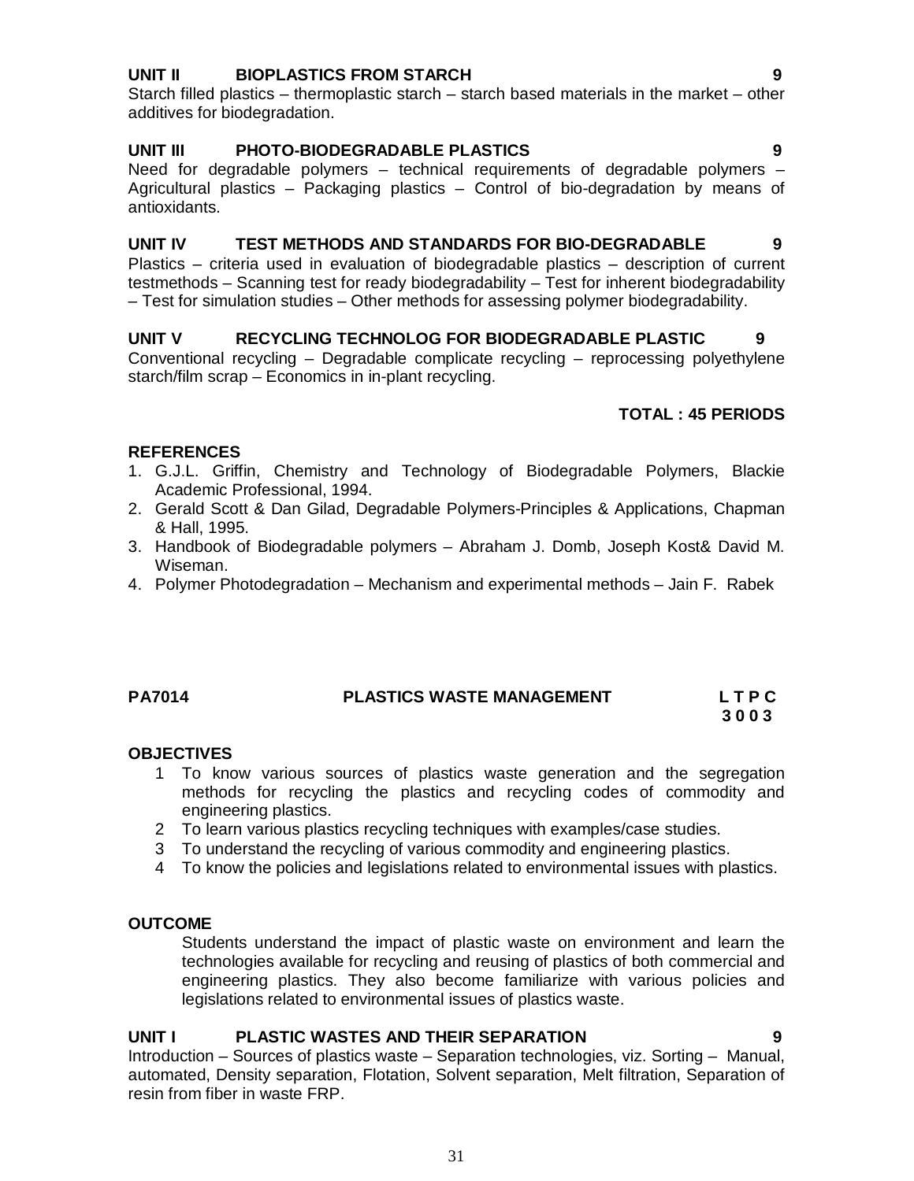# **UNIT II BIOPLASTICS FROM STARCH 9**

Starch filled plastics – thermoplastic starch – starch based materials in the market – other additives for biodegradation.

#### **UNIT III PHOTO-BIODEGRADABLE PLASTICS 9**

Need for degradable polymers – technical requirements of degradable polymers – Agricultural plastics – Packaging plastics – Control of bio-degradation by means of antioxidants.

#### **UNIT IV TEST METHODS AND STANDARDS FOR BIO-DEGRADABLE 9**

Plastics – criteria used in evaluation of biodegradable plastics – description of current testmethods – Scanning test for ready biodegradability – Test for inherent biodegradability – Test for simulation studies – Other methods for assessing polymer biodegradability.

#### **UNIT V RECYCLING TECHNOLOG FOR BIODEGRADABLE PLASTIC 9**

Conventional recycling – Degradable complicate recycling – reprocessing polyethylene starch/film scrap – Economics in in-plant recycling.

# **TOTAL : 45 PERIODS**

#### **REFERENCES**

- 1. G.J.L. Griffin, Chemistry and Technology of Biodegradable Polymers, Blackie Academic Professional, 1994.
- 2. Gerald Scott & Dan Gilad, Degradable Polymers-Principles & Applications, Chapman & Hall, 1995.
- 3. Handbook of Biodegradable polymers Abraham J. Domb, Joseph Kost& David M. Wiseman.
- 4. Polymer Photodegradation Mechanism and experimental methods Jain F. Rabek

#### **PA7014 PLASTICS WASTE MANAGEMENT L T P C**

 **3 0 0 3**

#### **OBJECTIVES**

- 1 To know various sources of plastics waste generation and the segregation methods for recycling the plastics and recycling codes of commodity and engineering plastics.
- 2 To learn various plastics recycling techniques with examples/case studies.
- 3 To understand the recycling of various commodity and engineering plastics.
- 4 To know the policies and legislations related to environmental issues with plastics.

#### **OUTCOME**

Students understand the impact of plastic waste on environment and learn the technologies available for recycling and reusing of plastics of both commercial and engineering plastics. They also become familiarize with various policies and legislations related to environmental issues of plastics waste.

#### **UNIT I PLASTIC WASTES AND THEIR SEPARATION 9**

Introduction – Sources of plastics waste – Separation technologies, viz. Sorting – Manual, automated, Density separation, Flotation, Solvent separation, Melt filtration, Separation of resin from fiber in waste FRP.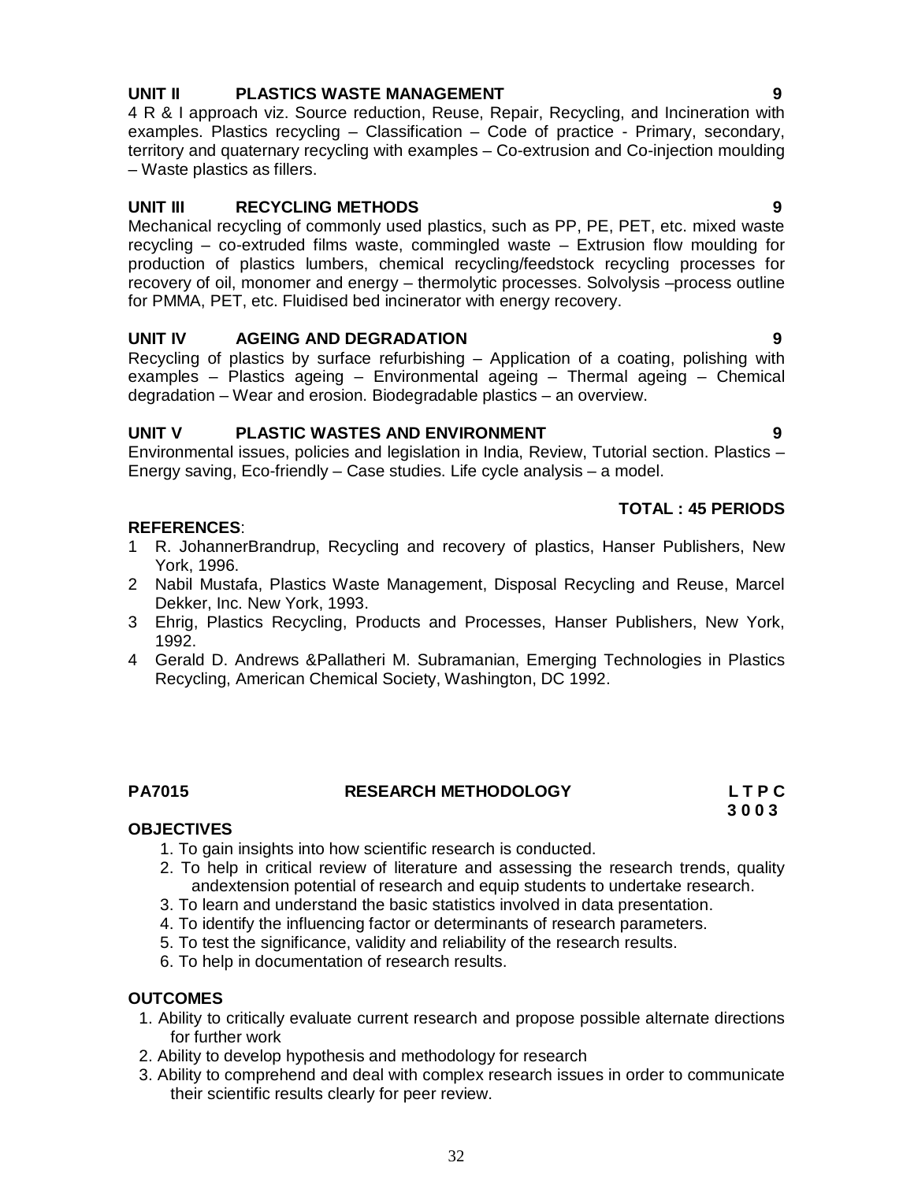# **UNIT II PLASTICS WASTE MANAGEMENT 9**

4 R & I approach viz. Source reduction, Reuse, Repair, Recycling, and Incineration with examples. Plastics recycling – Classification – Code of practice - Primary, secondary, territory and quaternary recycling with examples – Co-extrusion and Co-injection moulding – Waste plastics as fillers.

# **UNIT III RECYCLING METHODS 9**

Mechanical recycling of commonly used plastics, such as PP, PE, PET, etc. mixed waste recycling – co-extruded films waste, commingled waste – Extrusion flow moulding for production of plastics lumbers, chemical recycling/feedstock recycling processes for recovery of oil, monomer and energy – thermolytic processes. Solvolysis –process outline for PMMA, PET, etc. Fluidised bed incinerator with energy recovery.

# **UNIT IV AGEING AND DEGRADATION 9**

Recycling of plastics by surface refurbishing – Application of a coating, polishing with examples – Plastics ageing – Environmental ageing – Thermal ageing – Chemical degradation – Wear and erosion. Biodegradable plastics – an overview.

# **UNIT V PLASTIC WASTES AND ENVIRONMENT 9**

Environmental issues, policies and legislation in India, Review, Tutorial section. Plastics – Energy saving, Eco-friendly – Case studies. Life cycle analysis – a model.

# **TOTAL : 45 PERIODS**

# **REFERENCES**:

- 1 R. JohannerBrandrup, Recycling and recovery of plastics, Hanser Publishers, New York, 1996.
- 2 Nabil Mustafa, Plastics Waste Management, Disposal Recycling and Reuse, Marcel Dekker, Inc. New York, 1993.
- 3 Ehrig, Plastics Recycling, Products and Processes, Hanser Publishers, New York, 1992.
- 4 Gerald D. Andrews &Pallatheri M. Subramanian, Emerging Technologies in Plastics Recycling, American Chemical Society, Washington, DC 1992.

# **PA7015 RESEARCH METHODOLOGY L T P C**

 **3 0 0 3**

# **OBJECTIVES**

- 1. To gain insights into how scientific research is conducted.
- 2. To help in critical review of literature and assessing the research trends, quality andextension potential of research and equip students to undertake research.
- 3. To learn and understand the basic statistics involved in data presentation.
- 4. To identify the influencing factor or determinants of research parameters.
- 5. To test the significance, validity and reliability of the research results.
- 6. To help in documentation of research results.

# **OUTCOMES**

- 1. Ability to critically evaluate current research and propose possible alternate directions for further work
- 2. Ability to develop hypothesis and methodology for research
- 3. Ability to comprehend and deal with complex research issues in order to communicate their scientific results clearly for peer review.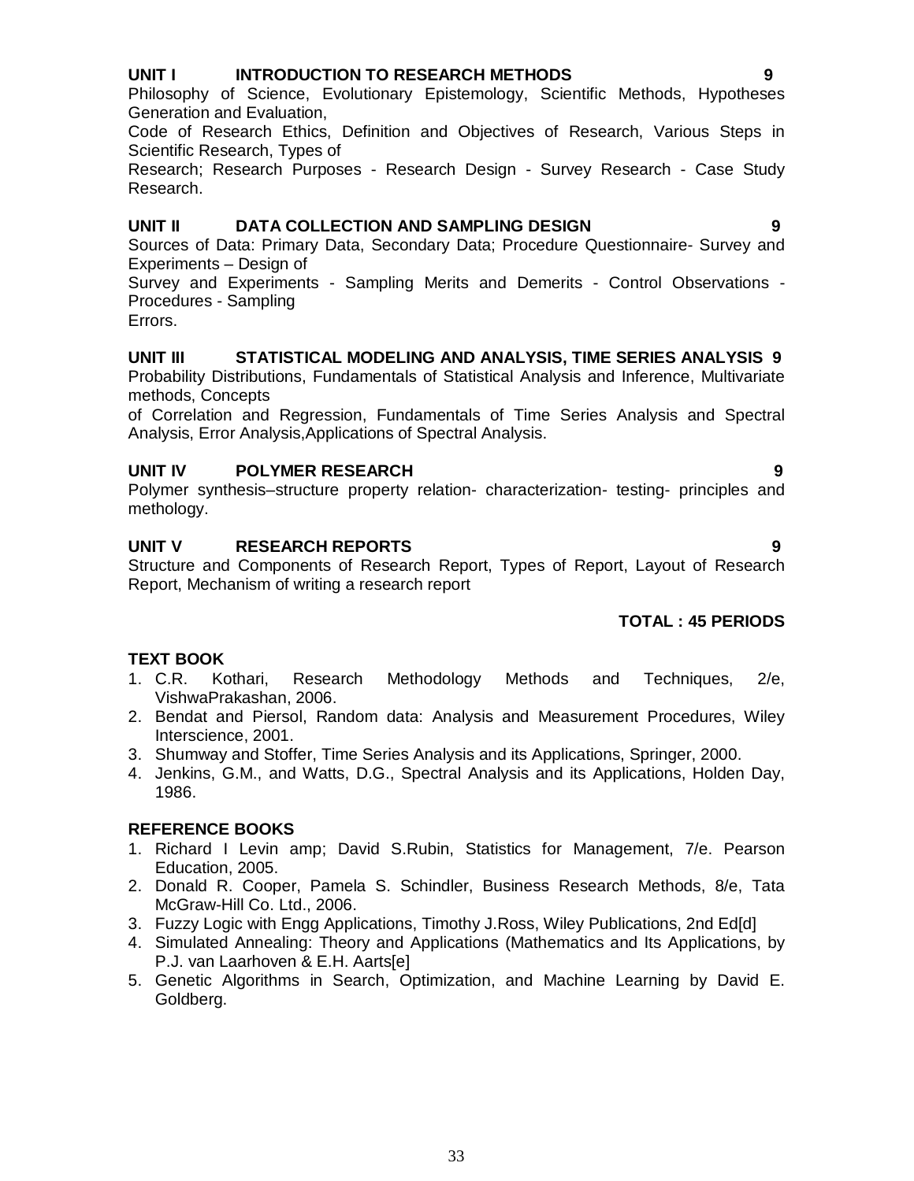## **UNIT I INTRODUCTION TO RESEARCH METHODS 9**

Philosophy of Science, Evolutionary Epistemology, Scientific Methods, Hypotheses Generation and Evaluation,

Code of Research Ethics, Definition and Objectives of Research, Various Steps in Scientific Research, Types of

Research; Research Purposes - Research Design - Survey Research - Case Study Research.

#### **UNIT II DATA COLLECTION AND SAMPLING DESIGN 9**

Sources of Data: Primary Data, Secondary Data; Procedure Questionnaire- Survey and Experiments – Design of

Survey and Experiments - Sampling Merits and Demerits - Control Observations - Procedures - Sampling

Errors.

#### **UNIT III STATISTICAL MODELING AND ANALYSIS, TIME SERIES ANALYSIS 9**

Probability Distributions, Fundamentals of Statistical Analysis and Inference, Multivariate methods, Concepts

of Correlation and Regression, Fundamentals of Time Series Analysis and Spectral Analysis, Error Analysis,Applications of Spectral Analysis.

# **UNIT IV POLYMER RESEARCH 9**

Polymer synthesis–structure property relation- characterization- testing- principles and methology.

# **UNIT V RESEARCH REPORTS 9**

Structure and Components of Research Report, Types of Report, Layout of Research Report, Mechanism of writing a research report

# **TOTAL : 45 PERIODS**

#### **TEXT BOOK**

- 1. C.R. Kothari, Research Methodology Methods and Techniques, 2/e, VishwaPrakashan, 2006.
- 2. Bendat and Piersol, Random data: Analysis and Measurement Procedures, Wiley Interscience, 2001.
- 3. Shumway and Stoffer, Time Series Analysis and its Applications, Springer, 2000.
- 4. Jenkins, G.M., and Watts, D.G., Spectral Analysis and its Applications, Holden Day, 1986.

#### **REFERENCE BOOKS**

- 1. Richard I Levin amp; David S.Rubin, Statistics for Management, 7/e. Pearson Education, 2005.
- 2. Donald R. Cooper, Pamela S. Schindler, Business Research Methods, 8/e, Tata McGraw-Hill Co. Ltd., 2006.
- 3. Fuzzy Logic with Engg Applications, Timothy J.Ross, Wiley Publications, 2nd Ed[d]
- 4. Simulated Annealing: Theory and Applications (Mathematics and Its Applications, by P.J. van Laarhoven & E.H. Aarts[e]
- 5. Genetic Algorithms in Search, Optimization, and Machine Learning by David E. Goldberg.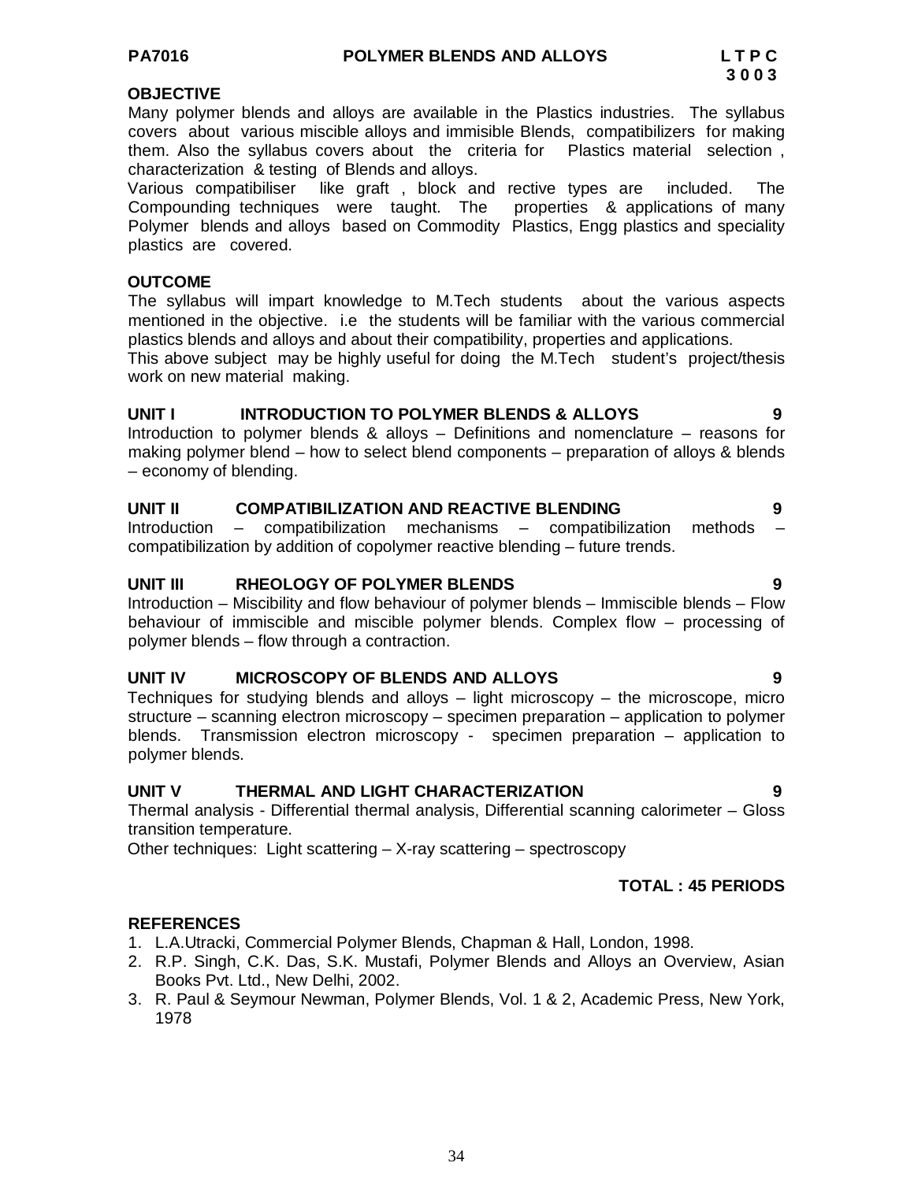#### **OBJECTIVE**

Many polymer blends and alloys are available in the Plastics industries. The syllabus covers about various miscible alloys and immisible Blends, compatibilizers for making them. Also the syllabus covers about the criteria for Plastics material selection , characterization & testing of Blends and alloys.

Various compatibiliser like graft , block and rective types are included. The Compounding techniques were taught. The properties & applications of many Polymer blends and alloys based on Commodity Plastics, Engg plastics and speciality plastics are covered.

#### **OUTCOME**

The syllabus will impart knowledge to M.Tech students about the various aspects mentioned in the objective. i.e the students will be familiar with the various commercial plastics blends and alloys and about their compatibility, properties and applications.

This above subject may be highly useful for doing the M.Tech student's project/thesis work on new material making.

#### **UNIT I INTRODUCTION TO POLYMER BLENDS & ALLOYS 9**

Introduction to polymer blends & alloys – Definitions and nomenclature – reasons for making polymer blend – how to select blend components – preparation of alloys & blends – economy of blending.

#### **UNIT II COMPATIBILIZATION AND REACTIVE BLENDING 9**

Introduction  $-$  compatibilization mechanisms  $-$  compatibilization methods compatibilization by addition of copolymer reactive blending – future trends.

#### **UNIT III RHEOLOGY OF POLYMER BLENDS 9**

Introduction – Miscibility and flow behaviour of polymer blends – Immiscible blends – Flow behaviour of immiscible and miscible polymer blends. Complex flow – processing of polymer blends – flow through a contraction.

#### **UNIT IV MICROSCOPY OF BLENDS AND ALLOYS 9**

Techniques for studying blends and alloys – light microscopy – the microscope, micro structure – scanning electron microscopy – specimen preparation – application to polymer blends. Transmission electron microscopy - specimen preparation – application to polymer blends.

#### **UNIT V THERMAL AND LIGHT CHARACTERIZATION 9**

Thermal analysis - Differential thermal analysis, Differential scanning calorimeter – Gloss transition temperature.

Other techniques: Light scattering – X-ray scattering – spectroscopy

#### **TOTAL : 45 PERIODS**

- 1. L.A.Utracki, Commercial Polymer Blends, Chapman & Hall, London, 1998.
- 2. R.P. Singh, C.K. Das, S.K. Mustafi, Polymer Blends and Alloys an Overview, Asian Books Pvt. Ltd., New Delhi, 2002.
- 3. R. Paul & Seymour Newman, Polymer Blends, Vol. 1 & 2, Academic Press, New York, 1978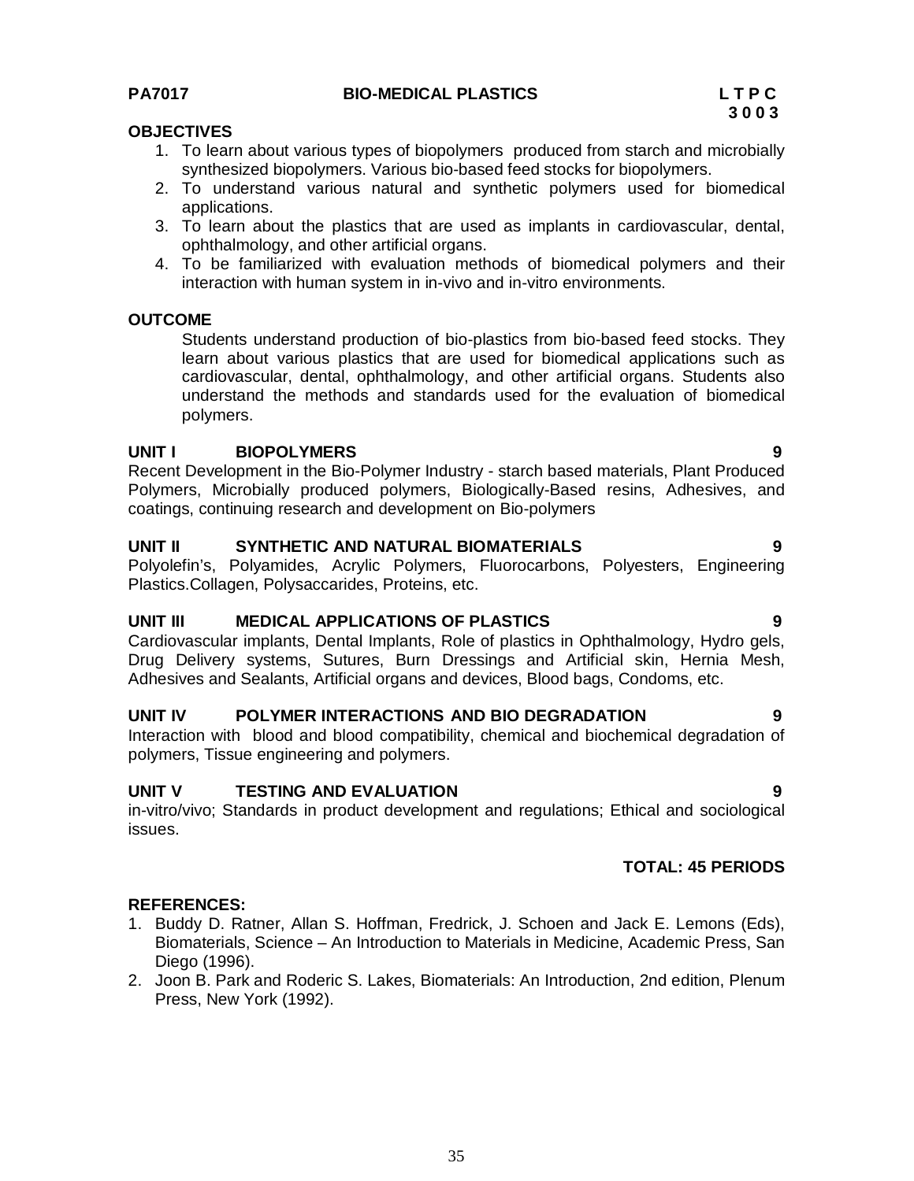# **PA7017 BIO-MEDICAL PLASTICS L T P C**

# **OBJECTIVES**

- 1. To learn about various types of biopolymers produced from starch and microbially synthesized biopolymers. Various bio-based feed stocks for biopolymers.
- 2. To understand various natural and synthetic polymers used for biomedical applications.
- 3. To learn about the plastics that are used as implants in cardiovascular, dental, ophthalmology, and other artificial organs.
- 4. To be familiarized with evaluation methods of biomedical polymers and their interaction with human system in in-vivo and in-vitro environments.

#### **OUTCOME**

Students understand production of bio-plastics from bio-based feed stocks. They learn about various plastics that are used for biomedical applications such as cardiovascular, dental, ophthalmology, and other artificial organs. Students also understand the methods and standards used for the evaluation of biomedical polymers.

#### **UNIT I BIOPOLYMERS 9**

Recent Development in the Bio-Polymer Industry - starch based materials, Plant Produced Polymers, Microbially produced polymers, Biologically-Based resins, Adhesives, and coatings, continuing research and development on Bio-polymers

#### **UNIT II SYNTHETIC AND NATURAL BIOMATERIALS 9**

Polyolefin's, Polyamides, Acrylic Polymers, Fluorocarbons, Polyesters, Engineering Plastics.Collagen, Polysaccarides, Proteins, etc.

#### **UNIT III MEDICAL APPLICATIONS OF PLASTICS 9**

Cardiovascular implants, Dental Implants, Role of plastics in Ophthalmology, Hydro gels, Drug Delivery systems, Sutures, Burn Dressings and Artificial skin, Hernia Mesh, Adhesives and Sealants, Artificial organs and devices, Blood bags, Condoms, etc.

#### **UNIT IV POLYMER INTERACTIONS AND BIO DEGRADATION 9**

Interaction with blood and blood compatibility, chemical and biochemical degradation of polymers, Tissue engineering and polymers.

#### **UNIT V TESTING AND EVALUATION 9**

in-vitro/vivo; Standards in product development and regulations; Ethical and sociological issues.

#### **TOTAL: 45 PERIODS**

- 1. Buddy D. Ratner, Allan S. Hoffman, Fredrick, J. Schoen and Jack E. Lemons (Eds), Biomaterials, Science – An Introduction to Materials in Medicine, Academic Press, San Diego (1996).
- 2. Joon B. Park and Roderic S. Lakes, Biomaterials: An Introduction, 2nd edition, Plenum Press, New York (1992).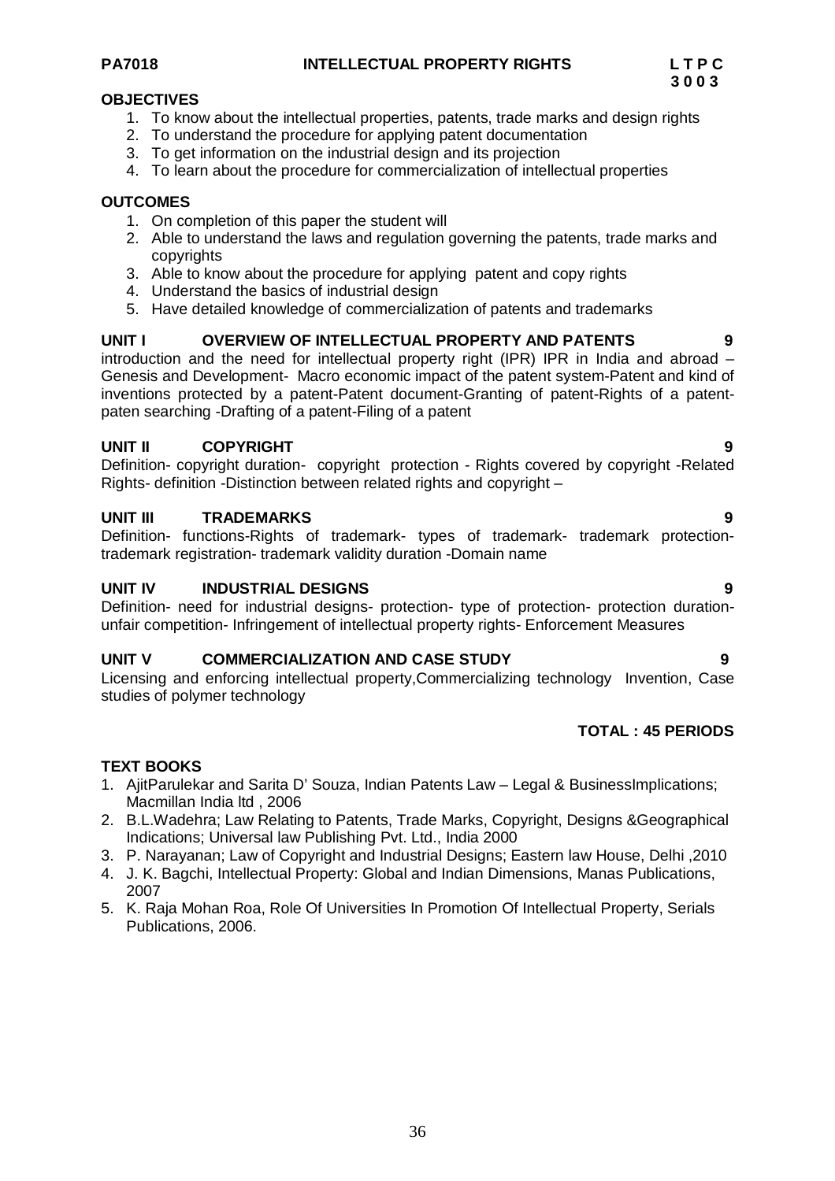## **PA7018 INTELLECTUAL PROPERTY RIGHTS L T P C**

# **OBJECTIVES**

- 1. To know about the intellectual properties, patents, trade marks and design rights
- 2. To understand the procedure for applying patent documentation
- 3. To get information on the industrial design and its projection
- 4. To learn about the procedure for commercialization of intellectual properties

# **OUTCOMES**

- 1. On completion of this paper the student will
- 2. Able to understand the laws and regulation governing the patents, trade marks and copyrights
- 3. Able to know about the procedure for applying patent and copy rights
- 4. Understand the basics of industrial design
- 5. Have detailed knowledge of commercialization of patents and trademarks

# **UNIT I OVERVIEW OF INTELLECTUAL PROPERTY AND PATENTS 9**

introduction and the need for intellectual property right (IPR) IPR in India and abroad – Genesis and Development- Macro economic impact of the patent system-Patent and kind of inventions protected by a patent-Patent document-Granting of patent-Rights of a patentpaten searching -Drafting of a patent-Filing of a patent

# **UNIT II COPYRIGHT 9**

Definition- copyright duration- copyright protection - Rights covered by copyright -Related Rights- definition -Distinction between related rights and copyright –

# **UNIT III TRADEMARKS 9**

Definition- functions-Rights of trademark- types of trademark- trademark protectiontrademark registration- trademark validity duration -Domain name

#### **UNIT IV INDUSTRIAL DESIGNS 9**

Definition- need for industrial designs- protection- type of protection- protection durationunfair competition- Infringement of intellectual property rights- Enforcement Measures

#### **UNIT V COMMERCIALIZATION AND CASE STUDY 9**

Licensing and enforcing intellectual property,Commercializing technology Invention, Case studies of polymer technology

# **TOTAL : 45 PERIODS**

# **TEXT BOOKS**

- 1. AjitParulekar and Sarita D' Souza, Indian Patents Law Legal & BusinessImplications; Macmillan India ltd , 2006
- 2. B.L.Wadehra; Law Relating to Patents, Trade Marks, Copyright, Designs &Geographical Indications; Universal law Publishing Pvt. Ltd., India 2000
- 3. P. Narayanan; Law of Copyright and Industrial Designs; Eastern law House, Delhi ,2010
- 4. J. K. Bagchi, Intellectual Property: Global and Indian Dimensions, Manas Publications, 2007
- 5. K. Raja Mohan Roa, Role Of Universities In Promotion Of Intellectual Property, Serials Publications, 2006.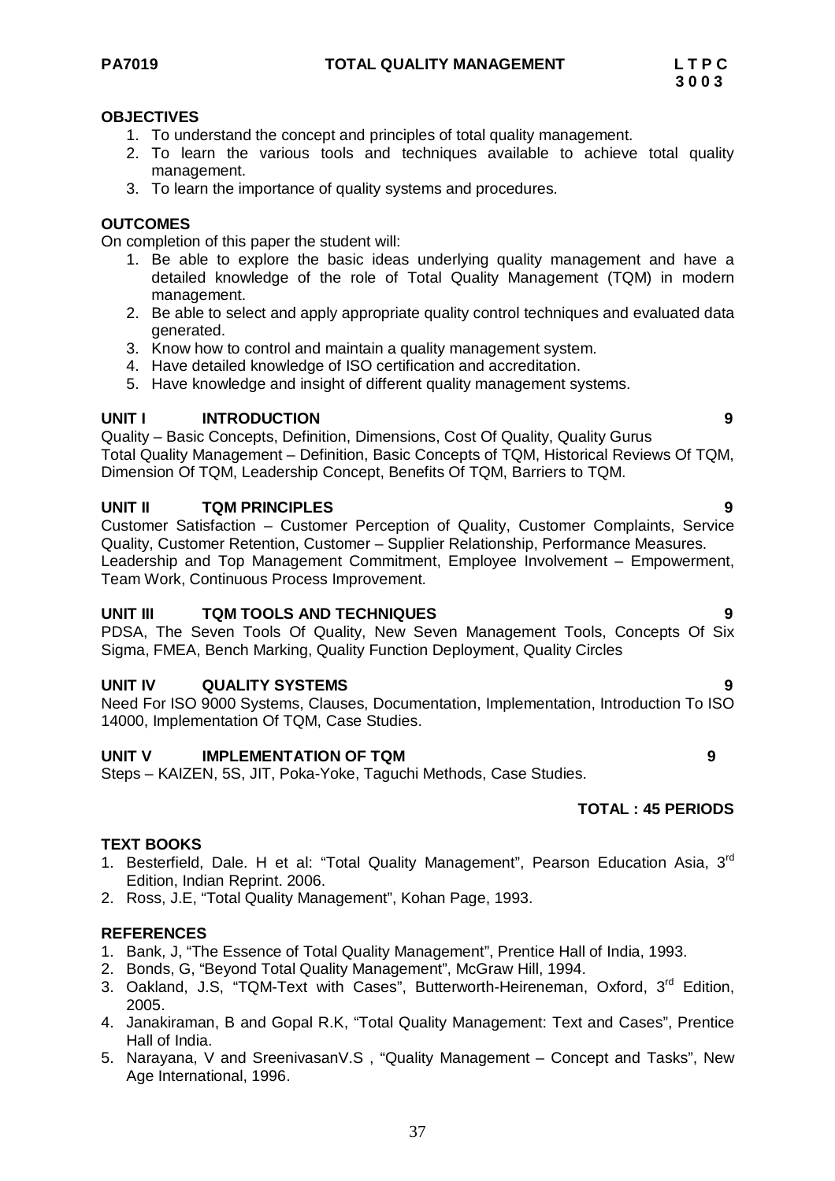#### **OBJECTIVES**

- 1. To understand the concept and principles of total quality management.
- 2. To learn the various tools and techniques available to achieve total quality management.
- 3. To learn the importance of quality systems and procedures.

#### **OUTCOMES**

On completion of this paper the student will:

- 1. Be able to explore the basic ideas underlying quality management and have a detailed knowledge of the role of Total Quality Management (TQM) in modern management.
- 2. Be able to select and apply appropriate quality control techniques and evaluated data generated.
- 3. Know how to control and maintain a quality management system.
- 4. Have detailed knowledge of ISO certification and accreditation.
- 5. Have knowledge and insight of different quality management systems.

#### **UNIT I INTRODUCTION 9**

Quality – Basic Concepts, Definition, Dimensions, Cost Of Quality, Quality Gurus Total Quality Management – Definition, Basic Concepts of TQM, Historical Reviews Of TQM, Dimension Of TQM, Leadership Concept, Benefits Of TQM, Barriers to TQM.

#### **UNIT II TQM PRINCIPLES 9**

Customer Satisfaction – Customer Perception of Quality, Customer Complaints, Service Quality, Customer Retention, Customer – Supplier Relationship, Performance Measures. Leadership and Top Management Commitment, Employee Involvement – Empowerment, Team Work, Continuous Process Improvement.

#### **UNIT III TQM TOOLS AND TECHNIQUES 9**

PDSA, The Seven Tools Of Quality, New Seven Management Tools, Concepts Of Six Sigma, FMEA, Bench Marking, Quality Function Deployment, Quality Circles

#### **UNIT IV QUALITY SYSTEMS**

Need For ISO 9000 Systems, Clauses, Documentation, Implementation, Introduction To ISO 14000, Implementation Of TQM, Case Studies.

#### **UNIT V IMPLEMENTATION OF TQM 9**

Steps – KAIZEN, 5S, JIT, Poka-Yoke, Taguchi Methods, Case Studies.

#### **TOTAL : 45 PERIODS**

#### **TEXT BOOKS**

- 1. Besterfield, Dale. H et al: "Total Quality Management", Pearson Education Asia, 3rd Edition, Indian Reprint. 2006.
- 2. Ross, J.E, "Total Quality Management", Kohan Page, 1993.

- 1. Bank, J, "The Essence of Total Quality Management", Prentice Hall of India, 1993.
- 2. Bonds, G, "Beyond Total Quality Management", McGraw Hill, 1994.
- 3. Oakland, J.S, "TQM-Text with Cases", Butterworth-Heireneman, Oxford, 3<sup>rd</sup> Edition, 2005.
- 4. Janakiraman, B and Gopal R.K, "Total Quality Management: Text and Cases", Prentice Hall of India.
- 5. Narayana, V and SreenivasanV.S , "Quality Management Concept and Tasks", New Age International, 1996.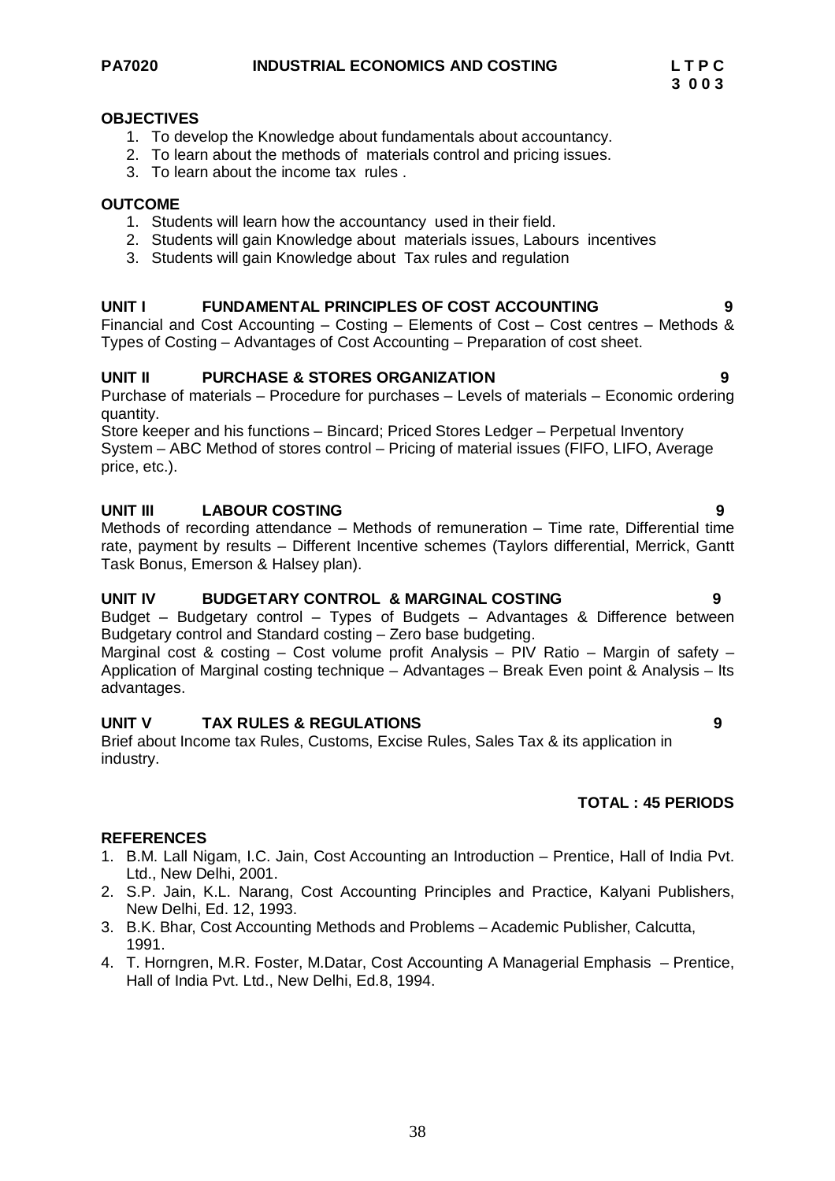#### **OBJECTIVES**

- 1. To develop the Knowledge about fundamentals about accountancy.
- 2. To learn about the methods of materials control and pricing issues.
- 3. To learn about the income tax rules .

#### **OUTCOME**

- 1. Students will learn how the accountancy used in their field.
- 2. Students will gain Knowledge about materials issues, Labours incentives
- 3. Students will gain Knowledge about Tax rules and regulation

#### **UNIT I FUNDAMENTAL PRINCIPLES OF COST ACCOUNTING 9**

Financial and Cost Accounting – Costing – Elements of Cost – Cost centres – Methods & Types of Costing – Advantages of Cost Accounting – Preparation of cost sheet.

#### **UNIT II PURCHASE & STORES ORGANIZATION 9**

Purchase of materials – Procedure for purchases – Levels of materials – Economic ordering quantity.

Store keeper and his functions – Bincard; Priced Stores Ledger – Perpetual Inventory System – ABC Method of stores control – Pricing of material issues (FIFO, LIFO, Average price, etc.).

#### **UNIT III LABOUR COSTING 9**

Methods of recording attendance – Methods of remuneration – Time rate, Differential time rate, payment by results – Different Incentive schemes (Taylors differential, Merrick, Gantt Task Bonus, Emerson & Halsey plan).

#### **UNIT IV BUDGETARY CONTROL & MARGINAL COSTING 9**

Budget – Budgetary control – Types of Budgets – Advantages & Difference between Budgetary control and Standard costing – Zero base budgeting.

Marginal cost & costing – Cost volume profit Analysis – PIV Ratio – Margin of safety – Application of Marginal costing technique – Advantages – Break Even point & Analysis – Its advantages.

#### **UNIT V TAX RULES & REGULATIONS 9**

Brief about Income tax Rules, Customs, Excise Rules, Sales Tax & its application in industry.

#### **TOTAL : 45 PERIODS**

- 1. B.M. Lall Nigam, I.C. Jain, Cost Accounting an Introduction Prentice, Hall of India Pvt. Ltd., New Delhi, 2001.
- 2. S.P. Jain, K.L. Narang, Cost Accounting Principles and Practice, Kalyani Publishers, New Delhi, Ed. 12, 1993.
- 3. B.K. Bhar, Cost Accounting Methods and Problems Academic Publisher, Calcutta, 1991.
- 4. T. Horngren, M.R. Foster, M.Datar, Cost Accounting A Managerial Emphasis Prentice, Hall of India Pvt. Ltd., New Delhi, Ed.8, 1994.